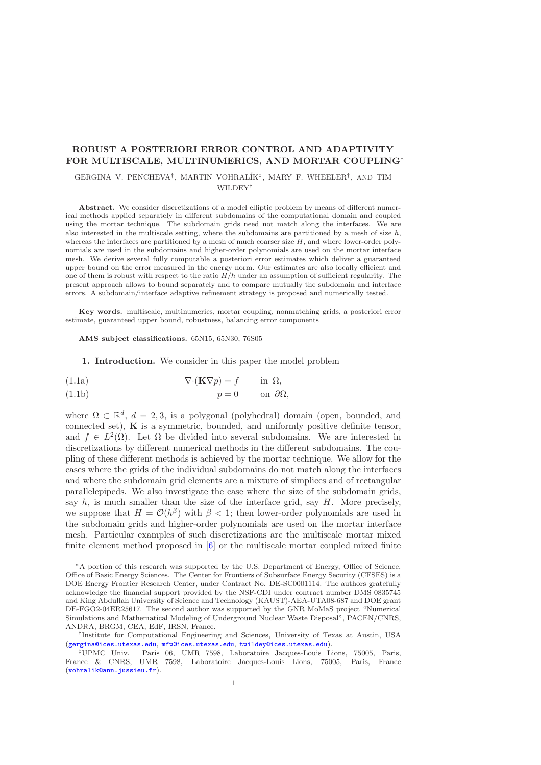## ROBUST A POSTERIORI ERROR CONTROL AND ADAPTIVITY FOR MULTISCALE, MULTINUMERICS, AND MORTAR COUPLING<sup>∗</sup>

# GERGINA V. PENCHEVA<sup>†</sup>, MARTIN VOHRALÍK<sup>‡</sup>, MARY F. WHEELER<sup>†</sup>, AND TIM WILDEY†

Abstract. We consider discretizations of a model elliptic problem by means of different numerical methods applied separately in different subdomains of the computational domain and coupled using the mortar technique. The subdomain grids need not match along the interfaces. We are also interested in the multiscale setting, where the subdomains are partitioned by a mesh of size  $h$ , whereas the interfaces are partitioned by a mesh of much coarser size  $H$ , and where lower-order polynomials are used in the subdomains and higher-order polynomials are used on the mortar interface mesh. We derive several fully computable a posteriori error estimates which deliver a guaranteed upper bound on the error measured in the energy norm. Our estimates are also locally efficient and one of them is robust with respect to the ratio  $H/h$  under an assumption of sufficient regularity. The present approach allows to bound separately and to compare mutually the subdomain and interface errors. A subdomain/interface adaptive refinement strategy is proposed and numerically tested.

Key words. multiscale, multinumerics, mortar coupling, nonmatching grids, a posteriori error estimate, guaranteed upper bound, robustness, balancing error components

AMS subject classifications. 65N15, 65N30, 76S05

1. Introduction. We consider in this paper the model problem

<span id="page-0-0"></span>(1.1a) 
$$
-\nabla \cdot (\mathbf{K} \nabla p) = f \quad \text{in } \Omega,
$$

<span id="page-0-1"></span>(1.1b) 
$$
p = 0
$$
 on  $\partial\Omega$ ,

where  $\Omega \subset \mathbb{R}^d$ ,  $d = 2, 3$ , is a polygonal (polyhedral) domain (open, bounded, and connected set),  $\bf{K}$  is a symmetric, bounded, and uniformly positive definite tensor, and  $f \in L^2(\Omega)$ . Let  $\Omega$  be divided into several subdomains. We are interested in discretizations by different numerical methods in the different subdomains. The coupling of these different methods is achieved by the mortar technique. We allow for the cases where the grids of the individual subdomains do not match along the interfaces and where the subdomain grid elements are a mixture of simplices and of rectangular parallelepipeds. We also investigate the case where the size of the subdomain grids, say  $h$ , is much smaller than the size of the interface grid, say  $H$ . More precisely, we suppose that  $H = \mathcal{O}(h^{\beta})$  with  $\beta < 1$ ; then lower-order polynomials are used in the subdomain grids and higher-order polynomials are used on the mortar interface mesh. Particular examples of such discretizations are the multiscale mortar mixed finite element method proposed in [\[6\]](#page-34-0) or the multiscale mortar coupled mixed finite

<sup>∗</sup>A portion of this research was supported by the U.S. Department of Energy, Office of Science, Office of Basic Energy Sciences. The Center for Frontiers of Subsurface Energy Security (CFSES) is a DOE Energy Frontier Research Center, under Contract No. DE-SC0001114. The authors gratefully acknowledge the financial support provided by the NSF-CDI under contract number DMS 0835745 and King Abdullah University of Science and Technology (KAUST)-AEA-UTA08-687 and DOE grant DE-FGO2-04ER25617. The second author was supported by the GNR MoMaS project "Numerical Simulations and Mathematical Modeling of Underground Nuclear Waste Disposal", PACEN/CNRS, ANDRA, BRGM, CEA, EdF, IRSN, France.

<sup>†</sup> Institute for Computational Engineering and Sciences, University of Texas at Austin, USA ([gergina@ices.utexas.edu](mailto:gergina@ices.utexas.edu), [mfw@ices.utexas.edu](mailto:mfw@ices.utexas.edu), [twildey@ices.utexas.edu](mailto:twildey@ices.utexas.edu)).

Paris 06, UMR 7598, Laboratoire Jacques-Louis Lions, 75005, Paris, France & CNRS, UMR 7598, Laboratoire Jacques-Louis Lions, 75005, Paris, France ([vohralik@ann.jussieu.fr](mailto:vohralik@ann.jussieu.fr)).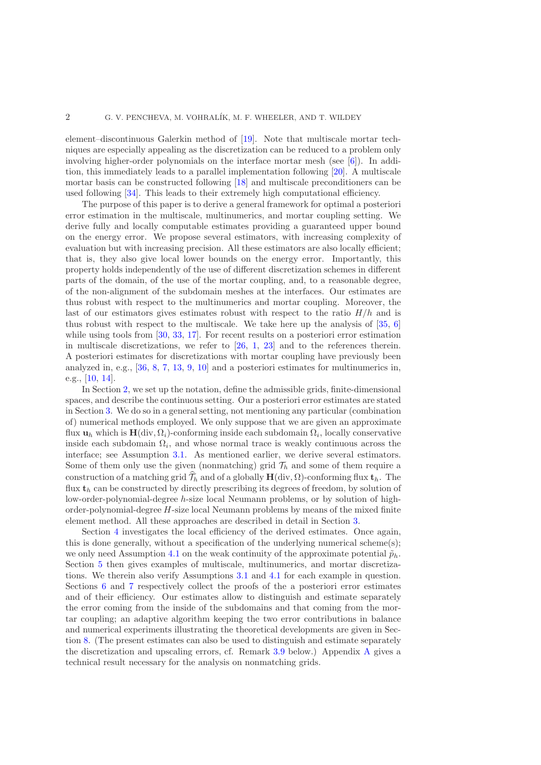element–discontinuous Galerkin method of [\[19\]](#page-35-0). Note that multiscale mortar techniques are especially appealing as the discretization can be reduced to a problem only involving higher-order polynomials on the interface mortar mesh (see [\[6\]](#page-34-0)). In addition, this immediately leads to a parallel implementation following [\[20\]](#page-35-1). A multiscale mortar basis can be constructed following [\[18\]](#page-35-2) and multiscale preconditioners can be used following [\[34\]](#page-35-3). This leads to their extremely high computational efficiency.

The purpose of this paper is to derive a general framework for optimal a posteriori error estimation in the multiscale, multinumerics, and mortar coupling setting. We derive fully and locally computable estimates providing a guaranteed upper bound on the energy error. We propose several estimators, with increasing complexity of evaluation but with increasing precision. All these estimators are also locally efficient; that is, they also give local lower bounds on the energy error. Importantly, this property holds independently of the use of different discretization schemes in different parts of the domain, of the use of the mortar coupling, and, to a reasonable degree, of the non-alignment of the subdomain meshes at the interfaces. Our estimates are thus robust with respect to the multinumerics and mortar coupling. Moreover, the last of our estimators gives estimates robust with respect to the ratio  $H/h$  and is thus robust with respect to the multiscale. We take here up the analysis of [\[35,](#page-35-4) [6\]](#page-34-0) while using tools from [\[30,](#page-35-5) [33,](#page-35-6) [17\]](#page-35-7). For recent results on a posteriori error estimation in multiscale discretizations, we refer to  $[26, 1, 23]$  $[26, 1, 23]$  $[26, 1, 23]$  $[26, 1, 23]$  and to the references therein. A posteriori estimates for discretizations with mortar coupling have previously been analyzed in, e.g., [\[36,](#page-35-10) [8,](#page-34-2) [7,](#page-34-3) [13,](#page-34-4) [9,](#page-34-5) [10\]](#page-34-6) and a posteriori estimates for multinumerics in, e.g., [\[10,](#page-34-6) [14\]](#page-35-11).

In Section [2,](#page-1-0) we set up the notation, define the admissible grids, finite-dimensional spaces, and describe the continuous setting. Our a posteriori error estimates are stated in Section [3.](#page-6-0) We do so in a general setting, not mentioning any particular (combination of) numerical methods employed. We only suppose that we are given an approximate flux  $\mathbf{u}_h$  which is  $\mathbf{H}(\text{div}, \Omega_i)$ -conforming inside each subdomain  $\Omega_i$ , locally conservative inside each subdomain  $\Omega_i$ , and whose normal trace is weakly continuous across the interface; see Assumption [3.1.](#page-6-1) As mentioned earlier, we derive several estimators. Some of them only use the given (nonmatching) grid  $\mathcal{T}_h$  and some of them require a construction of a matching grid  $\widehat{\mathcal{T}}_h$  and of a globally  $H(\text{div}, \Omega)$ -conforming flux  $t_h$ . The flux  $t<sub>h</sub>$  can be constructed by directly prescribing its degrees of freedom, by solution of low-order-polynomial-degree h-size local Neumann problems, or by solution of highorder-polynomial-degree  $H$ -size local Neumann problems by means of the mixed finite element method. All these approaches are described in detail in Section [3.](#page-6-0)

<span id="page-1-0"></span>Section [4](#page-12-0) investigates the local efficiency of the derived estimates. Once again, this is done generally, without a specification of the underlying numerical scheme(s); we only need Assumption [4.1](#page-12-1) on the weak continuity of the approximate potential  $\tilde{p}_h$ . Section [5](#page-15-0) then gives examples of multiscale, multinumerics, and mortar discretizations. We therein also verify Assumptions [3.1](#page-6-1) and [4.1](#page-12-1) for each example in question. Sections [6](#page-19-0) and [7](#page-20-0) respectively collect the proofs of the a posteriori error estimates and of their efficiency. Our estimates allow to distinguish and estimate separately the error coming from the inside of the subdomains and that coming from the mortar coupling; an adaptive algorithm keeping the two error contributions in balance and numerical experiments illustrating the theoretical developments are given in Section [8.](#page-23-0) (The present estimates can also be used to distinguish and estimate separately the discretization and upscaling errors, cf. Remark [3.9](#page-8-0) below.) Appendix [A](#page-31-0) gives a technical result necessary for the analysis on nonmatching grids.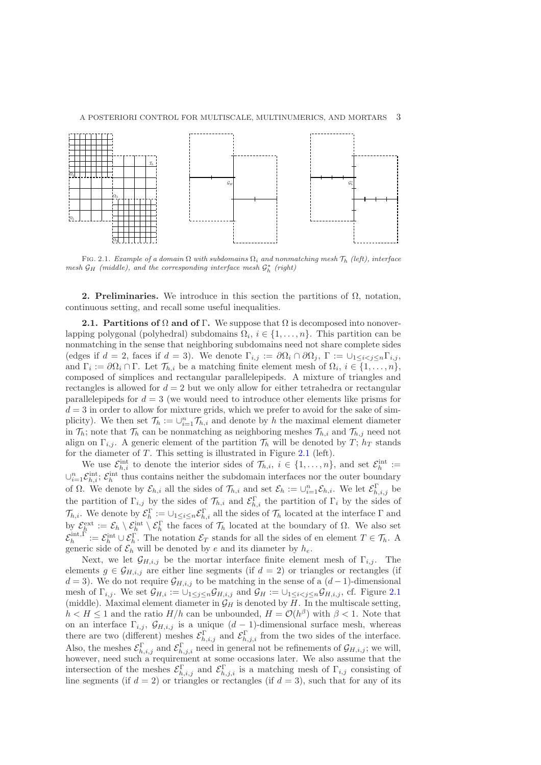

FIG. 2.1. Example of a domain  $\Omega$  with subdomains  $\Omega_i$  and nonmatching mesh  $\mathcal{T}_h$  (left), interface mesh  $\mathcal{G}_H$  (middle), and the corresponding interface mesh  $\mathcal{G}_h^*$  (right)

2. Preliminaries. We introduce in this section the partitions of  $Ω$ , notation, continuous setting, and recall some useful inequalities.

<span id="page-2-0"></span>**2.1. Partitions of**  $\Omega$  **and of Γ.** We suppose that  $\Omega$  is decomposed into nonoverlapping polygonal (polyhedral) subdomains  $\Omega_i$ ,  $i \in \{1, ..., n\}$ . This partition can be nonmatching in the sense that neighboring subdomains need not share complete sides (edges if  $d = 2$ , faces if  $d = 3$ ). We denote  $\Gamma_{i,j} := \partial \Omega_i \cap \partial \Omega_j$ ,  $\Gamma := \bigcup_{1 \leq i \leq j \leq n} \Gamma_{i,j}$ , and  $\Gamma_i := \partial \Omega_i \cap \Gamma$ . Let  $\mathcal{T}_{h,i}$  be a matching finite element mesh of  $\Omega_i$ ,  $i \in \{1, \ldots, n\}$ , composed of simplices and rectangular parallelepipeds. A mixture of triangles and rectangles is allowed for  $d = 2$  but we only allow for either tetrahedra or rectangular parallelepipeds for  $d = 3$  (we would need to introduce other elements like prisms for  $d = 3$  in order to allow for mixture grids, which we prefer to avoid for the sake of simplicity). We then set  $\mathcal{T}_h := \cup_{i=1}^n \mathcal{T}_{h,i}$  and denote by h the maximal element diameter in  $\mathcal{T}_h$ ; note that  $\mathcal{T}_h$  can be nonmatching as neighboring meshes  $\mathcal{T}_{h,i}$  and  $\mathcal{T}_{h,j}$  need not align on  $\Gamma_{i,j}$ . A generic element of the partition  $\mathcal{T}_h$  will be denoted by  $T$ ;  $h_T$  stands for the diameter of  $T$ . This setting is illustrated in Figure [2.1](#page-24-0) (left).

We use  $\mathcal{E}_{h,i}^{\text{int}}$  to denote the interior sides of  $\mathcal{T}_{h,i}, i \in \{1,\ldots,n\}$ , and set  $\mathcal{E}_h^{\text{int}} :=$  $\cup_{i=1}^n \mathcal{E}_{h,i}^{\text{int}}$ ;  $\mathcal{E}_h^{\text{int}}$  thus contains neither the subdomain interfaces nor the outer boundary of  $\Omega$ . We denote by  $\mathcal{E}_{h,i}$  all the sides of  $\mathcal{T}_{h,i}$  and set  $\mathcal{E}_h := \bigcup_{i=1}^n \mathcal{E}_{h,i}$ . We let  $\mathcal{E}_{h,i,j}^{\Gamma}$  be the partition of  $\Gamma_{i,j}$  by the sides of  $\mathcal{T}_{h,i}$  and  $\mathcal{E}_{h,i}^{\Gamma}$  the partition of  $\Gamma_i$  by the sides of  $\mathcal{T}_{h,i}$ . We denote by  $\mathcal{E}_h^{\Gamma} := \cup_{1 \leq i \leq n} \mathcal{E}_{h,i}^{\Gamma}$  all the sides of  $\mathcal{T}_h$  located at the interface  $\Gamma$  and by  $\mathcal{E}_h^{\text{ext}} := \mathcal{E}_h \setminus \mathcal{E}_h^{\text{int}} \setminus \mathcal{E}_h^{\Gamma}$  the faces of  $\mathcal{T}_h$  located at the boundary of  $\Omega$ . We also set  $\mathcal{E}_h^{\text{int},\Gamma} := \mathcal{E}_h^{\text{int}} \cup \mathcal{E}_h^{\Gamma}$ . The notation  $\mathcal{E}_T$  stands for all the sides of en element  $T \in \mathcal{T}_h$ . A generic side of  $\mathcal{E}_h$  will be denoted by e and its diameter by  $h_e$ .

Next, we let  $\mathcal{G}_{H,i,j}$  be the mortar interface finite element mesh of  $\Gamma_{i,j}$ . The elements  $g \in \mathcal{G}_{H,i,j}$  are either line segments (if  $d = 2$ ) or triangles or rectangles (if  $d = 3$ ). We do not require  $\mathcal{G}_{H,i,j}$  to be matching in the sense of a  $(d-1)$ -dimensional mesh of  $\Gamma_{i,j}$ . We set  $\mathcal{G}_{H,i} := \bigcup_{1 \leq j \leq n} \mathcal{G}_{H,i,j}$  and  $\mathcal{G}_H := \bigcup_{1 \leq i < j \leq n} \mathcal{G}_{H,i,j}$ , cf. Figure [2.1](#page-24-0) (middle). Maximal element diameter in  $\mathcal{G}_H$  is denoted by H. In the multiscale setting,  $h < H \leq 1$  and the ratio  $H/h$  can be unbounded,  $H = \mathcal{O}(h^{\beta})$  with  $\beta < 1$ . Note that on an interface  $\Gamma_{i,j}$ ,  $\mathcal{G}_{H,i,j}$  is a unique  $(d-1)$ -dimensional surface mesh, whereas there are two (different) meshes  $\mathcal{E}_{h,i,j}^{\Gamma}$  and  $\mathcal{E}_{h,j,i}^{\Gamma}$  from the two sides of the interface. Also, the meshes  $\mathcal{E}_{h,i,j}^{\Gamma}$  and  $\mathcal{E}_{h,j,i}^{\Gamma}$  need in general not be refinements of  $\mathcal{G}_{H,i,j}$ ; we will, however, need such a requirement at some occasions later. We also assume that the intersection of the meshes  $\mathcal{E}_{h,i,j}^{\Gamma}$  and  $\mathcal{E}_{h,j,i}^{\Gamma}$  is a matching mesh of  $\Gamma_{i,j}$  consisting of line segments (if  $d = 2$ ) or triangles or rectangles (if  $d = 3$ ), such that for any of its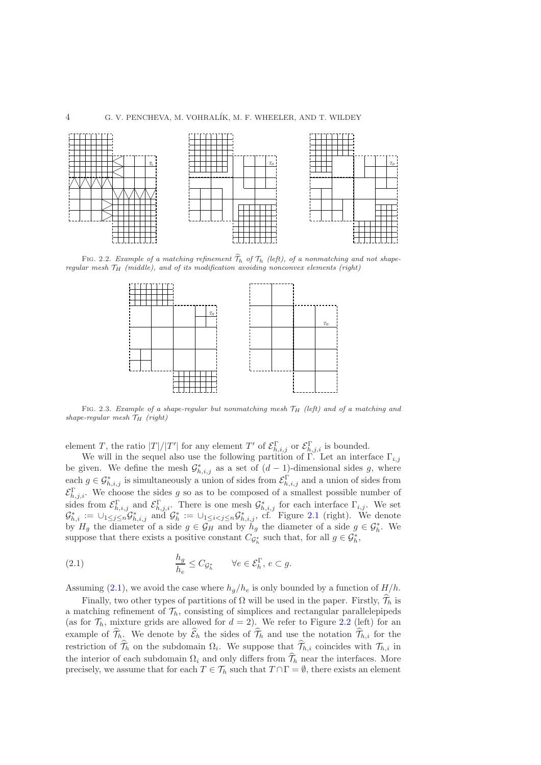#### 4 G. V. PENCHEVA, M. VOHRAL´IK, M. F. WHEELER, AND T. WILDEY



FIG. 2.2. Example of a matching refinement  $\widehat{\mathcal{T}}_h$  of  $\mathcal{T}_h$  (left), of a nonmatching and not shaperegular mesh  $\mathcal{T}_H$  (middle), and of its modification avoiding nonconvex elements (right)



FIG. 2.3. Example of a shape-regular but nonmatching mesh  $\mathcal{T}_H$  (left) and of a matching and shape-regular mesh  $\mathcal{T}_H$  (right)

element T, the ratio  $|T|/|T'|$  for any element T' of  $\mathcal{E}_{h,i,j}^{\Gamma}$  or  $\mathcal{E}_{h,j,i}^{\Gamma}$  is bounded.

We will in the sequel also use the following partition of Γ. Let an interface  $\Gamma_{i,j}$ be given. We define the mesh  $\mathcal{G}^*_{h,i,j}$  as a set of  $(d-1)$ -dimensional sides g, where each  $g \in \mathcal{G}_{h,i,j}^*$  is simultaneously a union of sides from  $\mathcal{E}_{h,i,j}^{\Gamma}$  and a union of sides from  $\mathcal{E}_{h,j,i}^{\Gamma}$ . We choose the sides g so as to be composed of a smallest possible number of sides from  $\mathcal{E}_{h,i,j}^{\Gamma}$  and  $\mathcal{E}_{h,j,i}^{\Gamma}$ . There is one mesh  $\mathcal{G}_{h,i,j}^{*}$  for each interface  $\Gamma_{i,j}$ . We set  $\mathcal{G}_{h,i}^* := \bigcup_{1 \leq j \leq n} \mathcal{G}_{h,i,j}^*$  and  $\mathcal{G}_h^* := \bigcup_{1 \leq i < j \leq n} \mathcal{G}_{h,i,j}^*$ , cf. Figure [2.1](#page-24-0) (right). We denote by  $H_g$  the diameter of a side  $g \in \mathcal{G}_H$  and by  $h_g$  the diameter of a side  $g \in \mathcal{G}_h^*$ . We suppose that there exists a positive constant  $C_{\mathcal{G}_h^*}$  such that, for all  $g \in \mathcal{G}_h^*$ ,

<span id="page-3-0"></span>(2.1) 
$$
\frac{h_g}{h_e} \leq C_{\mathcal{G}_h^*} \qquad \forall e \in \mathcal{E}_h^{\Gamma}, e \subset g.
$$

Assuming [\(2.1\)](#page-3-0), we avoid the case where  $h_q/h_e$  is only bounded by a function of  $H/h$ .

Finally, two other types of partitions of  $\Omega$  will be used in the paper. Firstly,  $\hat{\mathcal{T}}_h$  is a matching refinement of  $\mathcal{T}_h$ , consisting of simplices and rectangular parallelepipeds (as for  $\mathcal{T}_h$ , mixture grids are allowed for  $d = 2$ ). We refer to Figure [2.2](#page-25-0) (left) for an example of  $\widehat{\mathcal{T}}_h$ . We denote by  $\widehat{\mathcal{E}}_h$  the sides of  $\widehat{\mathcal{T}}_h$  and use the notation  $\widehat{\mathcal{T}}_{h,i}$  for the restriction of  $\mathcal{T}_h$  on the subdomain  $\Omega_i$ . We suppose that  $\mathcal{T}_{h,i}$  coincides with  $\mathcal{T}_{h,i}$  in the interior of each subdomain  $\Omega_i$  and only differs from  $\widehat{\mathcal{T}}_h$  near the interfaces. More precisely, we assume that for each  $T \in \mathcal{T}_h$  such that  $T \cap \Gamma = \emptyset$ , there exists an element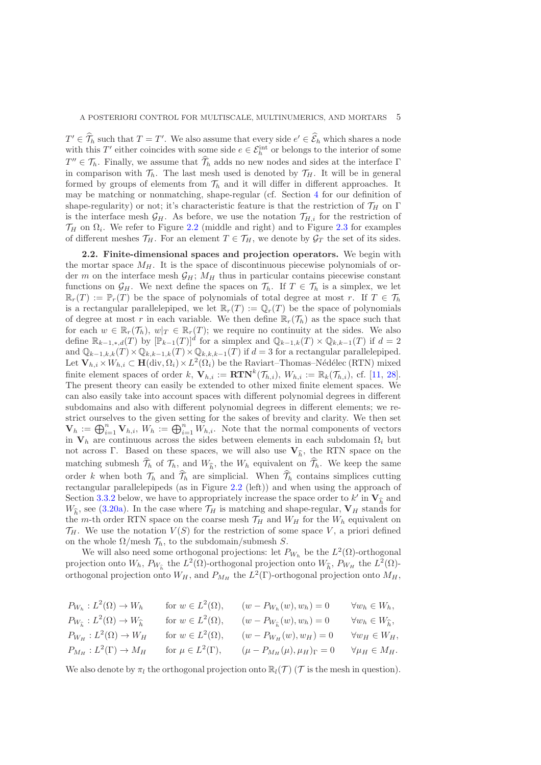$T' \in \widehat{\mathcal{T}}_h$  such that  $T = T'$ . We also assume that every side  $e' \in \widehat{\mathcal{E}}_h$  which shares a node with this T' either coincides with some side  $e \in \mathcal{E}_h^{\text{int}}$  or belongs to the interior of some  $T'' \in \mathcal{T}_h$ . Finally, we assume that  $\widehat{\mathcal{T}}_h$  adds no new nodes and sides at the interface Γ in comparison with  $\mathcal{T}_h$ . The last mesh used is denoted by  $\mathcal{T}_H$ . It will be in general formed by groups of elements from  $\mathcal{T}_h$  and it will differ in different approaches. It may be matching or nonmatching, shape-regular (cf. Section [4](#page-12-0) for our definition of shape-regularity) or not; it's characteristic feature is that the restriction of  $\mathcal{T}_H$  on  $\Gamma$ is the interface mesh  $\mathcal{G}_H$ . As before, we use the notation  $\mathcal{T}_{H,i}$  for the restriction of  $\mathcal{T}_H$  on  $\Omega_i$ . We refer to Figure [2.2](#page-25-0) (middle and right) and to Figure [2.3](#page-25-1) for examples of different meshes  $\mathcal{T}_H$ . For an element  $T \in \mathcal{T}_H$ , we denote by  $\mathcal{G}_T$  the set of its sides.

<span id="page-4-0"></span>2.2. Finite-dimensional spaces and projection operators. We begin with the mortar space  $M_H$ . It is the space of discontinuous piecewise polynomials of order m on the interface mesh  $\mathcal{G}_H$ ;  $M_H$  thus in particular contains piecewise constant functions on  $\mathcal{G}_H$ . We next define the spaces on  $\mathcal{T}_h$ . If  $T \in \mathcal{T}_h$  is a simplex, we let  $\mathbb{R}_r(T) := \mathbb{P}_r(T)$  be the space of polynomials of total degree at most r. If  $T \in \mathcal{T}_h$ is a rectangular parallelepiped, we let  $\mathbb{R}_r(T) := \mathbb{Q}_r(T)$  be the space of polynomials of degree at most r in each variable. We then define  $\mathbb{R}_r(\mathcal{T}_h)$  as the space such that for each  $w \in \mathbb{R}_r(\mathcal{T}_h)$ ,  $w|_T \in \mathbb{R}_r(T)$ ; we require no continuity at the sides. We also define  $\mathbb{R}_{k-1,*,d}(T)$  by  $[\mathbb{P}_{k-1}(T)]^d$  for a simplex and  $\mathbb{Q}_{k-1,k}(T) \times \mathbb{Q}_{k,k-1}(T)$  if  $d=2$ and  $\mathbb{Q}_{k-1,k,k}(T) \times \mathbb{Q}_{k,k-1,k}(T) \times \mathbb{Q}_{k,k,k-1}(T)$  if  $d=3$  for a rectangular parallelepiped. Let  $\mathbf{V}_{h,i} \times W_{h,i} \subset \mathbf{H}(\text{div}, \Omega_i) \times L^2(\Omega_i)$  be the Raviart–Thomas–Nédélec (RTN) mixed finite element spaces of order k,  $\mathbf{V}_{h,i} := \mathbf{R} \mathbf{T} \mathbf{N}^k(\mathcal{T}_{h,i}), W_{h,i} := \mathbb{R}_k(\mathcal{T}_{h,i}),$  cf. [\[11,](#page-34-7) [28\]](#page-35-12). The present theory can easily be extended to other mixed finite element spaces. We can also easily take into account spaces with different polynomial degrees in different subdomains and also with different polynomial degrees in different elements; we restrict ourselves to the given setting for the sakes of brevity and clarity. We then set  $\mathbf{V}_h := \bigoplus_{i=1}^n \mathbf{V}_{h,i}, W_h := \bigoplus_{i=1}^n W_{h,i}.$  Note that the normal components of vectors in  $V_h$  are continuous across the sides between elements in each subdomain  $\Omega_i$  but not across Γ. Based on these spaces, we will also use  $V_{\hat{h}}$ , the RTN space on the matching submesh  $\mathcal{T}_h$  of  $\mathcal{T}_h$ , and  $W_{\widehat{h}}$ , the  $W_h$  equivalent on  $\mathcal{T}_h$ . We keep the same order k when both  $\mathcal{T}_h$  and  $\mathcal{T}_h$  are simplicial. When  $\mathcal{T}_h$  contains simplices cutting rectangular parallelepipeds (as in Figure [2.2](#page-25-0) (left)) and when using the approach of Section [3.3.2](#page-9-0) below, we have to appropriately increase the space order to  $k'$  in  $\mathbf{V}_{\widehat{h}}$  and  $W_{\widehat{h}}$ , see [\(3.20a\)](#page-10-0). In the case where  $\mathcal{T}_H$  is matching and shape-regular,  $V_H$  stands for the m-th order RTN space on the coarse mesh  $\mathcal{T}_H$  and  $W_H$  for the  $W_h$  equivalent on  $\mathcal{T}_H$ . We use the notation  $V(S)$  for the restriction of some space V, a priori defined on the whole  $\Omega$ /mesh  $\mathcal{T}_h$ , to the subdomain/submesh S.

We will also need some orthogonal projections: let  $P_{W_h}$  be the  $L^2(\Omega)$ -orthogonal projection onto  $W_h$ ,  $P_{W_{\hat{h}}}$  the  $L^2(\Omega)$ -orthogonal projection onto  $W_{\hat{h}}$ ,  $P_{W_H}$  the  $L^2(\Omega)$ orthogonal projection onto  $W_H$ , and  $P_{M_H}$  the  $L^2(\Gamma)$ -orthogonal projection onto  $M_H$ ,

| $P_{W_h}: L^2(\Omega) \to W_h$                                           | for $w \in L^2(\Omega)$ ,   | $(w - P_{W_h}(w), w_h) = 0$                        | $\forall w_h \in W_h,$             |
|--------------------------------------------------------------------------|-----------------------------|----------------------------------------------------|------------------------------------|
| $P_{W_{\widehat{\mathbf{h}}}}: L^2(\Omega) \to W_{\widehat{\mathbf{h}}}$ | for $w \in L^2(\Omega)$ ,   | $(w - P_{W_{\widehat{\mathfrak{n}}}}(w), w_h) = 0$ | $\forall w_h \in W_{\widehat{h}},$ |
| $P_{W_H}: L^2(\Omega) \to W_H$                                           | for $w \in L^2(\Omega)$ ,   | $(w - P_{W_H}(w), w_H) = 0$                        | $\forall w_H \in W_H,$             |
| $P_{M_H}: L^2(\Gamma) \to M_H$                                           | for $\mu \in L^2(\Gamma)$ , | $(\mu - P_{M_H}(\mu), \mu_H)_{\Gamma} = 0$         | $\forall \mu_H \in M_H.$           |

We also denote by  $\pi_l$  the orthogonal projection onto  $\mathbb{R}_l(\mathcal{T})$  (T is the mesh in question).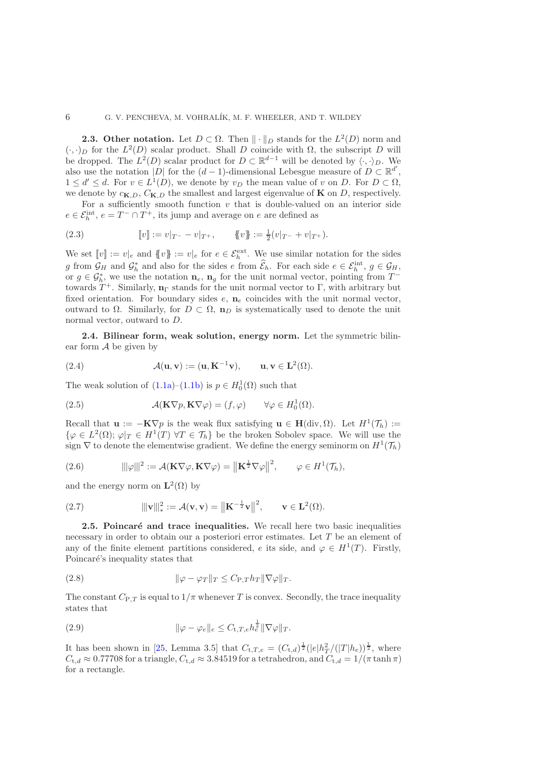**2.3. Other notation.** Let  $D \subset \Omega$ . Then  $\|\cdot\|_D$  stands for the  $L^2(D)$  norm and  $(\cdot, \cdot)_D$  for the  $L^2(D)$  scalar product. Shall D coincide with  $\Omega$ , the subscript D will be dropped. The  $L^2(D)$  scalar product for  $D \subset \mathbb{R}^{d-1}$  will be denoted by  $\langle \cdot, \cdot \rangle_D$ . We also use the notation |D| for the  $(d-1)$ -dimensional Lebesgue measure of  $D \subset \mathbb{R}^{d'}$ ,  $1 \leq d' \leq d$ . For  $v \in L^1(D)$ , we denote by  $v_D$  the mean value of v on D. For  $D \subset \Omega$ , we denote by  $c_{\mathbf{K},D}$ ,  $C_{\mathbf{K},D}$  the smallest and largest eigenvalue of **K** on D, respectively.

For a sufficiently smooth function  $v$  that is double-valued on an interior side  $e \in \mathcal{E}_h^{\text{int}}, e = T^- \cap T^+$ , its jump and average on e are defined as

(2.3) 
$$
[v] := v|_{T^{-}} - v|_{T^{+}}, \qquad \{v\} := \frac{1}{2}(v|_{T^{-}} + v|_{T^{+}}).
$$

We set  $[v] := v|_e$  and  $\{v\} := v|_e$  for  $e \in \mathcal{E}_h^{\text{ext}}$ . We use similar notation for the sides g from  $\mathcal{G}_H$  and  $\mathcal{G}_h^*$  and also for the sides e from  $\widehat{\mathcal{E}}_h$ . For each side  $e \in \mathcal{E}_h^{\text{int}}, g \in \mathcal{G}_H$ , or  $g \in \mathcal{G}_h^*$ , we use the notation  $\mathbf{n}_e$ ,  $\mathbf{n}_g$  for the unit normal vector, pointing from  $T^$ towards  $T^+$ . Similarly,  $\mathbf{n}_{\Gamma}$  stands for the unit normal vector to  $\Gamma$ , with arbitrary but fixed orientation. For boundary sides  $e$ ,  $\mathbf{n}_e$  coincides with the unit normal vector, outward to Ω. Similarly, for  $D \subset \Omega$ ,  $\mathbf{n}_D$  is systematically used to denote the unit normal vector, outward to D.

2.4. Bilinear form, weak solution, energy norm. Let the symmetric bilinear form  $A$  be given by

(2.4) 
$$
\mathcal{A}(\mathbf{u}, \mathbf{v}) := (\mathbf{u}, \mathbf{K}^{-1} \mathbf{v}), \qquad \mathbf{u}, \mathbf{v} \in \mathbf{L}^{2}(\Omega).
$$

The weak solution of  $(1.1a)$ – $(1.1b)$  is  $p \in H_0^1(\Omega)$  such that

<span id="page-5-4"></span>(2.5) 
$$
\mathcal{A}(\mathbf{K}\nabla p, \mathbf{K}\nabla \varphi) = (f, \varphi) \qquad \forall \varphi \in H_0^1(\Omega).
$$

Recall that  $\mathbf{u} := -\mathbf{K} \nabla p$  is the weak flux satisfying  $\mathbf{u} \in \mathbf{H}(\text{div}, \Omega)$ . Let  $H^1(\mathcal{T}_h) :=$  $\{\varphi \in L^2(\Omega); \varphi|_T \in H^1(T) \,\,\forall T \in \mathcal{T}_h\}$  be the broken Sobolev space. We will use the sign  $\nabla$  to denote the elementwise gradient. We define the energy seminorm on  $H^1(\mathcal{T}_h)$ 

<span id="page-5-2"></span>(2.6) 
$$
\|\varphi\|^2 := \mathcal{A}(\mathbf{K}\nabla\varphi,\mathbf{K}\nabla\varphi) = \|\mathbf{K}^{\frac{1}{2}}\nabla\varphi\|^2, \qquad \varphi \in H^1(\mathcal{T}_h),
$$

and the energy norm on  $\mathbf{L}^2(\Omega)$  by

<span id="page-5-3"></span>(2.7) 
$$
\|\mathbf{v}\|_{*}^{2} := \mathcal{A}(\mathbf{v}, \mathbf{v}) = \left\|\mathbf{K}^{-\frac{1}{2}}\mathbf{v}\right\|^{2}, \qquad \mathbf{v} \in \mathbf{L}^{2}(\Omega).
$$

2.5. Poincaré and trace inequalities. We recall here two basic inequalities necessary in order to obtain our a posteriori error estimates. Let T be an element of any of the finite element partitions considered, e its side, and  $\varphi \in H^1(T)$ . Firstly, Poincaré's inequality states that

<span id="page-5-1"></span>(2.8) 
$$
\|\varphi - \varphi_T\|_T \leq C_{\text{P},T} h_T \|\nabla \varphi\|_T.
$$

The constant  $C_{P,T}$  is equal to  $1/\pi$  whenever T is convex. Secondly, the trace inequality states that

<span id="page-5-0"></span>(2.9) 
$$
\|\varphi - \varphi_e\|_e \leq C_{t,T,e} h_e^{\frac{1}{2}} \|\nabla \varphi\|_T.
$$

It has been shown in [\[25,](#page-35-13) Lemma 3.5] that  $C_{t,T,e} = (C_{t,d})^{\frac{1}{2}} (|e|h_T^2/(|T|h_e))^{\frac{1}{2}}$ , where  $C_{t,d} \approx 0.77708$  for a triangle,  $C_{t,d} \approx 3.84519$  for a tetrahedron, and  $C_{t,d} = 1/(\pi \tanh \pi)$ for a rectangle.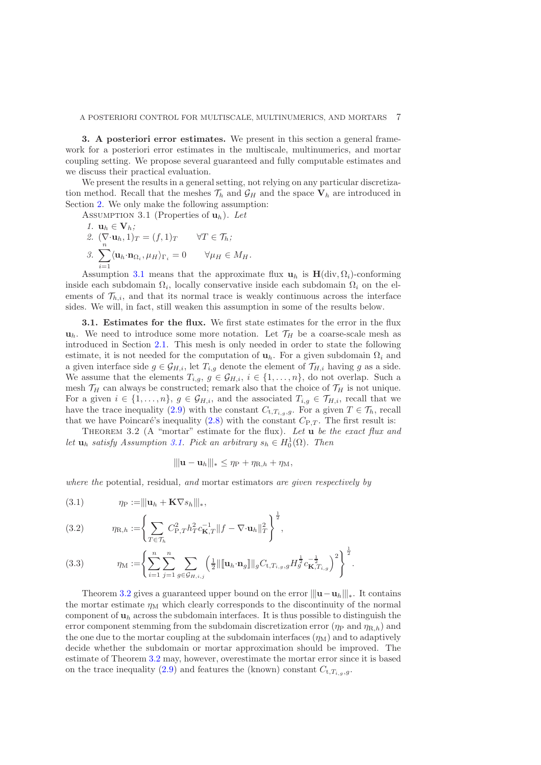<span id="page-6-0"></span>3. A posteriori error estimates. We present in this section a general framework for a posteriori error estimates in the multiscale, multinumerics, and mortar coupling setting. We propose several guaranteed and fully computable estimates and we discuss their practical evaluation.

We present the results in a general setting, not relying on any particular discretization method. Recall that the meshes  $\mathcal{T}_h$  and  $\mathcal{G}_H$  and the space  $V_h$  are introduced in Section [2.](#page-1-0) We only make the following assumption:

<span id="page-6-9"></span><span id="page-6-8"></span><span id="page-6-1"></span>Assumption 3.1 (Properties of uh). *Let*

<span id="page-6-7"></span>1. 
$$
\mathbf{u}_h \in \mathbf{V}_h
$$
;  
\n2.  $(\nabla \cdot \mathbf{u}_h, 1)_T = (f, 1)_T$   $\forall T \in \mathcal{T}_h$ ;  
\n3.  $\sum_{i=1}^n \langle \mathbf{u}_h \cdot \mathbf{n}_{\Omega_i}, \mu_H \rangle_{\Gamma_i} = 0$   $\forall \mu_H \in M_H$ .

Assumption [3.1](#page-6-1) means that the approximate flux  $\mathbf{u}_h$  is  $\mathbf{H}(\text{div}, \Omega_i)$ -conforming inside each subdomain  $\Omega_i$ , locally conservative inside each subdomain  $\Omega_i$  on the elements of  $\mathcal{T}_{h,i}$ , and that its normal trace is weakly continuous across the interface sides. We will, in fact, still weaken this assumption in some of the results below.

<span id="page-6-6"></span>3.1. Estimates for the flux. We first state estimates for the error in the flux  $\mathbf{u}_h$ . We need to introduce some more notation. Let  $\mathcal{T}_H$  be a coarse-scale mesh as introduced in Section [2.1.](#page-2-0) This mesh is only needed in order to state the following estimate, it is not needed for the computation of  $\mathbf{u}_h$ . For a given subdomain  $\Omega_i$  and a given interface side  $g \in \mathcal{G}_{H,i}$ , let  $T_{i,g}$  denote the element of  $\mathcal{T}_{H,i}$  having g as a side. We assume that the elements  $T_{i,g}, g \in \mathcal{G}_{H,i}, i \in \{1, ..., n\}$ , do not overlap. Such a mesh  $\mathcal{T}_H$  can always be constructed; remark also that the choice of  $\mathcal{T}_H$  is not unique. For a given  $i \in \{1, \ldots, n\}$ ,  $g \in \mathcal{G}_{H,i}$ , and the associated  $T_{i,g} \in \mathcal{T}_{H,i}$ , recall that we have the trace inequality [\(2.9\)](#page-5-0) with the constant  $C_{t,T_{i,g},g}$ . For a given  $T \in \mathcal{T}_h$ , recall that we have Poincaré's inequality  $(2.8)$  with the constant  $C_{P,T}$ . The first result is:

<span id="page-6-2"></span>Theorem 3.2 (A "mortar" estimate for the flux). *Let* u *be the exact flux and let*  $\mathbf{u}_h$  *satisfy Assumption [3.1.](#page-6-1) Pick an arbitrary*  $s_h \in H_0^1(\Omega)$ *. Then* 

$$
\|\mathbf{u}-\mathbf{u}_h\|\|_{*}\leq \eta_{\mathrm{P}}+\eta_{\mathrm{R},h}+\eta_{\mathrm{M}},
$$

*where the* potential*,* residual*, and* mortar estimators *are given respectively by*

<span id="page-6-3"></span>
$$
(3.1) \t \eta_P := ||\mathbf{u}_h + \mathbf{K} \nabla s_h|||_*,
$$

<span id="page-6-4"></span>(3.2) 
$$
\eta_{\mathcal{R},h} := \left\{ \sum_{T \in \mathcal{T}_h} C_{\mathcal{P},T}^2 h_T^2 c_{\mathbf{K},T}^{-1} \| f - \nabla \cdot \mathbf{u}_h \|_T^2 \right\}^{\frac{1}{2}},
$$

<span id="page-6-5"></span>(3.3) 
$$
\eta_{\mathcal{M}} := \left\{ \sum_{i=1}^{n} \sum_{j=1}^{n} \sum_{g \in \mathcal{G}_{H,i,j}} \left( \frac{1}{2} ||[\mathbf{u}_{h} \cdot \mathbf{n}_{g}]]||_{g} C_{t, T_{i,g},g} H_{g}^{\frac{1}{2}} c_{\mathbf{K}, T_{i,g}}^{-\frac{1}{2}} \right)^{2} \right\}^{\frac{1}{2}}.
$$

Theorem [3.2](#page-6-2) gives a guaranteed upper bound on the error  $|||u - u_h|||_*$ . It contains the mortar estimate  $\eta_M$  which clearly corresponds to the discontinuity of the normal component of  $\mathbf{u}_h$  across the subdomain interfaces. It is thus possible to distinguish the error component stemming from the subdomain discretization error ( $\eta_P$  and  $\eta_{R,h}$ ) and the one due to the mortar coupling at the subdomain interfaces  $(\eta_M)$  and to adaptively decide whether the subdomain or mortar approximation should be improved. The estimate of Theorem [3.2](#page-6-2) may, however, overestimate the mortar error since it is based on the trace inequality [\(2.9\)](#page-5-0) and features the (known) constant  $C_{t,T_{i,q},g}$ .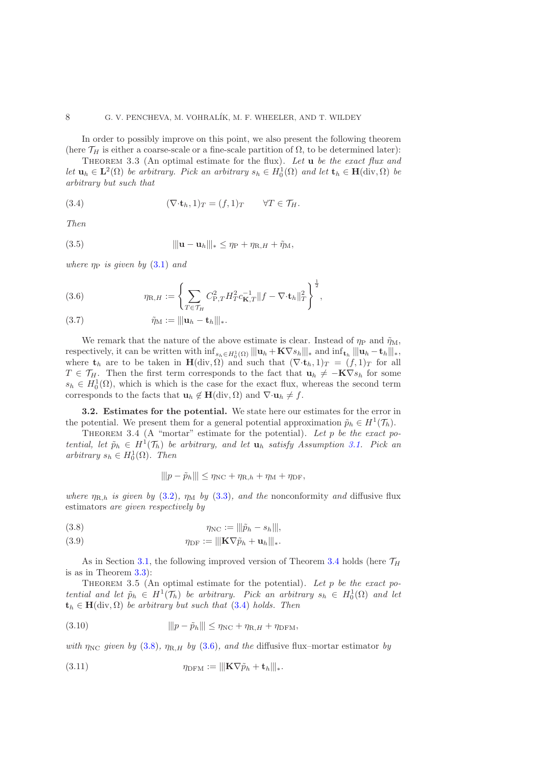<span id="page-7-1"></span>In order to possibly improve on this point, we also present the following theorem (here  $\mathcal{T}_H$  is either a coarse-scale or a fine-scale partition of  $\Omega$ , to be determined later):

Theorem 3.3 (An optimal estimate for the flux). *Let* u *be the exact flux and let*  $\mathbf{u}_h \in \mathbf{L}^2(\Omega)$  *be arbitrary. Pick an arbitrary*  $s_h \in H_0^1(\Omega)$  *and let*  $\mathbf{t}_h \in \mathbf{H}(\text{div}, \Omega)$  *be arbitrary but such that*

<span id="page-7-2"></span>(3.4) 
$$
(\nabla \cdot \mathbf{t}_h, 1)_T = (f, 1)_T \qquad \forall T \in \mathcal{T}_H.
$$

*Then*

(3.5) 
$$
\|\mathbf{u}-\mathbf{u}_h\|_* \leq \eta_P + \eta_{\mathcal{R},H} + \tilde{\eta}_\mathcal{M},
$$

*where*  $\eta_P$  *is given by* [\(3.1\)](#page-6-3) *and* 

<span id="page-7-4"></span>(3.6) 
$$
\eta_{\mathcal{R},H} := \left\{ \sum_{T \in \mathcal{T}_H} C_{\mathcal{P},T}^2 H_T^2 c_{\mathbf{K},T}^{-1} \| f - \nabla \cdot \mathbf{t}_h \|_T^2 \right\}^{\frac{1}{2}},
$$

<span id="page-7-6"></span>
$$
(3.7) \qquad \qquad \tilde{\eta}_{\mathcal{M}} := |||\mathbf{u}_h - \mathbf{t}_h|||_*.
$$

We remark that the nature of the above estimate is clear. Instead of  $\eta_P$  and  $\tilde{\eta}_M$ , respectively, it can be written with  $\inf_{s_h \in H_0^1(\Omega)} || ||\mathbf{u}_h + \mathbf{K} \nabla s_h|| ||_*$  and  $\inf_{\mathbf{t}_h} || ||\mathbf{u}_h - \mathbf{t}_h|| ||_*,$ where  $t_h$  are to be taken in  $H(\text{div}, \Omega)$  and such that  $(\nabla \cdot t_h, 1)_T = (f, 1)_T$  for all  $T \in \mathcal{T}_H$ . Then the first term corresponds to the fact that  $\mathbf{u}_h \neq -\mathbf{K}\nabla s_h$  for some  $s_h \in H_0^1(\Omega)$ , which is which is the case for the exact flux, whereas the second term corresponds to the facts that  $\mathbf{u}_h \notin \mathbf{H}(\text{div}, \Omega)$  and  $\nabla \cdot \mathbf{u}_h \neq f$ .

<span id="page-7-7"></span>3.2. Estimates for the potential. We state here our estimates for the error in the potential. We present them for a general potential approximation  $\tilde{p}_h \in H^1(\mathcal{T}_h)$ .

<span id="page-7-0"></span>THEOREM 3.4 (A "mortar" estimate for the potential). Let p be the exact po*tential, let*  $\tilde{p}_h \in H^1(\mathcal{T}_h)$  *be arbitrary, and let*  $\mathbf{u}_h$  *satisfy Assumption [3.1.](#page-6-1) Pick an*  $arbitrary\ s_h \in H_0^1(\Omega)$ *. Then* 

$$
\|p - \tilde{p}_h\| \leq \eta_{\rm NC} + \eta_{\rm R,h} + \eta_{\rm M} + \eta_{\rm DF},
$$

*where*  $\eta_{R,h}$  *is given by* [\(3.2\)](#page-6-4)*,*  $\eta_M$  *by* [\(3.3\)](#page-6-5)*, and the* nonconformity *and* diffusive flux estimators *are given respectively by*

<span id="page-7-3"></span>(3.8) 
$$
\eta_{\rm NC} := ||\tilde{p}_h - s_h||,
$$

(3.9) 
$$
\eta_{\text{DF}} := ||\mathbf{K} \nabla \tilde{p}_h + \mathbf{u}_h||_*.
$$

As in Section [3.1,](#page-6-6) the following improved version of Theorem [3.4](#page-7-0) holds (here  $\mathcal{T}_H$ is as in Theorem [3.3\)](#page-7-1):

<span id="page-7-5"></span>Theorem 3.5 (An optimal estimate for the potential). *Let* p *be the exact potential and let*  $\tilde{p}_h \in H^1(\mathcal{T}_h)$  *be arbitrary. Pick an arbitrary*  $s_h \in H_0^1(\Omega)$  *and let*  $t_h \in H(\text{div}, \Omega)$  *be arbitrary but such that* [\(3.4\)](#page-7-2) *holds. Then* 

$$
||p - \tilde{p}_h|| \le \eta_{\text{NC}} + \eta_{\text{R},H} + \eta_{\text{DFM}},
$$

*with*  $\eta_{\text{NC}}$  *given by* [\(3.8\)](#page-7-3)*,*  $\eta_{\text{R},H}$  *by* [\(3.6\)](#page-7-4)*, and the* diffusive flux–mortar estimator *by* 

(3.11) 
$$
\eta_{\text{DFM}} := \|\mathbf{K}\nabla\tilde{p}_h + \mathbf{t}_h\|_{*}.
$$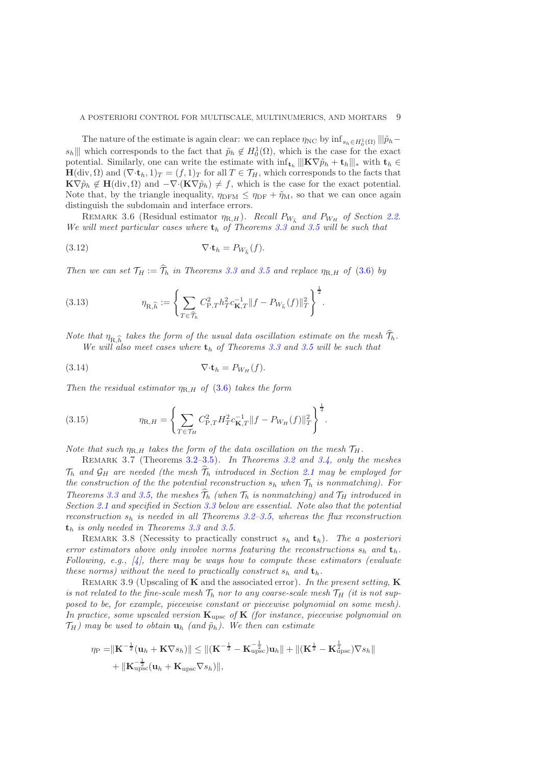The nature of the estimate is again clear: we can replace  $\eta_{NC}$  by  $\inf_{s_h \in H_0^1(\Omega)} |||\tilde{p}_h$  $s_h$ ||| which corresponds to the fact that  $\tilde{p}_h \notin H_0^1(\Omega)$ , which is the case for the exact potential. Similarly, one can write the estimate with  $\inf_{\mathbf{t}_h} |||\mathbf{K} \nabla \tilde{p}_h + \mathbf{t}_h|||_*$  with  $\mathbf{t}_h \in$  $H(\text{div}, \Omega)$  and  $(\nabla \cdot \mathbf{t}_h, 1)_T = (f, 1)_T$  for all  $T \in \mathcal{T}_H$ , which corresponds to the facts that  $\mathbf{K}\nabla\tilde{p}_h \notin \mathbf{H}(\text{div},\Omega)$  and  $-\nabla\cdot(\mathbf{K}\nabla\tilde{p}_h) \neq f$ , which is the case for the exact potential. Note that, by the triangle inequality,  $\eta_{\text{DFM}} \leq \eta_{\text{DF}} + \tilde{\eta}_{\text{M}}$ , so that we can once again distinguish the subdomain and interface errors.

<span id="page-8-5"></span>REMARK 3.6 (Residual estimator  $\eta_{R,H}$ ). *Recall*  $P_{W_{\hat{h}}}$  and  $P_{W_H}$  of Section [2.2.](#page-4-0) *We will meet particular cases where*  $t_h$  *of Theorems* [3.3](#page-7-1) *and* [3.5](#page-7-5) *will be such that* 

<span id="page-8-1"></span>(3.12) 
$$
\nabla \cdot \mathbf{t}_h = P_{W_{\widehat{h}}}(f).
$$

*Then we can set*  $\mathcal{T}_H := \hat{\mathcal{T}}_h$  *in Theorems* [3.3](#page-7-1) *and* [3.5](#page-7-5) *and replace*  $\eta_{R,H}$  *of* [\(3.6\)](#page-7-4) *by* 

<span id="page-8-2"></span>(3.13) 
$$
\eta_{\mathbf{R},\widehat{h}} := \left\{ \sum_{T \in \widehat{\mathcal{T}}_h} C_{\mathbf{P},T}^2 h_T^2 c_{\mathbf{K},T}^{-1} \| f - P_{W_{\widehat{h}}}(f) \|_T^2 \right\}^{\frac{1}{2}}.
$$

*Note that*  $\eta_{R,\widehat{h}}$  takes the form of the usual data oscillation estimate on the mesh  $\mathcal{T}_h$ . *We will also meet cases where*  $t_h$  *of Theorems* [3.3](#page-7-1) *and* [3.5](#page-7-5) *will be such that* 

<span id="page-8-3"></span>
$$
\nabla \cdot \mathbf{t}_h = P_{W_H}(f).
$$

*Then the residual estimator*  $\eta_{R,H}$  *of* [\(3.6\)](#page-7-4) *takes the form* 

<span id="page-8-4"></span>(3.15) 
$$
\eta_{\text{R},H} = \left\{ \sum_{T \in \mathcal{T}_H} C_{\text{P},T}^2 H_T^2 c_{\textbf{K},T}^{-1} || f - P_{W_H}(f) ||_T^2 \right\}^{\frac{1}{2}}.
$$

*Note that such*  $\eta_{R,H}$  *takes the form of the data oscillation on the mesh*  $\mathcal{T}_H$ *.* 

Remark 3.7 (Theorems [3.2–](#page-6-2)[3.5](#page-7-5)). *In Theorems [3.2](#page-6-2) and [3.4,](#page-7-0) only the meshes*  $\mathcal{T}_h$  and  $\mathcal{G}_H$  are needed (the mesh  $\widehat{\mathcal{T}}_h$  introduced in Section [2.1](#page-2-0) may be employed for *the construction of the the potential reconstruction*  $s_h$  *when*  $\mathcal{T}_h$  *is nonmatching*). For *Theorems* [3.3](#page-7-1) and [3.5,](#page-7-5) the meshes  $\widehat{\mathcal{T}}_h$  (when  $\mathcal{T}_h$  is nonmatching) and  $\mathcal{T}_H$  introduced in *Section [2.1](#page-2-0) and specified in Section [3.3](#page-9-1) below are essential. Note also that the potential reconstruction*  $s_h$  *is needed in all Theorems [3.2](#page-6-2)[–3.5,](#page-7-5) whereas the flux reconstruction* t<sup>h</sup> *is only needed in Theorems [3.3](#page-7-1) and [3.5.](#page-7-5)*

REMARK 3.8 (Necessity to practically construct  $s_h$  and  $t_h$ ). The a posteriori *error estimators above only involve norms featuring the reconstructions*  $s_h$  *and*  $t_h$ . *Following, e.g., [\[4\]](#page-34-8), there may be ways how to compute these estimators (evaluate these norms) without the need to practically construct*  $s_h$  *and*  $t_h$ .

<span id="page-8-0"></span>Remark 3.9 (Upscaling of K and the associated error). *In the present setting,* K is not related to the fine-scale mesh  $\mathcal{T}_h$  nor to any coarse-scale mesh  $\mathcal{T}_H$  *(it is not supposed to be, for example, piecewise constant or piecewise polynomial on some mesh). In practice, some upscaled version* Kupsc *of* K *(for instance, piecewise polynomial on*  $\mathcal{T}_H$ *)* may be used to obtain  $\mathbf{u}_h$  (and  $\tilde{p}_h$ ). We then can estimate

$$
\eta_{\rm P} = \|\mathbf{K}^{-\frac{1}{2}}(\mathbf{u}_h + \mathbf{K}\nabla s_h)\| \le \|(\mathbf{K}^{-\frac{1}{2}} - \mathbf{K}_{\rm upsc}^{-\frac{1}{2}})\mathbf{u}_h\| + \|(\mathbf{K}^{\frac{1}{2}} - \mathbf{K}_{\rm upsc}^{\frac{1}{2}})\nabla s_h\|
$$
  
+  $\|\mathbf{K}_{\rm upsc}^{-\frac{1}{2}}(\mathbf{u}_h + \mathbf{K}_{\rm upsc}\nabla s_h)\|,$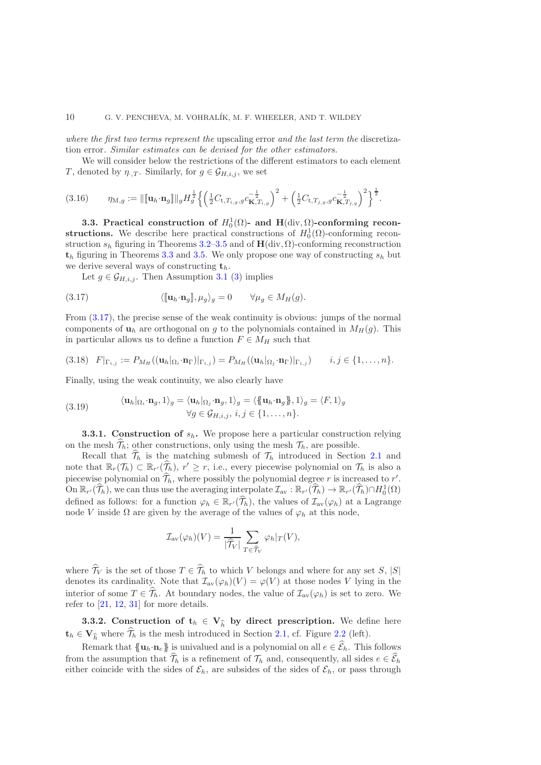*where the first two terms represent the* upscaling error *and the last term the* discretization error*. Similar estimates can be devised for the other estimators.*

We will consider below the restrictions of the different estimators to each element T, denoted by  $\eta_{\cdot,T}$ . Similarly, for  $g \in \mathcal{G}_{H,i,j}$ , we set

<span id="page-9-5"></span>
$$
(3.16) \qquad \eta_{M,g} := \|\llbracket \mathbf{u}_h \cdot \mathbf{n}_g \rrbracket \|_g H_g^{\frac{1}{2}} \left\{ \left( \frac{1}{2} C_{t,T_{i,g},g} c_{\mathbf{K},T_{i,g}}^{-\frac{1}{2}} \right)^2 + \left( \frac{1}{2} C_{t,T_{j,g},g} c_{\mathbf{K},T_{j,g}}^{-\frac{1}{2}} \right)^2 \right\}^{\frac{1}{2}}.
$$

<span id="page-9-1"></span>3.3. Practical construction of  $H_0^1(\Omega)$ - and  $H(\text{div}, \Omega)$ -conforming reconstructions. We describe here practical constructions of  $H_0^1(\Omega)$ -conforming reconstruction  $s_h$  figuring in Theorems [3.2–](#page-6-2)[3.5](#page-7-5) and of  $H(\text{div}, \Omega)$ -conforming reconstruction  $t_h$  figuring in Theorems [3.3](#page-7-1) and [3.5.](#page-7-5) We only propose one way of constructing  $s_h$  but we derive several ways of constructing  $t_h$ .

<span id="page-9-2"></span>Let  $g \in \mathcal{G}_{H,i,j}$ . Then Assumption [3.1](#page-6-1) [\(3\)](#page-6-7) implies

(3.17) 
$$
\langle [\![\mathbf{u}_h \cdot \mathbf{n}_g]\!], \mu_g \rangle_g = 0 \qquad \forall \mu_g \in M_H(g).
$$

From [\(3.17\)](#page-9-2), the precise sense of the weak continuity is obvious: jumps of the normal components of  $\mathbf{u}_h$  are orthogonal on g to the polynomials contained in  $M_H(g)$ . This in particular allows us to define a function  $F \in M_H$  such that

<span id="page-9-4"></span>
$$
(3.18) \quad F|_{\Gamma_{i,j}} := P_{M_H}((\mathbf{u}_h|_{\Omega_i} \cdot \mathbf{n}_{\Gamma})|_{\Gamma_{i,j}}) = P_{M_H}((\mathbf{u}_h|_{\Omega_j} \cdot \mathbf{n}_{\Gamma})|_{\Gamma_{i,j}}) \qquad i,j \in \{1,\ldots,n\}.
$$

Finally, using the weak continuity, we also clearly have

<span id="page-9-3"></span>(3.19) 
$$
\langle \mathbf{u}_h | \Omega_i \cdot \mathbf{n}_g, 1 \rangle_g = \langle \mathbf{u}_h | \Omega_j \cdot \mathbf{n}_g, 1 \rangle_g = \langle \{ \mathbf{u}_h \cdot \mathbf{n}_g \}, 1 \rangle_g = \langle F, 1 \rangle_g \forall g \in \mathcal{G}_{H,i,j}, i, j \in \{1, ..., n\}.
$$

<span id="page-9-6"></span>**3.3.1. Construction of**  $s_h$ **.** We propose here a particular construction relying on the mesh  $\hat{\mathcal{T}}_h$ ; other constructions, only using the mesh  $\mathcal{T}_h$ , are possible.

Recall that  $\hat{\mathcal{T}}_h$  is the matching submesh of  $\mathcal{T}_h$  introduced in Section [2.1](#page-2-0) and note that  $\mathbb{R}_r(\mathcal{T}_h) \subset \mathbb{R}_{r'}(\widetilde{\mathcal{T}}_h)$ ,  $r' \geq r$ , i.e., every piecewise polynomial on  $\mathcal{T}_h$  is also a piecewise polynomial on  $\widehat{\mathcal{T}}_h$ , where possibly the polynomial degree r is increased to r'. On  $\mathbb{R}_{r'}(\widehat{\mathcal{T}}_h)$ , we can thus use the averaging interpolate  $\mathcal{I}_{av} : \mathbb{R}_{r'}(\widehat{\mathcal{T}}_h) \to \mathbb{R}_{r'}(\widehat{\mathcal{T}}_h) \cap H_0^1(\Omega)$ defined as follows: for a function  $\varphi_h \in \mathbb{R}_{r'}(\mathcal{T}_h)$ , the values of  $\mathcal{I}_{av}(\varphi_h)$  at a Lagrange node V inside  $\Omega$  are given by the average of the values of  $\varphi_h$  at this node,

$$
\mathcal{I}_{\text{av}}(\varphi_h)(V) = \frac{1}{|\widehat{\mathcal{T}}_V|} \sum_{T \in \widehat{\mathcal{T}}_V} \varphi_h|_T(V),
$$

where  $\widehat{\mathcal{T}}_V$  is the set of those  $T \in \widehat{\mathcal{T}}_h$  to which V belongs and where for any set S,  $|S|$ denotes its cardinality. Note that  $\mathcal{I}_{av}(\varphi_h)(V) = \varphi(V)$  at those nodes V lying in the interior of some  $T \in \hat{\mathcal{T}}_h$ . At boundary nodes, the value of  $\mathcal{I}_{av}(\varphi_h)$  is set to zero. We refer to  $[21, 12, 31]$  $[21, 12, 31]$  $[21, 12, 31]$  $[21, 12, 31]$  for more details.

<span id="page-9-0"></span>**3.3.2.** Construction of  $\mathbf{t}_h \in \mathbf{V}_{\widehat{h}}$  by direct prescription. We define here  $\mathbf{t}_h \in \mathbf{V}_h$  where  $\widehat{\mathcal{T}}_h$  is the mesh introduced in Section [2.1,](#page-2-0) cf. Figure [2.2](#page-25-0) (left).

Remark that  ${{\mathbf{u}_h \cdot \mathbf{n}_e\}}$  is univalued and is a polynomial on all  $e \in \widehat{\mathcal{E}}_h$ . This follows from the assumption that  $\widehat{\mathcal{T}}_h$  is a refinement of  $\mathcal{T}_h$  and, consequently, all sides  $e \in \widehat{\mathcal{E}}_h$ either coincide with the sides of  $\mathcal{E}_h$ , are subsides of the sides of  $\mathcal{E}_h$ , or pass through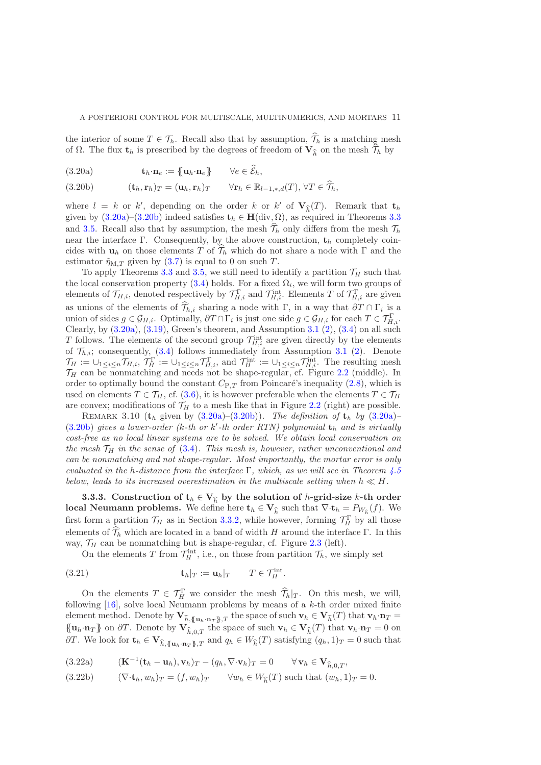the interior of some  $T \in \mathcal{T}_h$ . Recall also that by assumption,  $\hat{\mathcal{T}}_h$  is a matching mesh of  $\Omega$ . The flux  $\mathbf{t}_h$  is prescribed by the degrees of freedom of  $\mathbf{V}_{\widehat{h}}$  on the mesh  $\mathcal{T}_h$  by

<span id="page-10-0"></span>(3.20a)  $\mathbf{t}_h \cdot \mathbf{n}_e := \{ \mathbf{u}_h \cdot \mathbf{n}_e \} \qquad \forall e \in \widehat{\mathcal{E}}_h,$ 

<span id="page-10-1"></span>(3.20b) 
$$
(\mathbf{t}_h, \mathbf{r}_h)_T = (\mathbf{u}_h, \mathbf{r}_h)_T \qquad \forall \mathbf{r}_h \in \mathbb{R}_{l-1,*,d}(T), \forall T \in \mathcal{T}_h,
$$

where  $l = k$  or k', depending on the order k or k' of  $\mathbf{V}_{\widehat{h}}(T)$ . Remark that  $\mathbf{t}_h$ given by  $(3.20a)-(3.20b)$  $(3.20a)-(3.20b)$  indeed satisfies  $t_h \in H(\text{div}, \Omega)$ , as required in Theorems [3.3](#page-7-1) and [3.5.](#page-7-5) Recall also that by assumption, the mesh  $\widehat{\mathcal{T}}_h$  only differs from the mesh  $\mathcal{T}_h$ near the interface Γ. Consequently, by the above construction,  $t_h$  completely coincides with  $\mathbf{u}_h$  on those elements T of  $\widehat{\mathcal{T}}_h$  which do not share a node with Γ and the estimator  $\tilde{\eta}_{M,T}$  given by [\(3.7\)](#page-7-6) is equal to 0 on such T.

To apply Theorems [3.3](#page-7-1) and [3.5,](#page-7-5) we still need to identify a partition  $\mathcal{T}_H$  such that the local conservation property  $(3.4)$  holds. For a fixed  $\Omega_i$ , we will form two groups of elements of  $\mathcal{T}_{H,i}$ , denoted respectively by  $\mathcal{T}_{H,i}^{\Gamma}$  and  $\mathcal{T}_{H,i}^{\text{int}}$ . Elements T of  $\mathcal{T}_{H,i}^{\Gamma}$  are given as unions of the elements of  $\mathcal{T}_{h,i}$  sharing a node with  $\Gamma$ , in a way that  $\partial T \cap \Gamma_i$  is a union of sides  $g \in \mathcal{G}_{H,i}$ . Optimally,  $\partial T \cap \Gamma_i$  is just one side  $g \in \mathcal{G}_{H,i}$  for each  $T \in \mathcal{T}_{H,i}^{\Gamma}$ . Clearly, by  $(3.20a)$ ,  $(3.19)$  $(3.19)$  $(3.19)$ , Green's theorem, and Assumption 3.1  $(2)$ ,  $(3.4)$  on all such T follows. The elements of the second group  $\mathcal{T}_{H,i}^{\text{int}}$  are given directly by the elements of  $\mathcal{T}_{h,i}$ ; consequently, [\(3.4\)](#page-7-2) follows immediately from Assumption [3.1](#page-6-1) [\(2\)](#page-6-8). Denote  $\mathcal{T}_H := \cup_{1 \leq i \leq n} \mathcal{T}_{H,i}^{\Gamma}$ ,  $\mathcal{T}_H^{\Gamma} := \cup_{1 \leq i \leq n} \mathcal{T}_{H,i}^{\Gamma}$ , and  $\mathcal{T}_H^{\text{int}} := \cup_{1 \leq i \leq n} \mathcal{T}_{H,i}^{\text{int}}$ . The resulting mesh  $\mathcal{T}_H$  can be nonmatching and needs not be shape-regular, cf. Figure [2.2](#page-25-0) (middle). In order to optimally bound the constant  $C_{P,T}$  from Poincaré's inequality [\(2.8\)](#page-5-1), which is used on elements  $T \in \mathcal{T}_H$ , cf. [\(3.6\)](#page-7-4), it is however preferable when the elements  $T \in \mathcal{T}_H$ are convex; modifications of  $\mathcal{T}_H$  to a mesh like that in Figure [2.2](#page-25-0) (right) are possible.

REMARK 3.10 ( $t_h$  given by  $(3.20a)$ – $(3.20b)$ ). *The definition of*  $t_h$  *by*  $(3.20a)$ – [\(3.20b\)](#page-10-1) gives a lower-order (k-th or k'-th order RTN) polynomial  $t<sub>h</sub>$  and is virtually *cost-free as no local linear systems are to be solved. We obtain local conservation on the mesh*  $\mathcal{T}_H$  *in the sense of* [\(3.4\)](#page-7-2)*. This mesh is, however, rather unconventional and can be nonmatching and not shape-regular. Most importantly, the mortar error is only evaluated in the* h*-distance from the interface* Γ*, which, as we will see in Theorem [4.5](#page-13-0) below, leads to its increased overestimation in the multiscale setting when*  $h \ll H$ .

<span id="page-10-5"></span>3.3.3. Construction of  $\mathbf{t}_h \in \mathbf{V}_{\widehat{h}}$  by the solution of h-grid-size k-th order **local Neumann problems.** We define here  $\mathbf{t}_h \in \mathbf{V}_{\widehat{h}}$  such that  $\nabla \cdot \mathbf{t}_h = P_{W_{\widehat{h}}}(f)$ . We first form a partition  $\mathcal{T}_H$  as in Section [3.3.2,](#page-9-0) while however, forming  $\mathcal{T}_H^{\Gamma}$  by all those elements of  $\widehat{\mathcal{T}}_h$  which are located in a band of width H around the interface Γ. In this way,  $\mathcal{T}_H$  can be nonmatching but is shape-regular, cf. Figure [2.3](#page-25-1) (left).

<span id="page-10-4"></span>On the elements T from  $\mathcal{T}_{H}^{\text{int}}$ , i.e., on those from partition  $\mathcal{T}_{h}$ , we simply set

(3.21) 
$$
\mathbf{t}_h|_T := \mathbf{u}_h|_T \qquad T \in \mathcal{T}_H^{\text{int}}.
$$

On the elements  $T \in \mathcal{T}_H^{\Gamma}$  we consider the mesh  $\widehat{\mathcal{T}}_h|_{T}$ . On this mesh, we will, following  $[16]$ , solve local Neumann problems by means of a  $k$ -th order mixed finite element method. Denote by  $\mathbf{V}_{\widehat{h}, \{\mathbf{u}_h \cdot \mathbf{n}_T \}, T}$  the space of such  $\mathbf{v}_h \in \mathbf{V}_{\widehat{h}}(T)$  that  $\mathbf{v}_h \cdot \mathbf{n}_T =$  ${{\mathbf u}_h \cdot {\bf n}_T}$  on  $\partial T$ . Denote by  ${\bf V}_{\widehat{h},0,T}$  the space of such  ${\bf v}_h \in {\bf V}_{\widehat{h}}(T)$  that  ${\bf v}_h \cdot {\bf n}_T = 0$  on  $\partial T$ . We look for  $\mathbf{t}_h \in \mathbf{V}_{\widehat{h}, \{\mathbf{u}_h \cdot \mathbf{n}_T\}, T}$  and  $q_h \in W_{\widehat{h}}(T)$  satisfying  $(q_h, 1)_T = 0$  such that

<span id="page-10-2"></span>(3.22a) 
$$
(\mathbf{K}^{-1}(\mathbf{t}_h - \mathbf{u}_h), \mathbf{v}_h)_T - (q_h, \nabla \cdot \mathbf{v}_h)_T = 0 \qquad \forall \mathbf{v}_h \in \mathbf{V}_{\widehat{h},0,T},
$$

<span id="page-10-3"></span>(3.22b) 
$$
(\nabla \cdot \mathbf{t}_h, w_h)_T = (f, w_h)_T \quad \forall w_h \in W_h^{\widehat{}}(T) \text{ such that } (w_h, 1)_T = 0.
$$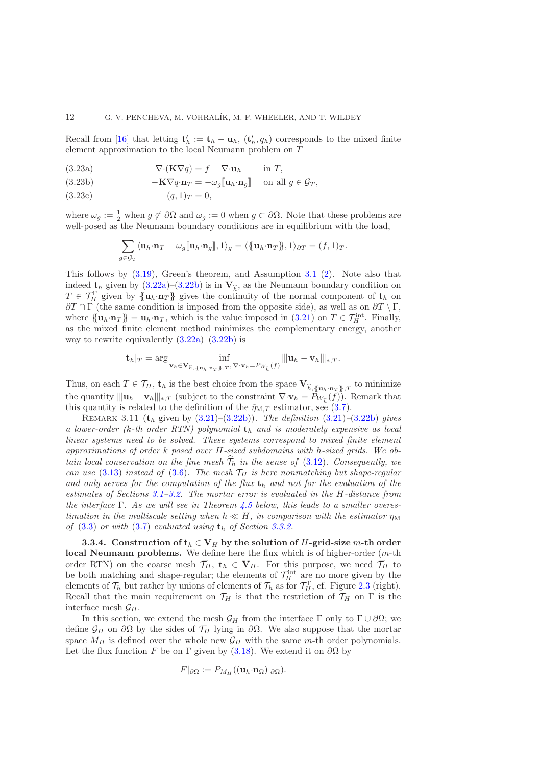Recall from [\[16\]](#page-35-16) that letting  $\mathbf{t}'_h := \mathbf{t}_h - \mathbf{u}_h$ ,  $(\mathbf{t}'_h, q_h)$  corresponds to the mixed finite element approximation to the local Neumann problem on T

- <span id="page-11-1"></span>(3.23a)  $-\nabla \cdot (\mathbf{K} \nabla q) = f - \nabla \cdot \mathbf{u}_h$  in T,
- (3.23b)  $-\mathbf{K}\nabla q \cdot \mathbf{n}_T = -\omega_q [\![\mathbf{u}_h \cdot \mathbf{n}_q]\!]$  on all  $g \in \mathcal{G}_T$ ,
- <span id="page-11-2"></span> $(3.23c)$   $(q, 1)_T = 0,$

where  $\omega_g := \frac{1}{2}$  when  $g \not\subset \partial \Omega$  and  $\omega_g := 0$  when  $g \subset \partial \Omega$ . Note that these problems are well-posed as the Neumann boundary conditions are in equilibrium with the load,

$$
\sum_{g \in \mathcal{G}_T} \langle \mathbf{u}_h \cdot \mathbf{n}_T - \omega_g [\![ \mathbf{u}_h \cdot \mathbf{n}_g]\!], 1 \rangle_g = \langle \{\! \{\! \mathbf{u}_h \cdot \mathbf{n}_T \! \}\! \}, 1 \rangle_{\partial T} = (f, 1)_T.
$$

This follows by [\(3.19\)](#page-9-3), Green's theorem, and Assumption [3.1](#page-6-1) [\(2\)](#page-6-8). Note also that indeed  $\mathbf{t}_h$  given by  $(3.22a)$ – $(3.22b)$  is in  $\mathbf{V}_h$ , as the Neumann boundary condition on  $T \in \mathcal{T}_H^{\Gamma}$  given by  $\{\!\!\{{\bf u}_h\cdot{\bf n}_T\}\!\!\}$  gives the continuity of the normal component of  ${\bf t}_h$  on  $\partial T \cap \Gamma$  (the same condition is imposed from the opposite side), as well as on  $\partial T \setminus \Gamma$ , where  $\{\!\{\mathbf u_h \cdot \mathbf n_T\}\!\} = \mathbf u_h \cdot \mathbf n_T$ , which is the value imposed in  $(3.21)$  on  $T \in \mathcal{T}_H^{\text{int}}$ . Finally, as the mixed finite element method minimizes the complementary energy, another way to rewrite equivalently  $(3.22a)$ – $(3.22b)$  is

$$
\mathbf{t}_h|_T = \arg \inf_{\mathbf{v}_h \in \mathbf{V}_{\widehat{h}, \{\mathbf{u}_h \cdot \mathbf{n}_T\}, T}, \nabla \cdot \mathbf{v}_h = P_{W_{\widehat{h}}}(f)} ||\mathbf{u}_h - \mathbf{v}_h||_{*,T}.
$$

Thus, on each  $T \in \mathcal{T}_H$ ,  $\mathbf{t}_h$  is the best choice from the space  $\mathbf{V}_{\widehat{h}, \{\mathbf{u}_h \cdot \mathbf{n}_T \}, T}$  to minimize the quantity  $\|\mathbf{u}_h - \mathbf{v}_h\|_{*,T}$  (subject to the constraint  $\nabla \cdot \mathbf{v}_h = P_{W_{\hat{h}}}(f)$ ). Remark that this quantity is related to the definition of the  $\tilde{\eta}_{M,T}$  estimator, see [\(3.7\)](#page-7-6).

Remark 3.11 (t<sup>h</sup> given by [\(3.21\)](#page-10-4)–[\(3.22b\)](#page-10-3)). *The definition* [\(3.21\)](#page-10-4)*–*[\(3.22b\)](#page-10-3) *gives a lower-order (*k*-th order RTN) polynomial* t<sup>h</sup> *and is moderately expensive as local linear systems need to be solved. These systems correspond to mixed finite element approximations of order* k *posed over* H*-sized subdomains with* h*-sized grids. We obtain local conservation on the fine mesh*  $\hat{\mathcal{T}}_h$  *in the sense of* [\(3.12\)](#page-8-1)*. Consequently, we can use* [\(3.13\)](#page-8-2) *instead of* [\(3.6\)](#page-7-4). The mesh  $\mathcal{T}_H$  *is here nonmatching but shape-regular* and only serves for the computation of the flux  $t<sub>h</sub>$  and not for the evaluation of the *estimates of Sections [3.1](#page-6-6)[–3.2.](#page-7-7) The mortar error is evaluated in the* H*-distance from the interface* Γ*. As we will see in Theorem [4.5](#page-13-0) below, this leads to a smaller overestimation in the multiscale setting when*  $h \ll H$ *, in comparison with the estimator*  $\eta_M$ *of*  $(3.3)$  *or with*  $(3.7)$  *evaluated using*  $t_h$  *of Section [3.3.2.](#page-9-0)* 

<span id="page-11-0"></span>3.3.4. Construction of  $t_h \in V_H$  by the solution of H-grid-size m-th order local Neumann problems. We define here the flux which is of higher-order  $(m-th)$ order RTN) on the coarse mesh  $\mathcal{T}_H$ ,  $\mathbf{t}_h \in \mathbf{V}_H$ . For this purpose, we need  $\mathcal{T}_H$  to be both matching and shape-regular; the elements of  $\mathcal{T}_H^{\text{int}}$  are no more given by the elements of  $\mathcal{T}_h$  but rather by unions of elements of  $\mathcal{T}_h$  as for  $\mathcal{T}_H^{\Gamma}$ , cf. Figure [2.3](#page-25-1) (right). Recall that the main requirement on  $\mathcal{T}_H$  is that the restriction of  $\mathcal{T}_H$  on  $\Gamma$  is the interface mesh  $\mathcal{G}_H$ .

In this section, we extend the mesh  $\mathcal{G}_H$  from the interface  $\Gamma$  only to  $\Gamma \cup \partial \Omega$ ; we define  $\mathcal{G}_H$  on  $\partial\Omega$  by the sides of  $\mathcal{T}_H$  lying in  $\partial\Omega$ . We also suppose that the mortar space  $M_H$  is defined over the whole new  $\mathcal{G}_H$  with the same m-th order polynomials. Let the flux function F be on  $\Gamma$  given by [\(3.18\)](#page-9-4). We extend it on  $\partial\Omega$  by

$$
F|_{\partial\Omega} := P_{M_H}((\mathbf{u}_h \cdot \mathbf{n}_\Omega)|_{\partial\Omega}).
$$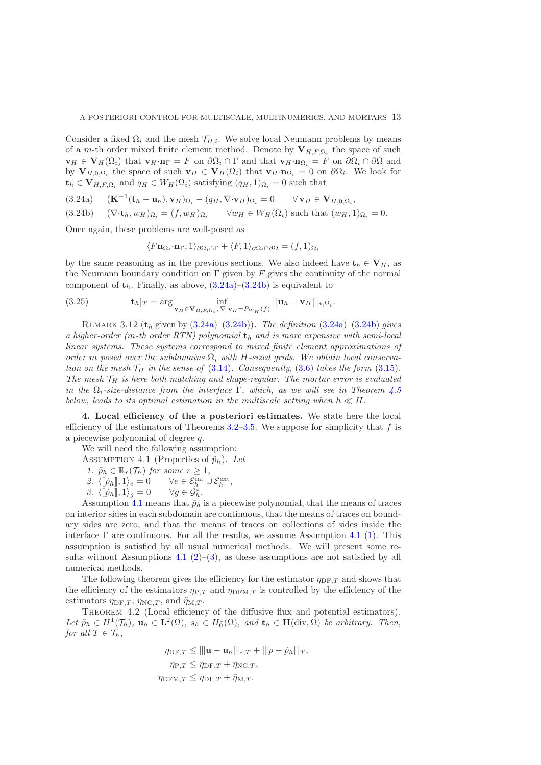Consider a fixed  $\Omega_i$  and the mesh  $\mathcal{T}_{H,i}$ . We solve local Neumann problems by means of a m-th order mixed finite element method. Denote by  $V_{H,F,\Omega_i}$  the space of such  $\mathbf{v}_H \in \mathbf{V}_H(\Omega_i)$  that  $\mathbf{v}_H \cdot \mathbf{n}_\Gamma = F$  on  $\partial \Omega_i \cap \Gamma$  and that  $\mathbf{v}_H \cdot \mathbf{n}_{\Omega_i} = F$  on  $\partial \Omega_i \cap \partial \Omega$  and by  $\mathbf{V}_{H,0,\Omega_i}$  the space of such  $\mathbf{v}_H \in \mathbf{V}_H(\Omega_i)$  that  $\mathbf{v}_H \cdot \mathbf{n}_{\Omega_i} = 0$  on  $\partial \Omega_i$ . We look for  $\mathbf{t}_h \in \mathbf{V}_{H,F,\Omega_i}$  and  $q_H \in W_H(\Omega_i)$  satisfying  $(q_H,1)_{\Omega_i} = 0$  such that

<span id="page-12-2"></span>(3.24a)  $(\mathbf{K}^{-1}(\mathbf{t}_h - \mathbf{u}_h), \mathbf{v}_H)_{\Omega_i} - (q_H, \nabla \cdot \mathbf{v}_H)_{\Omega_i} = 0 \quad \forall \mathbf{v}_H \in \mathbf{V}_{H,0,\Omega_i},$ 

<span id="page-12-3"></span>
$$
(3.24b) \quad (\nabla \cdot \mathbf{t}_h, w_H)_{\Omega_i} = (f, w_H)_{\Omega_i} \quad \forall w_H \in W_H(\Omega_i) \text{ such that } (w_H, 1)_{\Omega_i} = 0.
$$

Once again, these problems are well-posed as

<span id="page-12-8"></span>
$$
\langle F\mathbf{n}_{\Omega_i}\cdot\mathbf{n}_{\Gamma},1\rangle_{\partial\Omega_i\cap\Gamma}+\langle F,1\rangle_{\partial\Omega_i\cap\partial\Omega}=(f,1)_{\Omega_i}
$$

by the same reasoning as in the previous sections. We also indeed have  $\mathbf{t}_h \in \mathbf{V}_H$ , as the Neumann boundary condition on  $\Gamma$  given by F gives the continuity of the normal component of  $t<sub>h</sub>$ . Finally, as above,  $(3.24a)$ – $(3.24b)$  is equivalent to

(3.25) 
$$
\mathbf{t}_h|_T = \arg \inf_{\mathbf{v}_H \in \mathbf{V}_{H,F,\Omega_i}, \nabla \cdot \mathbf{v}_H = P_{W_H}(f)} ||\mathbf{u}_h - \mathbf{v}_H||_{*,\Omega_i}.
$$

Remark 3.12 (t<sup>h</sup> given by [\(3.24a\)](#page-12-2)–[\(3.24b\)](#page-12-3)). *The definition* [\(3.24a\)](#page-12-2)*–*[\(3.24b\)](#page-12-3) *gives a higher-order (*m*-th order RTN) polynomial* t<sup>h</sup> *and is more expensive with semi-local linear systems. These systems correspond to mixed finite element approximations of order* m posed over the subdomains  $\Omega_i$  with H-sized grids. We obtain local conserva*tion on the mesh*  $\mathcal{T}_H$  *in the sense of* [\(3.14\)](#page-8-3)*. Consequently,* [\(3.6\)](#page-7-4) *takes the form* [\(3.15\)](#page-8-4)*. The mesh*  $\mathcal{T}_H$  *is here both matching and shape-regular. The mortar error is evaluated in the*  $\Omega_i$ -size-distance from the interface  $\Gamma$ , which, as we will see in Theorem [4.5](#page-13-0) *below, leads to its optimal estimation in the multiscale setting when*  $h \ll H$ .

<span id="page-12-0"></span>4. Local efficiency of the a posteriori estimates. We state here the local efficiency of the estimators of Theorems  $3.2-3.5$  $3.2-3.5$ . We suppose for simplicity that f is a piecewise polynomial of degree q.

<span id="page-12-1"></span>We will need the following assumption:

<span id="page-12-5"></span><span id="page-12-4"></span>ASSUMPTION 4.1 (Properties of  $\tilde{p}_h$ ). Let

1. 
$$
\tilde{p}_h \in \mathbb{R}_r(\mathcal{T}_h)
$$
 for some  $r \geq 1$ ,

2. 
$$
\langle [\![\tilde{p}_h]\!], 1 \rangle_e = 0
$$
  $\forall e \in \mathcal{E}_h^{\text{int}} \cup \mathcal{E}_h^{\text{ext}},$ 

*3.*  $\langle [\tilde{p}_h], 1 \rangle_g = 0$ h *.*

<span id="page-12-6"></span>Assumption [4.1](#page-12-1) means that  $\tilde{p}_h$  is a piecewise polynomial, that the means of traces on interior sides in each subdomain are continuous, that the means of traces on boundary sides are zero, and that the means of traces on collections of sides inside the interface  $\Gamma$  are continuous. For all the results, we assume Assumption [4.1](#page-12-1) [\(1\)](#page-12-4). This assumption is satisfied by all usual numerical methods. We will present some re-sults without Assumptions [4.1](#page-12-1) [\(2\)](#page-12-5)–[\(3\)](#page-12-6), as these assumptions are not satisfied by all numerical methods.

The following theorem gives the efficiency for the estimator  $\eta_{\text{DF }T}$  and shows that the efficiency of the estimators  $\eta_{P,T}$  and  $\eta_{\text{DFM},T}$  is controlled by the efficiency of the estimators  $\eta_{\text{DF},T}$ ,  $\eta_{\text{NC},T}$ , and  $\tilde{\eta}_{M,T}$ .

<span id="page-12-7"></span>THEOREM 4.2 (Local efficiency of the diffusive flux and potential estimators). Let  $\tilde{p}_h \in H^1(\mathcal{T}_h)$ ,  $\mathbf{u}_h \in \mathbf{L}^2(\Omega)$ ,  $s_h \in H_0^1(\Omega)$ , and  $\mathbf{t}_h \in \mathbf{H}(\text{div}, \Omega)$  be arbitrary. Then, *for all*  $T \in \mathcal{T}_h$ *,* 

$$
\eta_{\text{DF},T} \le ||\mathbf{u} - \mathbf{u}_h|||_{*,T} + ||\mathbf{p} - \tilde{p}_h|||_T,
$$
  
\n
$$
\eta_{\text{P},T} \le \eta_{\text{DF},T} + \eta_{\text{NC},T},
$$
  
\n
$$
\eta_{\text{DFM},T} \le \eta_{\text{DF},T} + \tilde{\eta}_{\text{M},T}.
$$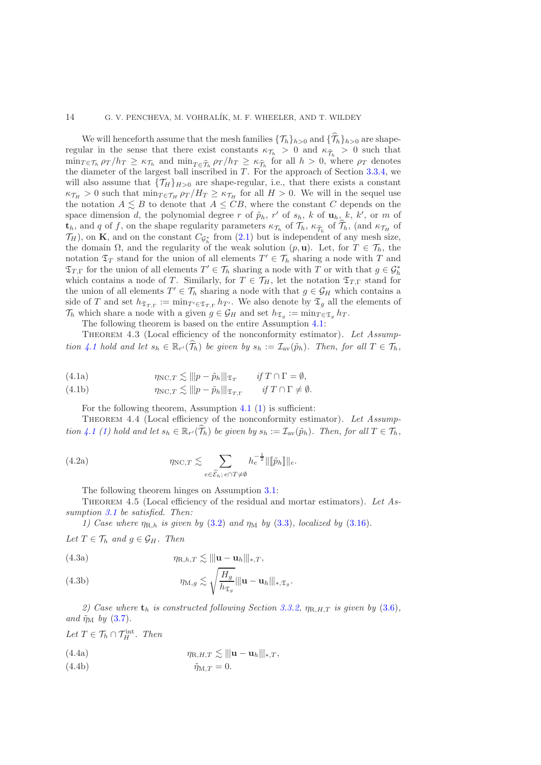### 14 G. V. PENCHEVA, M. VOHRALÍK, M. F. WHEELER, AND T. WILDEY

We will henceforth assume that the mesh families  $\{\mathcal{T}_h\}_{h>0}$  and  $\{\mathcal{T}_h\}_{h>0}$  are shaperegular in the sense that there exist constants  $\kappa_{\mathcal{T}_h} > 0$  and  $\kappa_{\widehat{\mathcal{T}}_h} > 0$  such that  $\min_{T \in \mathcal{T}_h} \rho_T / h_T \geq \kappa_{\mathcal{T}_h}$  and  $\min_{T \in \widehat{\mathcal{T}}_h} \rho_T / h_T \geq \kappa_{\widehat{\mathcal{T}}_h}$  for all  $h > 0$ , where  $\rho_T$  denotes the diameter of the largest ball inscribed in  $T$ . For the approach of Section [3.3.4,](#page-11-0) we will also assume that  $\{\mathcal{T}_H\}_{H>0}$  are shape-regular, i.e., that there exists a constant  $\kappa_{\mathcal{T}_H} > 0$  such that  $\min_{T \in \mathcal{T}_H} \rho_T / H_T \geq \kappa_{\mathcal{T}_H}$  for all  $H > 0$ . We will in the sequel use the notation  $A \leq B$  to denote that  $A \leq CB$ , where the constant C depends on the space dimension d, the polynomial degree r of  $\tilde{p}_h$ , r' of  $s_h$ , k of  $\mathbf{u}_h$ , k, k', or m of  $\mathbf{t}_h$ , and q of f, on the shape regularity parameters  $\kappa_{\mathcal{T}_h}$  of  $\mathcal{T}_h$ ,  $\kappa_{\widehat{\mathcal{T}}_h}$  of  $\mathcal{T}_h$ , (and  $\kappa_{\mathcal{T}_H}$  of  $\mathcal{T}_H$ ), on **K**, and on the constant  $C_{\mathcal{G}_h^*}$  from [\(2.1\)](#page-3-0) but is independent of any mesh size, the domain  $\Omega$ , and the regularity of the weak solution  $(p, \mathbf{u})$ . Let, for  $T \in \mathcal{T}_h$ , the notation  $\mathfrak{T}_T$  stand for the union of all elements  $T' \in \mathcal{T}_h$  sharing a node with T and  $\mathfrak{T}_{T,\Gamma}$  for the union of all elements  $T' \in \mathcal{T}_h$  sharing a node with  $T$  or with that  $g \in \mathcal{G}_h^*$ which contains a node of T. Similarly, for  $T \in \mathcal{T}_H$ , let the notation  $\mathfrak{T}_{T,\Gamma}$  stand for the union of all elements  $T' \in \mathcal{T}_h$  sharing a node with that  $g \in \mathcal{G}_H$  which contains a side of T and set  $h_{\mathfrak{T}_{T,\Gamma}} := \min_{T' \in \mathfrak{T}_{T,\Gamma}} h_{T'}$ . We also denote by  $\mathfrak{T}_g$  all the elements of  $\mathcal{T}_h$  which share a node with a given  $g \in \mathcal{G}_H$  and set  $h_{\mathfrak{T}_g} := \min_{T \in \mathfrak{T}_g} h_T$ .

The following theorem is based on the entire Assumption [4.1:](#page-12-1)

<span id="page-13-1"></span>Theorem 4.3 (Local efficiency of the nonconformity estimator). *Let Assumption* [4.1](#page-12-1) *hold and let*  $s_h \in \mathbb{R}_{r'}(\mathcal{T}_h)$  *be given by*  $s_h := \mathcal{I}_{av}(\tilde{p}_h)$ *. Then, for all*  $T \in \mathcal{T}_h$ *,* 

<span id="page-13-3"></span>(4.1a) 
$$
\eta_{\text{NC},T} \lesssim ||p - \tilde{p}_h||_{\mathfrak{T}_T} \quad \text{if } T \cap \Gamma = \emptyset,
$$

<span id="page-13-4"></span>(4.1b) 
$$
\eta_{\text{NC},T} \lesssim ||p - \tilde{p}_h||_{\mathfrak{T}_{T,\Gamma}} \quad \text{if } T \cap \Gamma \neq \emptyset.
$$

For the following theorem, Assumption [4.1](#page-12-1) [\(1\)](#page-12-4) is sufficient:

<span id="page-13-2"></span>Theorem 4.4 (Local efficiency of the nonconformity estimator). *Let Assumption* [4.1](#page-12-1) [\(1\)](#page-12-4) hold and let  $s_h \in \mathbb{R}_{r'}(\mathcal{T}_h)$  be given by  $s_h := \mathcal{I}_{av}(\tilde{p}_h)$ . Then, for all  $T \in \mathcal{T}_h$ ,

(4.2a) 
$$
\eta_{\text{NC},T} \lesssim \sum_{e \in \widehat{\mathcal{E}}_h; e \cap T \neq \emptyset} h_e^{-\frac{1}{2}} \|\llbracket \widetilde{p}_h \rrbracket \|_e.
$$

The following theorem hinges on Assumption [3.1:](#page-6-1)

<span id="page-13-0"></span>THEOREM 4.5 (Local efficiency of the residual and mortar estimators). Let As*sumption [3.1](#page-6-1) be satisfied. Then:*

*1)* Case where  $\eta_{R,h}$  *is given by* [\(3.2\)](#page-6-4) *and*  $\eta_M$  *by* [\(3.3\)](#page-6-5)*, localized by* [\(3.16\)](#page-9-5)*.* 

*Let*  $T \in \mathcal{T}_h$  *and*  $g \in \mathcal{G}_H$ *. Then* 

<span id="page-13-6"></span><span id="page-13-5"></span>(4.3a)  
\n
$$
\eta_{\mathbf{R},h,T} \lesssim \|\mathbf{u} - \mathbf{u}_h\|_{*,T},
$$
\n
$$
\eta_{\mathbf{M},g} \lesssim \sqrt{\frac{H_g}{h_{\mathfrak{T}_g}}} \|\mathbf{u} - \mathbf{u}_h\|_{*,\mathfrak{T}_g}.
$$

*2)* Case where  $t_h$  *is constructed following Section [3.3.2,](#page-9-0)*  $\eta_{R,H,T}$  *is given by* [\(3.6\)](#page-7-4)*, and*  $\tilde{\eta}_{\text{M}}$  *by* [\(3.7\)](#page-7-6).

Let  $T \in \mathcal{T}_h \cap \mathcal{T}_H^{\text{int}}$ *. Then* 

<span id="page-13-7"></span>(4.4a) 
$$
\eta_{\mathcal{R},H,T} \lesssim |||\mathbf{u} - \mathbf{u}_h|||_{*,T},
$$

<span id="page-13-8"></span>
$$
\tilde{\eta}_{M,T} = 0.
$$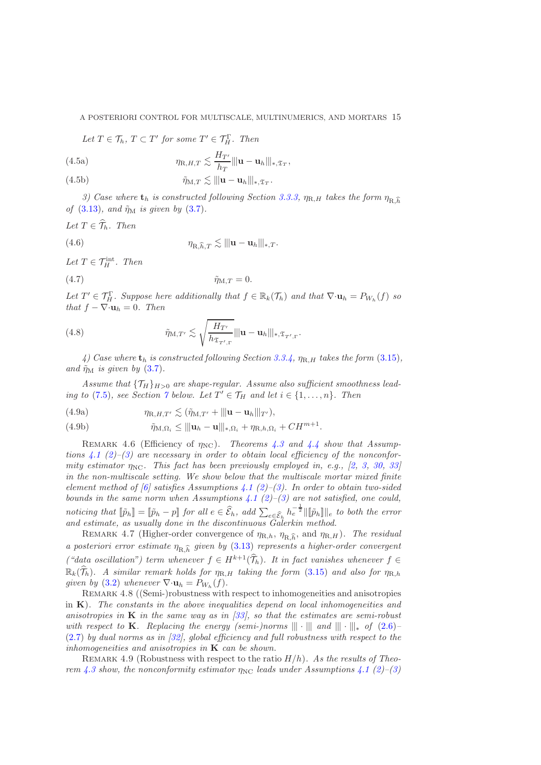### A POSTERIORI CONTROL FOR MULTISCALE, MULTINUMERICS, AND MORTARS 15

Let  $T \in \mathcal{T}_h$ ,  $T \subset T'$  for some  $T' \in \mathcal{T}_H^{\Gamma}$ . Then

<span id="page-14-2"></span>(4.5a) 
$$
\eta_{\mathcal{R},H,T} \lesssim \frac{H_{T'}}{h_T} \|\mathbf{u} - \mathbf{u}_h\|_{*,\mathfrak{T}_T},
$$

<span id="page-14-1"></span>(4.5b) 
$$
\tilde{\eta}_{M,T} \lesssim ||| \mathbf{u} - \mathbf{u}_h |||_{*, \mathfrak{T}_T}.
$$

*3)* Case where  $\mathbf{t}_h$  *is constructed following Section [3.3.3,](#page-10-5)*  $\eta_{R,H}$  *takes the form*  $\eta_{R,\widehat{h}}$ *of* [\(3.13\)](#page-8-2)*, and*  $\tilde{\eta}_M$  *is given by* [\(3.7\)](#page-7-6)*.* 

$$
Let T \in \widehat{\mathcal{T}}_h. Then
$$

<span id="page-14-3"></span>(4.6) 
$$
\eta_{\mathbf{R},\widehat{h},T} \lesssim |||\mathbf{u}-\mathbf{u}_h|||_{*,T}.
$$

Let  $T \in \mathcal{T}_H^{\text{int}}$ . Then

$$
\tilde{\eta}_{M,T} = 0.
$$

Let  $T' \in \mathcal{T}_H^{\Gamma}$ . Suppose here additionally that  $f \in \mathbb{R}_k(\mathcal{T}_h)$  and that  $\nabla \cdot \mathbf{u}_h = P_{W_h}(f)$  so *that*  $f - \nabla \cdot \mathbf{u}_h = 0$ *. Then* 

<span id="page-14-4"></span>(4.8) 
$$
\tilde{\eta}_{M,T'} \lesssim \sqrt{\frac{H_{T'}}{h_{\mathfrak{T}_{T',\Gamma}}} } ||\mathbf{u} - \mathbf{u}_h||_{*,\mathfrak{T}_{T',\Gamma}}.
$$

*4) Case where*  $t_h$  *is constructed following Section* [3.3.4,](#page-11-0)  $\eta_{R,H}$  *takes the form* [\(3.15\)](#page-8-4)*, and*  $\tilde{\eta}_M$  *is given by* [\(3.7\)](#page-7-6).

Assume that  $\{T_H\}_{H>0}$  are shape-regular. Assume also sufficient smoothness lead*ing to* [\(7.5\)](#page-23-1)*, see Section*  $\gamma$  *below. Let*  $T' \in \mathcal{T}_H$  *and let*  $i \in \{1, ..., n\}$ *. Then* 

<span id="page-14-5"></span>(4.9a) 
$$
\eta_{\mathcal{R},H,T'} \lesssim (\tilde{\eta}_{\mathcal{M},T'} + |||\mathbf{u}-\mathbf{u}_h||_{T'}),
$$

<span id="page-14-0"></span>(4.9b) 
$$
\tilde{\eta}_{M,\Omega_i} \leq ||| \mathbf{u}_h - \mathbf{u} |||_{*,\Omega_i} + \eta_{R,h,\Omega_i} + CH^{m+1}.
$$

REMARK 4.6 (Efficiency of  $\eta_{NC}$ ). *Theorems [4.3](#page-13-1) and [4.4](#page-13-2) show that Assumptions* [4.1](#page-12-1) [\(2\)](#page-12-5)–[\(3\)](#page-12-6) are necessary in order to obtain local efficiency of the nonconfor*mity estimator*  $\eta_{\text{NC}}$ *. This fact has been previously employed in, e.g.,* [\[2,](#page-34-10) [3,](#page-34-11) [30,](#page-35-5) [33\]](#page-35-6) *in the non-multiscale setting. We show below that the multiscale mortar mixed finite element method of [\[6\]](#page-34-0) satisfies Assumptions [4.1](#page-12-1) [\(2\)](#page-12-5)–[\(3\)](#page-12-6). In order to obtain two-sided bounds in the same norm when Assumptions [4.1](#page-12-1) [\(2\)](#page-12-5)–[\(3\)](#page-12-6) are not satisfied, one could,*  $\textit{noticing that } \llbracket \tilde{p}_h \rrbracket = \llbracket \tilde{p}_h - p \rrbracket \textit{ for all } e \in \widehat{\mathcal{E}}_h, \textit{ add } \sum_{e \in \widehat{\mathcal{E}}_h} h_e^{-\frac{1}{2}} \llbracket \llbracket \tilde{p}_h \rrbracket \rrbracket_e \textit{ to both the error }$ *and estimate, as usually done in the discontinuous Galerkin method.*

REMARK 4.7 (Higher-order convergence of  $\eta_{R,h}$ ,  $\eta_{R,\hat{h}}$ , and  $\eta_{R,H}$ ). *The residual a posteriori error estimate*  $\eta_{\text{R},\widehat{h}}$  given by [\(3.13\)](#page-8-2) represents a higher-order convergent *("data oscillation") term whenever*  $f \in H^{k+1}(\widehat{\mathcal{T}}_h)$ . It in fact vanishes whenever  $f \in$  $\mathbb{R}_k(\widehat{\mathcal{T}}_h)$ *. A similar remark holds for*  $\eta_{R,H}$  *taking the form* [\(3.15\)](#page-8-4) *and also for*  $\eta_{R,h}$ *given by* [\(3.2\)](#page-6-4) *whenever*  $\nabla \cdot \mathbf{u}_h = P_{W_h}(f)$ .

REMARK 4.8 ((Semi-)robustness with respect to inhomogeneities and anisotropies in K). *The constants in the above inequalities depend on local inhomogeneities and anisotropies in* K *in the same way as in [\[33\]](#page-35-6), so that the estimates are semi-robust with respect to* **K***. Replacing the energy (semi-)norms*  $|||\cdot|||$  *and*  $|||\cdot|||_*$  *of* [\(2.6\)](#page-5-2)– [\(2.7\)](#page-5-3) *by dual norms as in [\[32\]](#page-35-17), global efficiency and full robustness with respect to the inhomogeneities and anisotropies in* K *can be shown.*

<span id="page-14-6"></span>REMARK 4.9 (Robustness with respect to the ratio  $H/h$ ). As the results of Theo*rem* [4.3](#page-13-1) show, the nonconformity estimator  $\eta_{\text{NC}}$  leads under Assumptions [4.1](#page-12-1) [\(2\)](#page-12-5)–[\(3\)](#page-12-6)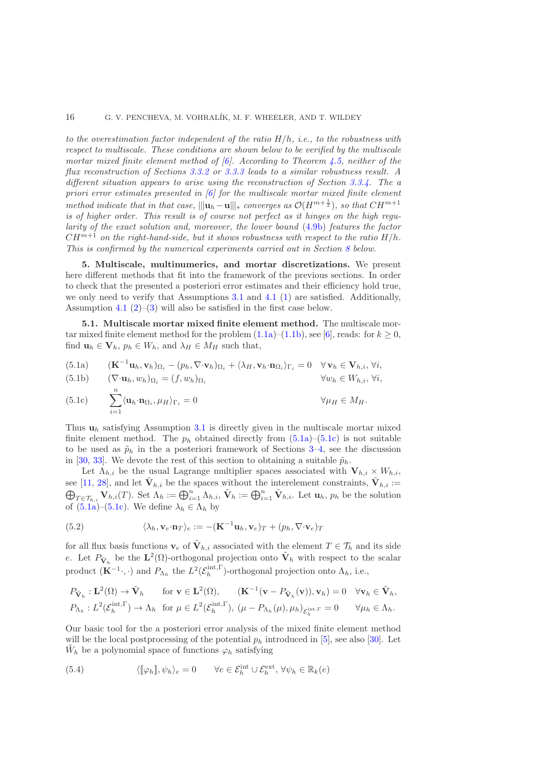*to the overestimation factor independent of the ratio* H/h*, i.e., to the robustness with respect to multiscale. These conditions are shown below to be verified by the multiscale mortar mixed finite element method of [\[6\]](#page-34-0). According to Theorem [4.5,](#page-13-0) neither of the flux reconstruction of Sections [3.3.2](#page-9-0) or [3.3.3](#page-10-5) leads to a similar robustness result. A different situation appears to arise using the reconstruction of Section [3.3.4.](#page-11-0) The a priori error estimates presented in [\[6\]](#page-34-0) for the multiscale mortar mixed finite element method indicate that in that case,*  $\|\|\mathbf{u}_h - \mathbf{u}\|_{*}$  *converges as*  $\mathcal{O}(H^{m+\frac{1}{2}})$ *, so that*  $CH^{m+1}$ *is of higher order. This result is of course not perfect as it hinges on the high regularity of the exact solution and, moreover, the lower bound* [\(4.9b\)](#page-14-0) *features the factor*  $CH^{m+1}$  *on the right-hand-side, but it shows robustness with respect to the ratio*  $H/h$ . *This is confirmed by the numerical experiments carried out in Section [8](#page-23-0) below.*

<span id="page-15-0"></span>5. Multiscale, multinumerics, and mortar discretizations. We present here different methods that fit into the framework of the previous sections. In order to check that the presented a posteriori error estimates and their efficiency hold true, we only need to verify that Assumptions [3.1](#page-6-1) and [4.1](#page-12-1) [\(1\)](#page-12-4) are satisfied. Additionally, Assumption [4.1](#page-12-1)  $(2)$ – $(3)$  will also be satisfied in the first case below.

<span id="page-15-5"></span>5.1. Multiscale mortar mixed finite element method. The multiscale mortar mixed finite element method for the problem  $(1.1a)$ – $(1.1b)$ , see [\[6\]](#page-34-0), reads: for  $k \geq 0$ , find  $\mathbf{u}_h \in \mathbf{V}_h$ ,  $p_h \in W_h$ , and  $\lambda_H \in M_H$  such that,

<span id="page-15-1"></span>(5.1a) 
$$
(\mathbf{K}^{-1}\mathbf{u}_h, \mathbf{v}_h)_{\Omega_i} - (p_h, \nabla \cdot \mathbf{v}_h)_{\Omega_i} + \langle \lambda_H, \mathbf{v}_h \cdot \mathbf{n}_{\Omega_i} \rangle_{\Gamma_i} = 0 \quad \forall \mathbf{v}_h \in \mathbf{V}_{h,i}, \forall i,
$$

(5.1b) 
$$
(\nabla \cdot \mathbf{u}_h, w_h)_{\Omega_i} = (f, w_h)_{\Omega_i} \qquad \forall w_h \in W_{h,i}, \forall i,
$$

<span id="page-15-2"></span>(5.1c) 
$$
\sum_{i=1}^{n} \langle \mathbf{u}_{h} \cdot \mathbf{n}_{\Omega_{i}}, \mu_{H} \rangle_{\Gamma_{i}} = 0 \qquad \forall \mu_{H} \in M_{H}.
$$

Thus  $u_h$  satisfying Assumption [3.1](#page-6-1) is directly given in the multiscale mortar mixed finite element method. The  $p_h$  obtained directly from  $(5.1a)-(5.1c)$  $(5.1a)-(5.1c)$  is not suitable to be used as  $\tilde{p}_h$  in the a posteriori framework of Sections [3–](#page-6-0)[4,](#page-12-0) see the discussion in [\[30,](#page-35-5) [33\]](#page-35-6). We devote the rest of this section to obtaining a suitable  $\tilde{p}_h$ .

Let  $\Lambda_{h,i}$  be the usual Lagrange multiplier spaces associated with  $V_{h,i} \times W_{h,i}$ , see [\[11,](#page-34-7) [28\]](#page-35-12), and let  $\tilde{\mathbf{V}}_{h,i}$  be the spaces without the interelement constraints,  $\tilde{\mathbf{V}}_{h,i}$ see [11, 28], and let  $\mathbf{V}_{h,i}$  be the spaces without the interelement constraints,  $\mathbf{V}_{h,i} := \bigoplus_{T \in \mathcal{T}_{h,i}}^{\infty} \mathbf{V}_{h,i}(T)$ . Set  $\Lambda_h := \bigoplus_{i=1}^n \Lambda_{h,i}$ ,  $\tilde{\mathbf{V}}_h := \bigoplus_{i=1}^n \tilde{\mathbf{V}}_{h,i}$ . Let  $\mathbf{u}_h$ ,  $p_h$  of  $(5.1a)$ – $(5.1c)$ . We define  $\lambda_h \in \Lambda_h$  by

<span id="page-15-3"></span>(5.2) 
$$
\langle \lambda_h, \mathbf{v}_e \cdot \mathbf{n}_T \rangle_e := -(\mathbf{K}^{-1} \mathbf{u}_h, \mathbf{v}_e)_T + (p_h, \nabla \cdot \mathbf{v}_e)_T
$$

for all flux basis functions  $\mathbf{v}_e$  of  $\tilde{\mathbf{V}}_{h,i}$  associated with the element  $T \in \mathcal{T}_h$  and its side e. Let  $P_{\tilde{\mathbf{V}}_h}$  be the  $\mathbf{L}^2(\Omega)$ -orthogonal projection onto  $\tilde{\mathbf{V}}_h$  with respect to the scalar product  $(\mathbf{K}^{-1}\cdot, \cdot)$  and  $P_{\Lambda_h}$  the  $L^2(\mathcal{E}_h^{\text{int}, \Gamma})$ -orthogonal projection onto  $\Lambda_h$ , i.e.,

$$
P_{\tilde{\mathbf{V}}_h}: \mathbf{L}^2(\Omega) \to \tilde{\mathbf{V}}_h \quad \text{for } \mathbf{v} \in \mathbf{L}^2(\Omega), \quad (\mathbf{K}^{-1}(\mathbf{v} - P_{\tilde{\mathbf{V}}_h}(\mathbf{v})), \mathbf{v}_h) = 0 \quad \forall \mathbf{v}_h \in \tilde{\mathbf{V}}_h,
$$
  

$$
P_{\Lambda_h}: L^2(\mathcal{E}_h^{\text{int},\Gamma}) \to \Lambda_h \quad \text{for } \mu \in L^2(\mathcal{E}_h^{\text{int},\Gamma}), \ (\mu - P_{\Lambda_h}(\mu), \mu_h)_{\mathcal{E}_h^{\text{int},\Gamma}} = 0 \quad \forall \mu_h \in \Lambda_h.
$$

Our basic tool for the a posteriori error analysis of the mixed finite element method will be the local postprocessing of the potential  $p_h$  introduced in [\[5\]](#page-34-12), see also [\[30\]](#page-35-5). Let  $\tilde{W}_h$  be a polynomial space of functions  $\varphi_h$  satisfying

<span id="page-15-4"></span>(5.4) 
$$
\langle [\![\varphi_h]\!], \psi_h \rangle_e = 0 \qquad \forall e \in \mathcal{E}_h^{\text{int}} \cup \mathcal{E}_h^{\text{ext}}, \forall \psi_h \in \mathbb{R}_k(e)
$$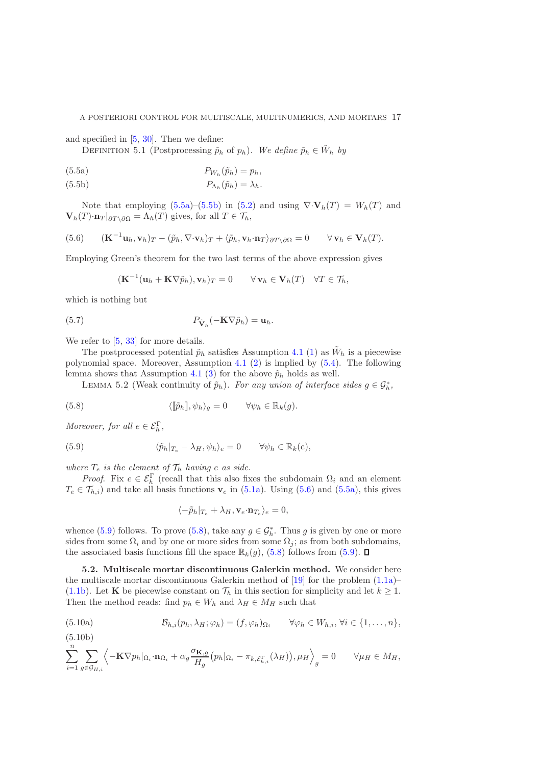### A POSTERIORI CONTROL FOR MULTISCALE, MULTINUMERICS, AND MORTARS 17

and specified in [\[5,](#page-34-12) [30\]](#page-35-5). Then we define:

DEFINITION 5.1 (Postprocessing  $\tilde{p}_h$  of  $p_h$ ). We define  $\tilde{p}_h \in \tilde{W}_h$  by

<span id="page-16-0"></span>
$$
(5.5a) \t\t P_{W_h}(\tilde{p}_h) = p_h,
$$

<span id="page-16-1"></span>(5.5b) 
$$
P_{\Lambda_h}(\tilde{p}_h) = \lambda_h.
$$

Note that employing  $(5.5a)$ – $(5.5b)$  in  $(5.2)$  and using  $\nabla \cdot \mathbf{V}_h(T) = W_h(T)$  and  $\mathbf{V}_h(T) \cdot \mathbf{n}_T |_{\partial T \setminus \partial \Omega} = \Lambda_h(T)$  gives, for all  $T \in \mathcal{T}_h$ ,

<span id="page-16-2"></span>(5.6) 
$$
(\mathbf{K}^{-1}\mathbf{u}_h, \mathbf{v}_h)_T - (\tilde{p}_h, \nabla \cdot \mathbf{v}_h)_T + \langle \tilde{p}_h, \mathbf{v}_h \cdot \mathbf{n}_T \rangle_{\partial T \setminus \partial \Omega} = 0 \qquad \forall \mathbf{v}_h \in \mathbf{V}_h(T).
$$

Employing Green's theorem for the two last terms of the above expression gives

$$
(\mathbf{K}^{-1}(\mathbf{u}_h + \mathbf{K} \nabla \tilde{p}_h), \mathbf{v}_h)_T = 0 \qquad \forall \mathbf{v}_h \in \mathbf{V}_h(T) \quad \forall T \in \mathcal{T}_h,
$$

which is nothing but

(5.7) 
$$
P_{\tilde{\mathbf{V}}_h}(-\mathbf{K}\nabla\tilde{p}_h) = \mathbf{u}_h.
$$

We refer to  $[5, 33]$  $[5, 33]$  for more details.

The postprocessed potential  $\tilde{p}_h$  satisfies Assumption [4.1](#page-12-1) [\(1\)](#page-12-4) as  $\tilde{W}_h$  is a piecewise polynomial space. Moreover, Assumption [4.1](#page-12-1) [\(2\)](#page-12-5) is implied by [\(5.4\)](#page-15-4). The following lemma shows that Assumption [4.1](#page-12-1) [\(3\)](#page-12-6) for the above  $\tilde{p}_h$  holds as well.

<span id="page-16-4"></span>LEMMA 5.2 (Weak continuity of  $\tilde{p}_h$ ). *For any union of interface sides*  $g \in \mathcal{G}_h^*$ ,

(5.8) 
$$
\langle [\tilde{p}_h], \psi_h \rangle_g = 0 \qquad \forall \psi_h \in \mathbb{R}_k(g).
$$

*Moreover, for all*  $e \in \mathcal{E}_h^{\Gamma}$ ,

(5.9) 
$$
\langle \tilde{p}_h |_{T_e} - \lambda_H, \psi_h \rangle_e = 0 \qquad \forall \psi_h \in \mathbb{R}_k(e),
$$

*where*  $T_e$  *is the element of*  $\mathcal{T}_h$  *having e as side.* 

*Proof.* Fix  $e \in \mathcal{E}_h^{\Gamma}$  (recall that this also fixes the subdomain  $\Omega_i$  and an element  $T_e \in \mathcal{T}_{h,i}$  and take all basis functions  $\mathbf{v}_e$  in [\(5.1a\)](#page-15-1). Using [\(5.6\)](#page-16-2) and [\(5.5a\)](#page-16-0), this gives

<span id="page-16-3"></span>
$$
\langle -\tilde{p}_h|_{T_e} + \lambda_H, \mathbf{v}_e \cdot \mathbf{n}_{T_e} \rangle_e = 0,
$$

whence [\(5.9\)](#page-16-3) follows. To prove [\(5.8\)](#page-16-4), take any  $g \in \mathcal{G}_h^*$ . Thus g is given by one or more sides from some  $\Omega_i$  and by one or more sides from some  $\Omega_i$ ; as from both subdomains, the associated basis functions fill the space  $\mathbb{R}_k(q)$ , [\(5.8\)](#page-16-4) follows from [\(5.9\)](#page-16-3).  $\Box$ 

5.2. Multiscale mortar discontinuous Galerkin method. We consider here the multiscale mortar discontinuous Galerkin method of [\[19\]](#page-35-0) for the problem [\(1.1a\)](#page-0-0)– [\(1.1b\)](#page-0-1). Let **K** be piecewise constant on  $\mathcal{T}_h$  in this section for simplicity and let  $k \geq 1$ . Then the method reads: find  $p_h \in W_h$  and  $\lambda_H \in M_H$  such that

(5.10a) 
$$
\mathcal{B}_{h,i}(p_h,\lambda_H;\varphi_h)=(f,\varphi_h)_{\Omega_i} \qquad \forall \varphi_h \in W_{h,i}, \forall i \in \{1,\ldots,n\},
$$

<span id="page-16-5"></span>
$$
(5.10b)
$$

$$
\sum_{i=1}^n \sum_{g \in \mathcal{G}_{H,i}} \left\langle -\mathbf{K} \nabla p_h |_{\Omega_i} \cdot \mathbf{n}_{\Omega_i} + \alpha_g \frac{\sigma_{\mathbf{K},g}}{H_g} (p_h |_{\Omega_i} - \pi_{k,\mathcal{E}_{h,i}^{\Gamma}}(\lambda_H)), \mu_H \right\rangle_g = 0 \qquad \forall \mu_H \in M_H,
$$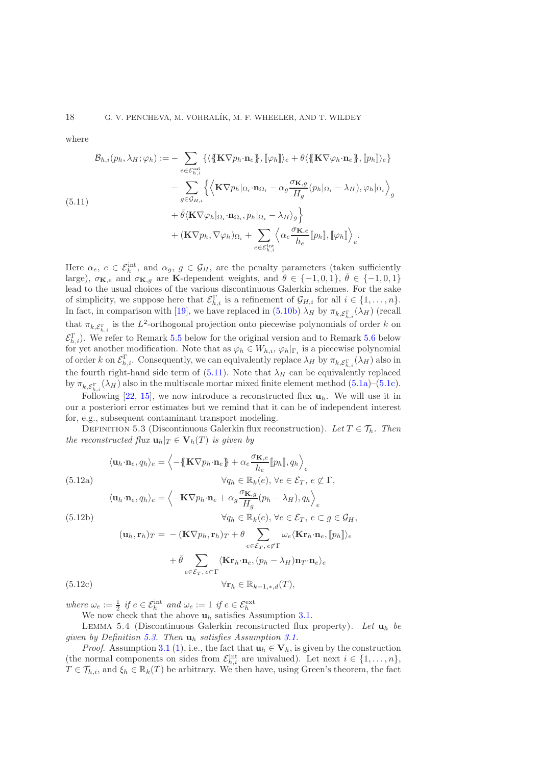where

<span id="page-17-0"></span>
$$
\mathcal{B}_{h,i}(p_h, \lambda_H; \varphi_h) := -\sum_{e \in \mathcal{E}_{h,i}^{\text{int}}} \{ \langle \{\mathbf{K} \nabla p_h \cdot \mathbf{n}_e \}, [\varphi_h] \rangle_e + \theta \langle \{\mathbf{K} \nabla \varphi_h \cdot \mathbf{n}_e \}, [p_h] \rangle_e \} - \sum_{g \in \mathcal{G}_{H,i}} \{ \langle \mathbf{K} \nabla p_h | \Omega_i \cdot \mathbf{n}_{\Omega_i} - \alpha_g \frac{\sigma_{\mathbf{K},g}}{H_g} (p_h | \Omega_i - \lambda_H), \varphi_h | \Omega_i \rangle_g \} + \bar{\theta} \langle \mathbf{K} \nabla \varphi_h | \Omega_i \cdot \mathbf{n}_{\Omega_i}, p_h | \Omega_i - \lambda_H \rangle_g \} + (\mathbf{K} \nabla p_h, \nabla \varphi_h) \Omega_i + \sum_{e \in \mathcal{E}_{h,i}^{\text{int}}} \langle \alpha_e \frac{\sigma_{\mathbf{K},e}}{h_e} [p_h], [\varphi_h] \rangle_e.
$$

Here  $\alpha_e, e \in \mathcal{E}_h^{\text{int}},$  and  $\alpha_g, g \in \mathcal{G}_H$ , are the penalty parameters (taken sufficiently large),  $\sigma_{\mathbf{K},e}$  and  $\sigma_{\mathbf{K},g}$  are K-dependent weights, and  $\theta \in \{-1,0,1\}$ ,  $\bar{\theta} \in \{-1,0,1\}$ lead to the usual choices of the various discontinuous Galerkin schemes. For the sake of simplicity, we suppose here that  $\mathcal{E}_{h,i}^{\Gamma}$  is a refinement of  $\mathcal{G}_{H,i}$  for all  $i \in \{1, \ldots, n\}$ . In fact, in comparison with [\[19\]](#page-35-0), we have replaced in  $(5.10b) \lambda_H$  by  $\pi_{k,\mathcal{E}_{h,i}^{\Gamma}}(\lambda_H)$  (recall that  $\pi_{k,\mathcal{E}_{h,i}^{\Gamma}}$  is the  $L^2$ -orthogonal projection onto piecewise polynomials of order k on  $\mathcal{E}_{h,i}^{\Gamma}$ ). We refer to Remark [5.5](#page-18-0) below for the original version and to Remark [5.6](#page-18-1) below for yet another modification. Note that as  $\varphi_h \in W_{h,i}, \varphi_h|_{\Gamma_i}$  is a piecewise polynomial of order k on  $\mathcal{E}_{h,i}^{\Gamma}$ . Consequently, we can equivalently replace  $\lambda_H$  by  $\pi_{k,\mathcal{E}_{h,i}^{\Gamma}}(\lambda_H)$  also in the fourth right-hand side term of [\(5.11\)](#page-17-0). Note that  $\lambda_H$  can be equivalently replaced by  $\pi_{k,\mathcal{E}_{h,i}^{\Gamma}}(\lambda_H)$  also in the multiscale mortar mixed finite element method [\(5.1a\)](#page-15-1)–[\(5.1c\)](#page-15-2).

Following [\[22,](#page-35-18) [15\]](#page-35-19), we now introduce a reconstructed flux  $\mathbf{u}_h$ . We will use it in our a posteriori error estimates but we remind that it can be of independent interest for, e.g., subsequent contaminant transport modeling.

<span id="page-17-1"></span>DEFINITION 5.3 (Discontinuous Galerkin flux reconstruction). Let  $T \in \mathcal{T}_h$ . Then *the reconstructed flux*  $\mathbf{u}_h|_T \in \mathbf{V}_h(T)$  *is given by* 

<span id="page-17-2"></span>
$$
\langle \mathbf{u}_h \cdot \mathbf{n}_e, q_h \rangle_e = \left\langle -\{\mathbf{K} \nabla p_h \cdot \mathbf{n}_e\} + \alpha_e \frac{\sigma_{\mathbf{K},e}}{h_e} [p_h], q_h \right\rangle_e
$$
\n(5.12a)  
\n
$$
\forall q_h \in \mathbb{R}_k(e), \forall e \in \mathcal{E}_T, e \notin \Gamma,
$$
\n
$$
\langle \mathbf{u}_h \cdot \mathbf{n}_e, q_h \rangle_e = \left\langle -\mathbf{K} \nabla p_h \cdot \mathbf{n}_e + \alpha_g \frac{\sigma_{\mathbf{K},g}}{H_g} (p_h - \lambda_H), q_h \right\rangle_e
$$
\n(5.12b)  
\n
$$
\forall q_h \in \mathbb{R}_k(e), \forall e \in \mathcal{E}_T, e \subset g \in \mathcal{G}_H,
$$
\n
$$
(\mathbf{u}_h, \mathbf{r}_h)_T = -(\mathbf{K} \nabla p_h, \mathbf{r}_h)_T + \theta \sum_{e \in \mathcal{E}_T, e \notin \Gamma} \omega_e \langle \mathbf{K} \mathbf{r}_h \cdot \mathbf{n}_e, [p_h] \rangle_e
$$
\n
$$
+ \bar{\theta} \sum_{e \in \mathcal{E}_T, e \subset \Gamma} \langle \mathbf{K} \mathbf{r}_h \cdot \mathbf{n}_e, (p_h - \lambda_H) \mathbf{n}_T \cdot \mathbf{n}_e \rangle_e
$$
\n(5.12c)  
\n
$$
\forall \mathbf{r}_h \in \mathbb{R}_{k-1,*,d}(T),
$$

*where*  $\omega_e := \frac{1}{2}$  *if*  $e \in \mathcal{E}_h^{\text{int}}$  *and*  $\omega_e := 1$  *if*  $e \in \mathcal{E}_h^{\text{ext}}$ <br>We now check that the above  $\mathbf{u}_h$  satisfies Assumption [3.1.](#page-6-1)

Lemma 5.4 (Discontinuous Galerkin reconstructed flux property). *Let* u<sup>h</sup> *be given by Definition [5.3.](#page-17-1) Then* u<sup>h</sup> *satisfies Assumption [3.1.](#page-6-1)*

*Proof.* Assumption [3.1](#page-6-1) [\(1\)](#page-6-9), i.e., the fact that  $\mathbf{u}_h \in \mathbf{V}_h$ , is given by the construction (the normal components on sides from  $\mathcal{E}_{h,i}^{\text{int}}$  are univalued). Let next  $i \in \{1, \ldots, n\}$ ,  $T \in \mathcal{T}_{h,i}$ , and  $\xi_h \in \mathbb{R}_k(T)$  be arbitrary. We then have, using Green's theorem, the fact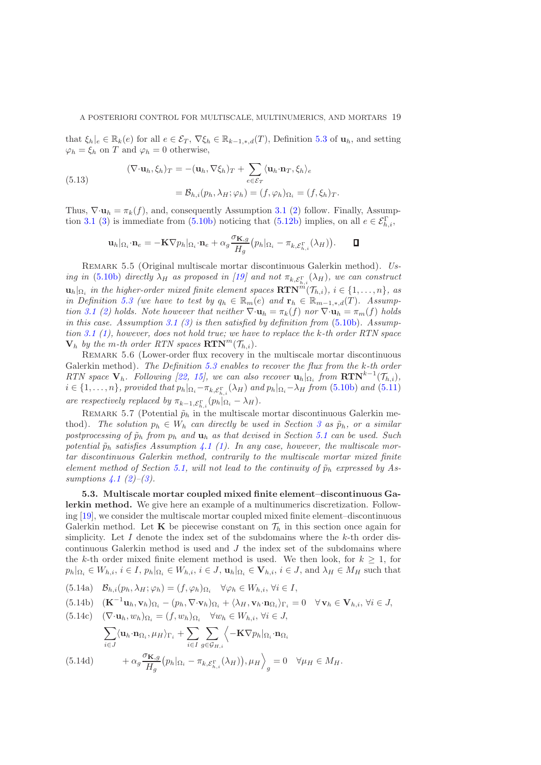that  $\xi_h|_e \in \mathbb{R}_k(e)$  for all  $e \in \mathcal{E}_T$ ,  $\nabla \xi_h \in \mathbb{R}_{k-1,*,d}(T)$ , Definition [5.3](#page-17-1) of  $\mathbf{u}_h$ , and setting  $\varphi_h = \xi_h$  on T and  $\varphi_h = 0$  otherwise,

(5.13)  
\n
$$
(\nabla \cdot \mathbf{u}_h, \xi_h)_T = -(\mathbf{u}_h, \nabla \xi_h)_T + \sum_{e \in \mathcal{E}_T} \langle \mathbf{u}_h \cdot \mathbf{n}_T, \xi_h \rangle_e
$$
\n
$$
= \mathcal{B}_{h,i}(p_h, \lambda_H; \varphi_h) = (f, \varphi_h)_{\Omega_i} = (f, \xi_h)_T.
$$

Thus,  $\nabla \cdot \mathbf{u}_h = \pi_k(f)$ , and, consequently Assumption [3.1](#page-6-1) [\(2\)](#page-6-8) follow. Finally, Assump-tion [3.1](#page-6-1) [\(3\)](#page-6-7) is immediate from [\(5.10b\)](#page-16-5) noticing that [\(5.12b\)](#page-17-2) implies, on all  $e \in \mathcal{E}_{h,i}^{\Gamma}$ ,

$$
\mathbf{u}_{h} |_{\Omega_{i}} \cdot \mathbf{n}_{e} = -\mathbf{K} \nabla p_{h} |_{\Omega_{i}} \cdot \mathbf{n}_{e} + \alpha_{g} \frac{\sigma_{\mathbf{K},g}}{H_{g}} (p_{h} |_{\Omega_{i}} - \pi_{k,\mathcal{E}_{h,i}^{\Gamma}}(\lambda_{H})) \,. \qquad \blacksquare
$$

<span id="page-18-0"></span>Remark 5.5 (Original multiscale mortar discontinuous Galerkin method). *Using in* [\(5.10b\)](#page-16-5) *directly*  $\lambda_H$  *as proposed in* [\[19\]](#page-35-0) *and not*  $\pi_{k,\mathcal{E}_{h,i}^{\Gamma}}(\lambda_H)$ *, we can construct*  $\mathbf{u}_h|_{\Omega_i}$  in the higher-order mixed finite element spaces  $\mathbf{RTN}^m(\mathcal{T}_{h,i}), i \in \{1, \ldots, n\},$  as *in Definition* [5.3](#page-17-1) *(we have to test by*  $q_h \in \mathbb{R}_m(e)$  *and*  $\mathbf{r}_h \in \mathbb{R}_{m-1,*,d}(T)$ *. Assumption* [3.1](#page-6-1) [\(2\)](#page-6-8) *holds.* Note however that neither  $\nabla \cdot \mathbf{u}_h = \pi_k(f)$  *nor*  $\nabla \cdot \mathbf{u}_h = \pi_m(f)$  *holds in this case. Assumption [3.1](#page-6-1) [\(3\)](#page-6-7) is then satisfied by definition from* [\(5.10b\)](#page-16-5)*. Assumption [3.1](#page-6-1) [\(1\)](#page-6-9), however, does not hold true; we have to replace the* k*-th order RTN space*  $V_h$  *by the m-th order RTN spaces*  $\mathbf{RTN}^m(\mathcal{T}_{h,i})$ .

<span id="page-18-1"></span>Remark 5.6 (Lower-order flux recovery in the multiscale mortar discontinuous Galerkin method). *The Definition [5.3](#page-17-1) enables to recover the flux from the* k*-th order RTN* space  $V_h$ *. Following* [\[22,](#page-35-18) [15\]](#page-35-19), we can also recover  $u_h|_{\Omega_i}$  from  $RTN^{k-1}(\mathcal{T}_{h,i})$ ,  $i \in \{1, \ldots, n\}$ , provided that  $p_h|_{\Omega_i} - \pi_{k,\mathcal{E}_{h,i}^{\Gamma}}(\lambda_H)$  and  $p_h|_{\Omega_i} - \lambda_H$  from [\(5.10b\)](#page-16-5) and [\(5.11\)](#page-17-0) *are respectively replaced by*  $\pi_{k-1,\mathcal{E}_{h,i}^{\Gamma}}(p_h|_{\Omega_i} - \lambda_H)$ .

REMARK 5.7 (Potential  $\tilde{p}_h$  in the multiscale mortar discontinuous Galerkin method). *The solution*  $p_h \in W_h$  *can directly be used in Section [3](#page-6-0) as*  $\tilde{p}_h$ *, or a similar* postprocessing of  $\tilde{p}_h$  *from*  $p_h$  *and*  $\mathbf{u}_h$  *as that devised in Section* [5.1](#page-15-5) *can be used. Such* potential  $\tilde{p}_h$  satisfies Assumption [4.1](#page-12-1) [\(1\)](#page-12-4). In any case, however, the multiscale mor*tar discontinuous Galerkin method, contrarily to the multiscale mortar mixed finite element method of Section [5.1,](#page-15-5) will not lead to the continuity of*  $\tilde{p}_h$  *expressed by Assumptions [4.1](#page-12-1) [\(2\)](#page-12-5)–[\(3\)](#page-12-6).*

5.3. Multiscale mortar coupled mixed finite element–discontinuous Galerkin method. We give here an example of a multinumerics discretization. Following [\[19\]](#page-35-0), we consider the multiscale mortar coupled mixed finite element–discontinuous Galerkin method. Let **K** be piecewise constant on  $\mathcal{T}_h$  in this section once again for simplicity. Let I denote the index set of the subdomains where the  $k$ -th order discontinuous Galerkin method is used and  $J$  the index set of the subdomains where the k-th order mixed finite element method is used. We then look, for  $k \geq 1$ , for  $p_h|_{\Omega_i} \in W_{h,i}, i \in I, p_h|_{\Omega_i} \in W_{h,i}, i \in J, \mathbf{u}_h|_{\Omega_i} \in \mathbf{V}_{h,i}, i \in J, \text{and } \lambda_H \in M_H \text{ such that }$ 

<span id="page-18-2"></span> $(B.14a) \quad \mathcal{B}_{h,i}(p_h, \lambda_H; \varphi_h) = (f, \varphi_h)_{\Omega_i} \quad \forall \varphi_h \in W_{h,i}, \forall i \in I,$ 

$$
(5.14b) \quad (\mathbf{K}^{-1}\mathbf{u}_h, \mathbf{v}_h)_{\Omega_i} - (p_h, \nabla \cdot \mathbf{v}_h)_{\Omega_i} + \langle \lambda_H, \mathbf{v}_h \cdot \mathbf{n}_{\Omega_i} \rangle_{\Gamma_i} = 0 \quad \forall \mathbf{v}_h \in \mathbf{V}_{h,i}, \forall i \in J,
$$

<span id="page-18-3"></span>(5.14c) 
$$
(\nabla \cdot \mathbf{u}_h, w_h)_{\Omega_i} = (f, w_h)_{\Omega_i} \quad \forall w_h \in W_{h,i}, \forall i \in J,
$$

$$
\sum_{i \in J} \langle \mathbf{u}_h \cdot \mathbf{n}_{\Omega_i}, \mu_H \rangle_{\Gamma_i} + \sum_{i \in I} \sum_{g \in \mathcal{G}_{H,i}} \langle -\mathbf{K} \nabla p_h |_{\Omega_i} \cdot \mathbf{n}_{\Omega_i}
$$

$$
(5.14d) \qquad + \alpha_g \frac{\sigma_{\mathbf{K},g}}{H_g} (p_h |_{\Omega_i} - \pi_{k,\mathcal{E}_{h,i}^{\Gamma}}(\lambda_H)), \mu_H \rangle_g = 0 \quad \forall \mu_H \in M_H.
$$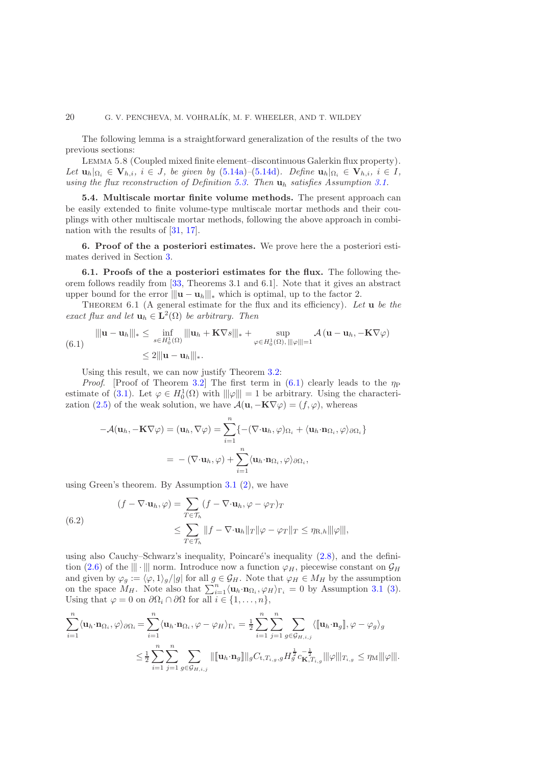The following lemma is a straightforward generalization of the results of the two previous sections:

Lemma 5.8 (Coupled mixed finite element–discontinuous Galerkin flux property). *Let*  $\mathbf{u}_h|_{\Omega_i} \in \mathbf{V}_{h,i}, i \in J$ , be given by  $(5.14a)$ – $(5.14d)$ *. Define*  $\mathbf{u}_h|_{\Omega_i} \in \mathbf{V}_{h,i}, i \in I$ , *using the flux reconstruction of Definition [5.3.](#page-17-1) Then* u<sup>h</sup> *satisfies Assumption [3.1.](#page-6-1)*

5.4. Multiscale mortar finite volume methods. The present approach can be easily extended to finite volume-type multiscale mortar methods and their couplings with other multiscale mortar methods, following the above approach in combination with the results of [\[31,](#page-35-15) [17\]](#page-35-7).

<span id="page-19-0"></span>6. Proof of the a posteriori estimates. We prove here the a posteriori estimates derived in Section [3.](#page-6-0)

6.1. Proofs of the a posteriori estimates for the flux. The following theorem follows readily from [\[33,](#page-35-6) Theorems 3.1 and 6.1]. Note that it gives an abstract upper bound for the error  $||u - u_h||_{*}$  which is optimal, up to the factor 2.

<span id="page-19-2"></span>Theorem 6.1 (A general estimate for the flux and its efficiency). *Let* u *be the exact flux and let*  $\mathbf{u}_h \in \mathbf{L}^2(\Omega)$  *be arbitrary. Then* 

<span id="page-19-1"></span>
$$
\|\mathbf{u} - \mathbf{u}_h\|_{*} \leq \inf_{s \in H_0^1(\Omega)} \|\mathbf{u}_h + \mathbf{K} \nabla s\|_{*} + \sup_{\varphi \in H_0^1(\Omega), \|\|\varphi\|=1} \mathcal{A}(\mathbf{u} - \mathbf{u}_h, -\mathbf{K} \nabla \varphi)
$$
  
\$\leq 2\|\mathbf{u} - \mathbf{u}\_h\|\_{\*}\$.

Using this result, we can now justify Theorem [3.2:](#page-6-2)

*Proof.* [Proof of Theorem [3.2\]](#page-6-2) The first term in  $(6.1)$  clearly leads to the  $\eta_P$ estimate of [\(3.1\)](#page-6-3). Let  $\varphi \in H_0^1(\Omega)$  with  $\|\varphi\| = 1$  be arbitrary. Using the characteri-zation [\(2.5\)](#page-5-4) of the weak solution, we have  $\mathcal{A}(\mathbf{u}, -\mathbf{K}\nabla \varphi) = (f, \varphi)$ , whereas

$$
-\mathcal{A}(\mathbf{u}_h, -\mathbf{K}\nabla\varphi) = (\mathbf{u}_h, \nabla\varphi) = \sum_{i=1}^n \{ -(\nabla \cdot \mathbf{u}_h, \varphi)_{\Omega_i} + \langle \mathbf{u}_h \cdot \mathbf{n}_{\Omega_i}, \varphi \rangle_{\partial \Omega_i} \}
$$
  
= -(\nabla \cdot \mathbf{u}\_h, \varphi) + \sum\_{i=1}^n \langle \mathbf{u}\_h \cdot \mathbf{n}\_{\Omega\_i}, \varphi \rangle\_{\partial \Omega\_i},

using Green's theorem. By Assumption [3.1](#page-6-1) [\(2\)](#page-6-8), we have

<span id="page-19-3"></span>(6.2)  
\n
$$
(f - \nabla \cdot \mathbf{u}_h, \varphi) = \sum_{T \in \mathcal{T}_h} (f - \nabla \cdot \mathbf{u}_h, \varphi - \varphi_T)_T
$$
\n
$$
\leq \sum_{T \in \mathcal{T}_h} ||f - \nabla \cdot \mathbf{u}_h||_T ||\varphi - \varphi_T ||_T \leq \eta_{\text{R},h} ||\varphi||,
$$

using also Cauchy–Schwarz's inequality, Poincaré's inequality  $(2.8)$ , and the defini-tion [\(2.6\)](#page-5-2) of the  $\|\cdot\|$  norm. Introduce now a function  $\varphi_H$ , piecewise constant on  $\mathcal{G}_H$ and given by  $\varphi_g := \langle \varphi, 1 \rangle_g / |g|$  for all  $g \in \mathcal{G}_H$ . Note that  $\varphi_H \in M_H$  by the assumption on the space  $M_H$ . Note also that  $\sum_{i=1}^n \langle \mathbf{u}_h \cdot \mathbf{n}_{\Omega_i}, \varphi_H \rangle_{\Gamma_i} = 0$  by Assumption [3.1](#page-6-1) [\(3\)](#page-6-7). Using that  $\varphi = 0$  on  $\partial \Omega_i \cap \partial \Omega$  for all  $i \in \{1, ..., n\},$ 

$$
\sum_{i=1}^{n} \langle \mathbf{u}_{h} \cdot \mathbf{n}_{\Omega_{i}}, \varphi \rangle_{\partial \Omega_{i}} = \sum_{i=1}^{n} \langle \mathbf{u}_{h} \cdot \mathbf{n}_{\Omega_{i}}, \varphi - \varphi_{H} \rangle_{\Gamma_{i}} = \frac{1}{2} \sum_{i=1}^{n} \sum_{j=1}^{n} \sum_{g \in \mathcal{G}_{H,i,j}} \langle [\![ \mathbf{u}_{h} \cdot \mathbf{n}_{g} ]\!], \varphi - \varphi_{g} \rangle_{g}
$$
  

$$
\leq \frac{1}{2} \sum_{i=1}^{n} \sum_{j=1}^{n} \sum_{g \in \mathcal{G}_{H,i,j}} ||[\![ \mathbf{u}_{h} \cdot \mathbf{n}_{g} ]\!]]_{g} C_{\mathbf{t}, T_{i,g}, g} H_{g}^{\frac{1}{2}} c_{\mathbf{K}, T_{i,g}}^{-\frac{1}{2}} ||\! \varphi \Vert |_{T_{i,g}} \leq \eta_{\mathbf{M}} |||\varphi|||.
$$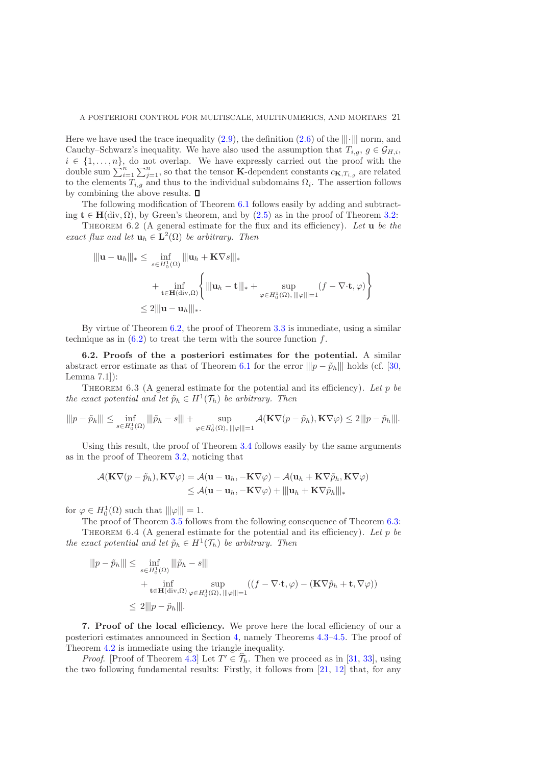Here we have used the trace inequality [\(2.9\)](#page-5-0), the definition [\(2.6\)](#page-5-2) of the  $\|\cdot\|$  norm, and Cauchy–Schwarz's inequality. We have also used the assumption that  $T_{i,q}$ ,  $g \in \mathcal{G}_{H,i}$ ,  $i \in \{1, \ldots, n\}$ , do not overlap. We have expressly carried out the proof with the double sum  $\sum_{i=1}^n \sum_{j=1}^n$ , so that the tensor **K**-dependent constants  $c_{\mathbf{K},T_{i,g}}$  are related to the elements  $T_{i,g}$  and thus to the individual subdomains  $\Omega_i$ . The assertion follows by combining the above results.  $\square$ 

The following modification of Theorem [6.1](#page-19-2) follows easily by adding and subtracting  $t \in H(\text{div}, \Omega)$ , by Green's theorem, and by  $(2.5)$  as in the proof of Theorem [3.2:](#page-6-2)

<span id="page-20-1"></span>Theorem 6.2 (A general estimate for the flux and its efficiency). *Let* u *be the exact flux and let*  $\mathbf{u}_h \in \mathbf{L}^2(\Omega)$  *be arbitrary. Then* 

$$
\|\mathbf{u} - \mathbf{u}_h\|_{*} \leq \inf_{s \in H_0^1(\Omega)} \|\mathbf{u}_h + \mathbf{K} \nabla s\|_{*}
$$
  
+ 
$$
\inf_{\mathbf{t} \in \mathbf{H}(\text{div}, \Omega)} \left\{ \|\mathbf{u}_h - \mathbf{t}\|_{*} + \sup_{\varphi \in H_0^1(\Omega), \|\|\varphi\|\|=1} (f - \nabla \cdot \mathbf{t}, \varphi) \right\}
$$
  

$$
\leq 2 \|\mathbf{u} - \mathbf{u}_h\|_{*}.
$$

By virtue of Theorem [6.2,](#page-20-1) the proof of Theorem [3.3](#page-7-1) is immediate, using a similar technique as in  $(6.2)$  to treat the term with the source function f.

6.2. Proofs of the a posteriori estimates for the potential. A similar abstract error estimate as that of Theorem [6.1](#page-19-2) for the error  $||p - \tilde{p}_h||$  holds (cf. [\[30,](#page-35-5) Lemma 7.1]):

<span id="page-20-2"></span>Theorem 6.3 (A general estimate for the potential and its efficiency). *Let* p *be the exact potential and let*  $\tilde{p}_h \in H^1(\mathcal{T}_h)$  *be arbitrary. Then* 

$$
\|\|\boldsymbol{p}-\tilde{\boldsymbol{p}}_h\|\| \leq \inf_{s\in H_0^1(\Omega)} \|\|\tilde{\boldsymbol{p}}_h - s\|\| + \sup_{\varphi\in H_0^1(\Omega), \|\|\varphi\|=1} \mathcal{A}(\mathbf{K} \nabla (\boldsymbol{p}-\tilde{\boldsymbol{p}}_h), \mathbf{K} \nabla \varphi) \leq 2\|\|\boldsymbol{p}-\tilde{\boldsymbol{p}}_h\|\|.
$$

Using this result, the proof of Theorem [3.4](#page-7-0) follows easily by the same arguments as in the proof of Theorem [3.2,](#page-6-2) noticing that

$$
\mathcal{A}(\mathbf{K}\nabla(p-\tilde{p}_h), \mathbf{K}\nabla\varphi) = \mathcal{A}(\mathbf{u}-\mathbf{u}_h, -\mathbf{K}\nabla\varphi) - \mathcal{A}(\mathbf{u}_h + \mathbf{K}\nabla\tilde{p}_h, \mathbf{K}\nabla\varphi) \leq \mathcal{A}(\mathbf{u}-\mathbf{u}_h, -\mathbf{K}\nabla\varphi) + ||\|\mathbf{u}_h + \mathbf{K}\nabla\tilde{p}_h||\|_*
$$

for  $\varphi \in H_0^1(\Omega)$  such that  $\|\varphi\| = 1$ .

The proof of Theorem [3.5](#page-7-5) follows from the following consequence of Theorem [6.3:](#page-20-2) Theorem 6.4 (A general estimate for the potential and its efficiency). *Let* p *be the exact potential and let*  $\tilde{p}_h \in H^1(\mathcal{T}_h)$  *be arbitrary. Then* 

$$
\|\|p - \tilde{p}_h\|\| \le \inf_{s \in H_0^1(\Omega)} \|\|\tilde{p}_h - s\|\|
$$
  
+ 
$$
\inf_{\mathbf{t} \in \mathbf{H}(\text{div}, \Omega)} \sup_{\varphi \in H_0^1(\Omega), \|\|\varphi\|\|=1} ((f - \nabla \cdot \mathbf{t}, \varphi) - (\mathbf{K} \nabla \tilde{p}_h + \mathbf{t}, \nabla \varphi))
$$
  

$$
\le 2\|p - \tilde{p}_h\|\|.
$$

<span id="page-20-0"></span>7. Proof of the local efficiency. We prove here the local efficiency of our a posteriori estimates announced in Section [4,](#page-12-0) namely Theorems [4.3–](#page-13-1)[4.5.](#page-13-0) The proof of Theorem [4.2](#page-12-7) is immediate using the triangle inequality.

*Proof.* [Proof of Theorem [4.3\]](#page-13-1) Let  $T' \in \mathcal{T}_h$ . Then we proceed as in [\[31,](#page-35-15) [33\]](#page-35-6), using the two following fundamental results: Firstly, it follows from [\[21,](#page-35-14) [12\]](#page-34-9) that, for any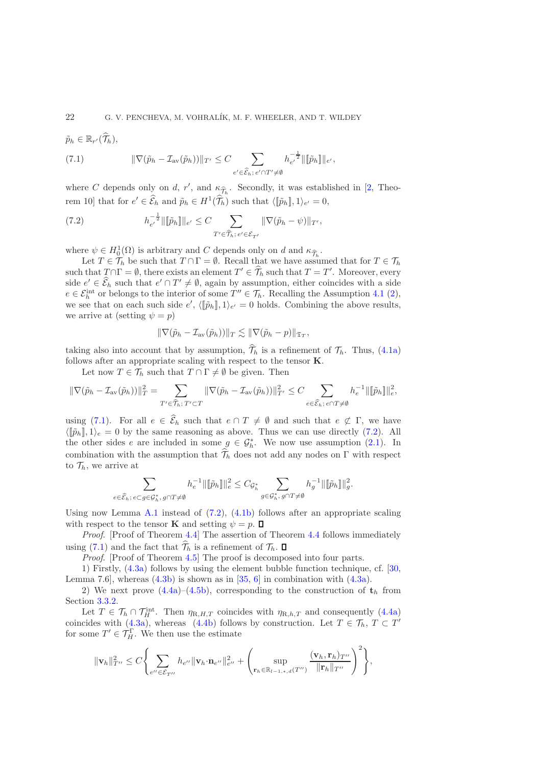$$
\tilde{p}_h \in \mathbb{R}_{r'}(\widehat{\mathcal{T}}_h),
$$

<span id="page-21-0"></span>(7.1) 
$$
\|\nabla(\tilde{p}_h - \mathcal{I}_{av}(\tilde{p}_h))\|_{T'} \leq C \sum_{e' \in \widehat{\mathcal{E}}_h; e' \cap T' \neq \emptyset} h_{e'}^{-\frac{1}{2}} \|\llbracket \tilde{p}_h \rrbracket \|_{e'},
$$

where C depends only on d, r', and  $\kappa_{\widehat{\mathcal{T}}_h}$ . Secondly, it was established in [\[2,](#page-34-10) Theorem 10] that for  $e' \in \widehat{\mathcal{E}}_h$  and  $\widetilde{p}_h \in H^1(\widehat{\mathcal{T}}_h)$  such that  $\langle [\widetilde{p}_h], 1 \rangle_{e'} = 0$ ,

<span id="page-21-1"></span>(7.2) 
$$
h_{e'}^{-\frac{1}{2}} \|\llbracket \tilde{p}_h \rrbracket \|_{e'} \leq C \sum_{T' \in \widehat{T}_h; \, e' \in \mathcal{E}_{T'}} \|\nabla(\tilde{p}_h - \psi)\|_{T'},
$$

where  $\psi \in H_0^1(\Omega)$  is arbitrary and C depends only on d and  $\kappa_{\widehat{\mathcal{T}}_h}$ .

Let  $T \in \mathcal{T}_h$  be such that  $T \cap \Gamma = \emptyset$ . Recall that we have assumed that for  $T \in \mathcal{T}_h$ such that  $T \cap \Gamma = \emptyset$ , there exists an element  $T' \in \widehat{\mathcal{T}}_h$  such that  $T = T'$ . Moreover, every side  $e' \in \widehat{\mathcal{E}}_h$  such that  $e' \cap T' \neq \emptyset$ , again by assumption, either coincides with a side  $e \in \mathcal{E}_h^{\text{int}}$  or belongs to the interior of some  $T'' \in \mathcal{T}_h$ . Recalling the Assumption [4.1](#page-12-1) [\(2\)](#page-12-5), we see that on each such side  $e'$ ,  $\langle [\tilde{p}_h], 1 \rangle_{e'} = 0$  holds. Combining the above results, we arrive at (setting  $\psi = p$ )

$$
\|\nabla(\tilde{p}_h - \mathcal{I}_{\text{av}}(\tilde{p}_h))\|_T \lesssim \|\nabla(\tilde{p}_h - p)\|_{\mathfrak{T}_T},
$$

taking also into account that by assumption,  $\hat{\mathcal{T}}_h$  is a refinement of  $\mathcal{T}_h$ . Thus, [\(4.1a\)](#page-13-3) follows after an appropriate scaling with respect to the tensor K.

Let now  $T \in \mathcal{T}_h$  such that  $T \cap \Gamma \neq \emptyset$  be given. Then

$$
\|\nabla(\tilde{p}_h - \mathcal{I}_{\text{av}}(\tilde{p}_h))\|_T^2 = \sum_{T' \in \widehat{\mathcal{T}}_h; T' \subset T} \|\nabla(\tilde{p}_h - \mathcal{I}_{\text{av}}(\tilde{p}_h))\|_{T'}^2 \le C \sum_{e \in \widehat{\mathcal{E}}_h; e \cap T \neq \emptyset} h_e^{-1} \|\|\tilde{p}_h\|\|_e^2,
$$

using [\(7.1\)](#page-21-0). For all  $e \in \widehat{\mathcal{E}}_h$  such that  $e \cap T \neq \emptyset$  and such that  $e \not\subset \Gamma$ , we have  $\langle [\tilde{p}_h], 1 \rangle_e = 0$  by the same reasoning as above. Thus we can use directly [\(7.2\)](#page-21-1). All the other sides e are included in some  $g \in \mathcal{G}_h^*$ . We now use assumption [\(2.1\)](#page-3-0). In combination with the assumption that  $\widehat{\mathcal{T}}_h$  does not add any nodes on Γ with respect to  $\mathcal{T}_h$ , we arrive at

$$
\sum_{e\in \widehat{\mathcal{E}}_h;\ e\subset g\in \mathcal{G}^*_h,\ g\cap T\neq \emptyset} h_e^{-1}\|[\![\tilde{p}_h]\!]\|_e^2\leq C_{\mathcal{G}^*_h}\sum_{g\in \mathcal{G}^*_h,\ g\cap T\neq \emptyset} h_g^{-1}\|[\![\tilde{p}_h]\!]\|_g^2.
$$

Using now Lemma [A.1](#page-32-0) instead of  $(7.2)$ ,  $(4.1b)$  follows after an appropriate scaling with respect to the tensor **K** and setting  $\psi = p$ .  $\Box$ 

*Proof.* [Proof of Theorem [4.4\]](#page-13-2) The assertion of Theorem [4.4](#page-13-2) follows immediately using [\(7.1\)](#page-21-0) and the fact that  $\widehat{\mathcal{T}}_h$  is a refinement of  $\mathcal{T}_h$ .  $\Box$ 

*Proof.* [Proof of Theorem [4.5\]](#page-13-0) The proof is decomposed into four parts.

1) Firstly, [\(4.3a\)](#page-13-5) follows by using the element bubble function technique, cf. [\[30,](#page-35-5) Lemma 7.6, whereas  $(4.3b)$  is shown as in  $[35, 6]$  $[35, 6]$  in combination with  $(4.3a)$ .

2) We next prove  $(4.4a)$ – $(4.5b)$ , corresponding to the construction of  $t<sub>h</sub>$  from Section [3.3.2.](#page-9-0)

Let  $T \in \mathcal{T}_h \cap \mathcal{T}_H^{\text{int}}$ . Then  $\eta_{R,H,T}$  coincides with  $\eta_{R,h,T}$  and consequently [\(4.4a\)](#page-13-7) coincides with  $(4.3a)$ , whereas  $(4.4b)$  follows by construction. Let  $T \in \mathcal{T}_h$ ,  $T \subset T'$ for some  $T' \in \mathcal{T}_H^{\Gamma}$ . We then use the estimate

$$
\|\mathbf{v}_h\|_{T''}^2 \leq C \Biggl\{\sum_{e''\in\mathcal{E}_{T''}} h_{e''}\|\mathbf{v}_h\cdot\mathbf{n}_{e''}\|_{e''}^2 + \Biggl(\sup_{\mathbf{r}_h\in\mathbb{R}_{l-1,*,d}(T'')} \frac{(\mathbf{v}_h,\mathbf{r}_h)_{T''}}{\|\mathbf{r}_h\|_{T''}}\Biggr)^2\Biggr\},\,
$$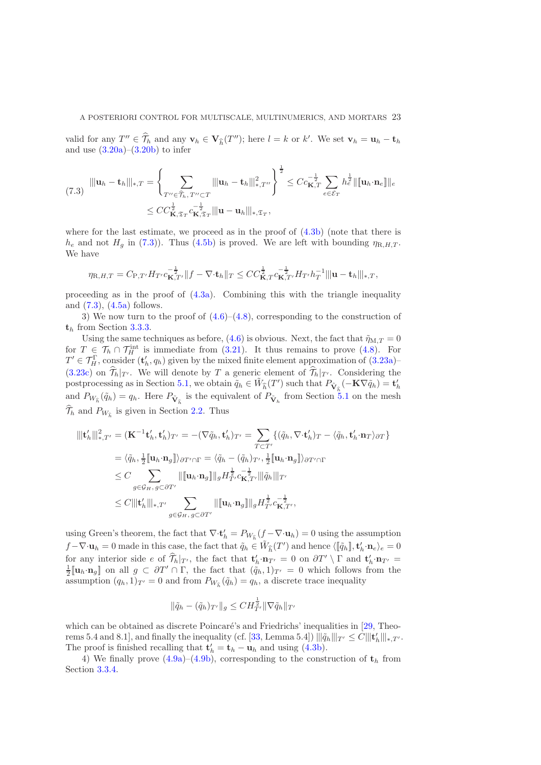valid for any  $T'' \in \hat{\mathcal{T}}_h$  and any  $\mathbf{v}_h \in \mathbf{V}_{\hat{h}}(T'')$ ; here  $l = k$  or k'. We set  $\mathbf{v}_h = \mathbf{u}_h - \mathbf{t}_h$ and use  $(3.20a)$ – $(3.20b)$  to infer

<span id="page-22-0"></span>
$$
(7.3) \quad \|\mathbf{u}_h - \mathbf{t}_h\|_{*,T} = \left\{\sum_{T'' \in \widehat{\mathcal{T}}_h, T'' \subset T} \|\mathbf{u}_h - \mathbf{t}_h\|_{*,T''}^2\right\}^{\frac{1}{2}} \leq C c_{\mathbf{K},T}^{-\frac{1}{2}} \sum_{e \in \mathcal{E}_T} h_e^{\frac{1}{2}} \|\mathbf{u}_h \cdot \mathbf{n}_e\|\|_{e}
$$

$$
\leq C C_{\mathbf{K},\mathfrak{T}_T}^{\frac{1}{2}} c_{\mathbf{K},\mathfrak{T}_T}^{-\frac{1}{2}} \|\mathbf{u} - \mathbf{u}_h\|_{*,\mathfrak{T}_T},
$$

where for the last estimate, we proceed as in the proof of [\(4.3b\)](#page-13-6) (note that there is  $h_e$  and not  $H_g$  in [\(7.3\)](#page-22-0)). Thus [\(4.5b\)](#page-14-1) is proved. We are left with bounding  $\eta_{\text{R},H,T}$ . We have

$$
\eta_{\text{R},H,T}=C_{\text{P},T'}H_{T'}c_{\textbf{K},T'}^{-\frac{1}{2}}\|f-\nabla\cdot\mathbf{t}_h\|_T\leq CC_{\textbf{K},T}^{\frac{1}{2}}c_{\textbf{K},T'}^{-\frac{1}{2}}H_{T'}h_T^{-1}\|\mathbf{u}-\mathbf{t}_h\|_{*,T},
$$

proceeding as in the proof of [\(4.3a\)](#page-13-5). Combining this with the triangle inequality and  $(7.3)$ ,  $(4.5a)$  follows.

3) We now turn to the proof of  $(4.6)$ – $(4.8)$ , corresponding to the construction of  $t_h$  from Section [3.3.3.](#page-10-5)

Using the same techniques as before, [\(4.6\)](#page-14-3) is obvious. Next, the fact that  $\tilde{\eta}_{M,T} = 0$ for  $T \in \mathcal{T}_h \cap \mathcal{T}_H^{\text{int}}$  is immediate from [\(3.21\)](#page-10-4). It thus remains to prove [\(4.8\)](#page-14-4). For  $T' \in \mathcal{T}_H^{\Gamma}$ , consider  $(\mathbf{t}'_h, q_h)$  given by the mixed finite element approximation of  $(3.23a)$ [\(3.23c\)](#page-11-2) on  $\widehat{\mathcal{T}}_h|_{T'}$ . We will denote by T a generic element of  $\widehat{\mathcal{T}}_h|_{T'}$ . Considering the postprocessing as in Section [5.1,](#page-15-5) we obtain  $\tilde{q}_h \in \tilde{W}_{\hat{h}}(T')$  such that  $P_{\tilde{\mathbf{V}}_{\hat{h}}}(-\mathbf{K}\nabla \tilde{q}_h) = \mathbf{t}'_h$ and  $P_{W_{\hat{h}}}(\tilde{q}_h) = q_h$ . Here  $P_{\tilde{\mathbf{V}}_{\hat{h}}}$  is the equivalent of  $P_{\tilde{\mathbf{V}}_h}$  from Section [5.1](#page-15-5) on the mesh  $\mathcal{T}_h$  and  $P_{W_{\widehat{h}}}$  is given in Section [2.2.](#page-4-0) Thus

$$
\begin{split} \|\mathbf{t}'_h\|^2_{*,T'} &= (\mathbf{K}^{-1}\mathbf{t}'_h, \mathbf{t}'_h)_{T'} = -(\nabla \tilde{q}_h, \mathbf{t}'_h)_{T'} = \sum_{T \subset T'} \{(\tilde{q}_h, \nabla \cdot \mathbf{t}'_h)_{T} - \langle \tilde{q}_h, \mathbf{t}'_h \cdot \mathbf{n}_T \rangle_{\partial T}\} \\ &= \langle \tilde{q}_h, \frac{1}{2} [\![\mathbf{u}_h \cdot \mathbf{n}_g]\!] \rangle_{\partial T' \cap \Gamma} = \langle \tilde{q}_h - (\tilde{q}_h)_{T'}, \frac{1}{2} [\![\mathbf{u}_h \cdot \mathbf{n}_g]\!] \rangle_{\partial T' \cap \Gamma} \\ &\leq C \sum_{g \in \mathcal{G}_H, g \subset \partial T'} \| [\![\mathbf{u}_h \cdot \mathbf{n}_g]\!] \|_g H_{T'}^{\frac{1}{2}} c_{\mathbf{K}, T'}^{-\frac{1}{2}} \| [\![\tilde{q}_h]\!] \|_{T'} \\ &\leq C [\![\!|\!|\mathbf{t}'_h|\!|\!|_{*,T'} \sum_{g \in \mathcal{G}_H, g \subset \partial T'} \| [\![\mathbf{u}_h \cdot \mathbf{n}_g]\!] \|_g H_{T'}^{\frac{1}{2}} c_{\mathbf{K}, T'}^{-\frac{1}{2}}, \end{split}
$$

using Green's theorem, the fact that  $\nabla \cdot \mathbf{t}'_h = P_{W_{\hat{h}}} (f - \nabla \cdot \mathbf{u}_h) = 0$  using the assumption  $f - \nabla \cdot \mathbf{u}_h = 0$  made in this case, the fact that  $\tilde{q}_h \in \tilde{W}_{\hat{h}}(T')$  and hence  $\langle [\![\tilde{q}_h]\!], \mathbf{t}'_h \cdot \mathbf{n}_e \rangle_e = 0$ for any interior side e of  $\hat{\mathcal{T}}_h|_{T'}$ , the fact that  $\mathbf{t}'_h \cdot \mathbf{n}_{T'} = 0$  on  $\partial T' \setminus \Gamma$  and  $\mathbf{t}'_h \cdot \mathbf{n}_{T'} = 1$  $\frac{1}{2}[\![\mathbf{u}_h \cdot \mathbf{n}_g]\!]$  on all  $g \subset \partial T' \cap \Gamma$ , the fact that  $(\tilde{q}_h, 1)_{T'} = 0$  which follows from the assumption  $(q_h, 1)_{T'} = 0$  and from  $P_{W_{\hat{h}}}(\tilde{q}_h) = q_h$ , a discrete trace inequality

$$
\|\tilde{q}_h - (\tilde{q}_h)_{T'}\|_g \leq C H_{T'}^{\frac{1}{2}} \|\nabla \tilde{q}_h\|_{T'}
$$

which can be obtained as discrete Poincaré's and Friedrichs' inequalities in  $[29,$  Theo-rems 5.4 and 8.1], and finally the inequality (cf. [\[33,](#page-35-6) Lemma 5.4])  $\|\|\tilde{q}_h\|\|_{T'} \leq C \|\mathbf{t}'_h\|\_{*,T'}.$ The proof is finished recalling that  $\mathbf{t}'_h = \mathbf{t}_h - \mathbf{u}_h$  and using [\(4.3b\)](#page-13-6).

4) We finally prove  $(4.9a)-(4.9b)$  $(4.9a)-(4.9b)$ , corresponding to the construction of  $t<sub>h</sub>$  from Section [3.3.4.](#page-11-0)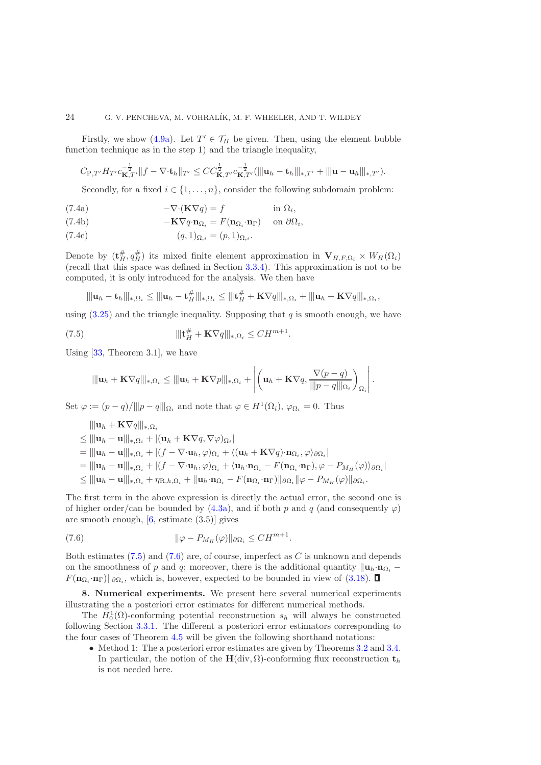#### 24 G. V. PENCHEVA, M. VOHRALÍK, M. F. WHEELER, AND T. WILDEY

Firstly, we show [\(4.9a\)](#page-14-5). Let  $T' \in \mathcal{T}_H$  be given. Then, using the element bubble function technique as in the step 1) and the triangle inequality,

$$
C_{P,T'}H_{T'}c_{\mathbf{K},T'}^{-\frac{1}{2}}\|f-\nabla\cdot\mathbf{t}_h\|_{T'}\leq CC_{\mathbf{K},T'}^{1-\frac{1}{2}}c_{\mathbf{K},T'}^{-\frac{1}{2}}(\|\mathbf{u}_h-\mathbf{t}_h\|_{*,T'}+\|\mathbf{u}-\mathbf{u}_h\|_{*,T'}).
$$

Secondly, for a fixed  $i \in \{1, ..., n\}$ , consider the following subdomain problem:

(7.4a) 
$$
-\nabla \cdot (\mathbf{K} \nabla q) = f \qquad \text{in } \Omega_i,
$$

(7.4b) 
$$
-\mathbf{K}\nabla q \cdot \mathbf{n}_{\Omega_i} = F(\mathbf{n}_{\Omega_i} \cdot \mathbf{n}_{\Gamma}) \text{ on } \partial \Omega_i,
$$

$$
(7.4c)\qquad \qquad (q,1)_{\Omega,i} = (p,1)_{\Omega,i}.
$$

Denote by  $(\mathbf{t}_{H}^{\#}, q_{H}^{\#})$  its mixed finite element approximation in  $\mathbf{V}_{H,F,\Omega_i} \times W_H(\Omega_i)$ (recall that this space was defined in Section [3.3.4\)](#page-11-0). This approximation is not to be computed, it is only introduced for the analysis. We then have

$$
\|\|\mathbf{u}_h - \mathbf{t}_h\|_{*,\Omega_i} \le \|\|\mathbf{u}_h - \mathbf{t}_H^{\#}\|_{*,\Omega_i} \le \|\|\mathbf{t}_H^{\#} + \mathbf{K}\nabla q\|_{*,\Omega_i} + \|\|\mathbf{u}_h + \mathbf{K}\nabla q\|_{*,\Omega_i},
$$

using  $(3.25)$  and the triangle inequality. Supposing that q is smooth enough, we have

(7.5) 
$$
\|\mathbf{t}_H^{\#} + \mathbf{K} \nabla q\|_{*,\Omega_i} \leq C H^{m+1}.
$$

Using  $[33,$  Theorem 3.1, we have

<span id="page-23-1"></span>
$$
\|\mathbf{u}_h + \mathbf{K} \nabla q\|_{*,\Omega_i} \le \|\mathbf{u}_h + \mathbf{K} \nabla p\|_{*,\Omega_i} + \left| \left( \mathbf{u}_h + \mathbf{K} \nabla q, \frac{\nabla (p-q)}{\|p-q\|_{\Omega_i}} \right)_{\Omega_i} \right|
$$

.

Set  $\varphi := (p - q)/||p - q|||_{\Omega_i}$  and note that  $\varphi \in H^1(\Omega_i)$ ,  $\varphi_{\Omega_i} = 0$ . Thus

$$
\|\mathbf{u}_{h} + \mathbf{K}\nabla q\|_{*,\Omega_{i}}\leq \|\mathbf{u}_{h} - \mathbf{u}\|_{*,\Omega_{i}} + |(\mathbf{u}_{h} + \mathbf{K}\nabla q, \nabla\varphi)_{\Omega_{i}}|
$$
\n
$$
= \|\mathbf{u}_{h} - \mathbf{u}\|_{*,\Omega_{i}} + |(f - \nabla \cdot \mathbf{u}_{h}, \varphi)_{\Omega_{i}} + \langle (\mathbf{u}_{h} + \mathbf{K}\nabla q) \cdot \mathbf{n}_{\Omega_{i}}, \varphi \rangle_{\partial\Omega_{i}}|
$$
\n
$$
= \|\mathbf{u}_{h} - \mathbf{u}\|_{*,\Omega_{i}} + |(f - \nabla \cdot \mathbf{u}_{h}, \varphi)_{\Omega_{i}} + \langle \mathbf{u}_{h} \cdot \mathbf{n}_{\Omega_{i}} - F(\mathbf{n}_{\Omega_{i}} \cdot \mathbf{n}_{\Gamma}), \varphi - P_{M_{H}}(\varphi) \rangle_{\partial\Omega_{i}}|
$$
\n
$$
\leq \|\mathbf{u}_{h} - \mathbf{u}\|_{*,\Omega_{i}} + \eta_{\mathbf{R},h,\Omega_{i}} + \|\mathbf{u}_{h} \cdot \mathbf{n}_{\Omega_{i}} - F(\mathbf{n}_{\Omega_{i}} \cdot \mathbf{n}_{\Gamma})\|_{\partial\Omega_{i}} \|\varphi - P_{M_{H}}(\varphi)\|_{\partial\Omega_{i}}.
$$

The first term in the above expression is directly the actual error, the second one is of higher order/can be bounded by [\(4.3a\)](#page-13-5), and if both p and q (and consequently  $\varphi$ ) are smooth enough,  $[6,$  estimate  $(3.5)$ ] gives

<span id="page-23-2"></span>(7.6) 
$$
\|\varphi - P_{M_H}(\varphi)\|_{\partial \Omega_i} \leq C H^{m+1}.
$$

Both estimates  $(7.5)$  and  $(7.6)$  are, of course, imperfect as C is unknown and depends on the smoothness of p and q; moreover, there is the additional quantity  $\|\mathbf{u}_h\cdot\mathbf{n}_{\Omega_i} F(\mathbf{n}_{\Omega_i} \cdot \mathbf{n}_{\Gamma})||_{\partial \Omega_i}$ , which is, however, expected to be bounded in view of [\(3.18\)](#page-9-4).

<span id="page-23-0"></span>8. Numerical experiments. We present here several numerical experiments illustrating the a posteriori error estimates for different numerical methods.

The  $H_0^1(\Omega)$ -conforming potential reconstruction  $s_h$  will always be constructed following Section [3.3.1.](#page-9-6) The different a posteriori error estimators corresponding to the four cases of Theorem [4.5](#page-13-0) will be given the following shorthand notations:

• Method 1: The a posteriori error estimates are given by Theorems [3.2](#page-6-2) and [3.4.](#page-7-0) In particular, the notion of the H(div,  $\Omega$ )-conforming flux reconstruction  $t_h$ is not needed here.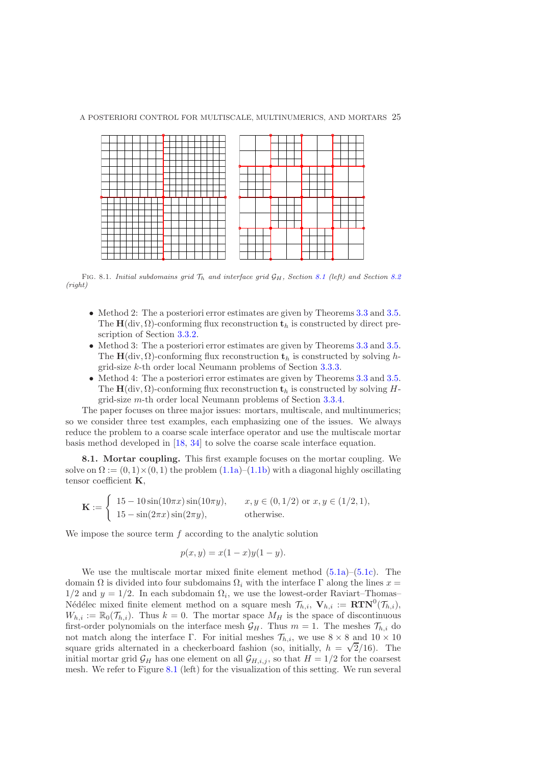A POSTERIORI CONTROL FOR MULTISCALE, MULTINUMERICS, AND MORTARS 25



FIG. [8.1](#page-24-1). Initial subdomains grid  $\mathcal{T}_h$  and interface grid  $\mathcal{G}_H$ , Section 8.1 (left) and Section [8.2](#page-26-0) (right)

- <span id="page-24-0"></span>• Method 2: The a posteriori error estimates are given by Theorems [3.3](#page-7-1) and [3.5.](#page-7-5) The  $H(\text{div}, \Omega)$ -conforming flux reconstruction  $t_h$  is constructed by direct prescription of Section [3.3.2.](#page-9-0)
- Method 3: The a posteriori error estimates are given by Theorems [3.3](#page-7-1) and [3.5.](#page-7-5) The  $H(\text{div}, \Omega)$ -conforming flux reconstruction  $t_h$  is constructed by solving hgrid-size k-th order local Neumann problems of Section [3.3.3.](#page-10-5)
- Method 4: The a posteriori error estimates are given by Theorems [3.3](#page-7-1) and [3.5.](#page-7-5) The H(div,  $\Omega$ )-conforming flux reconstruction  $t_h$  is constructed by solving Hgrid-size m-th order local Neumann problems of Section [3.3.4.](#page-11-0)

The paper focuses on three major issues: mortars, multiscale, and multinumerics; so we consider three test examples, each emphasizing one of the issues. We always reduce the problem to a coarse scale interface operator and use the multiscale mortar basis method developed in [\[18,](#page-35-2) [34\]](#page-35-3) to solve the coarse scale interface equation.

<span id="page-24-1"></span>8.1. Mortar coupling. This first example focuses on the mortar coupling. We solve on  $\Omega := (0, 1) \times (0, 1)$  the problem  $(1.1a)$ – $(1.1b)$  with a diagonal highly oscillating tensor coefficient K,

$$
\mathbf{K} := \begin{cases} 15 - 10\sin(10\pi x)\sin(10\pi y), & x, y \in (0, 1/2) \text{ or } x, y \in (1/2, 1), \\ 15 - \sin(2\pi x)\sin(2\pi y), & \text{otherwise.} \end{cases}
$$

We impose the source term  $f$  according to the analytic solution

$$
p(x, y) = x(1 - x)y(1 - y).
$$

We use the multiscale mortar mixed finite element method  $(5.1a)$ – $(5.1c)$ . The domain  $\Omega$  is divided into four subdomains  $\Omega_i$  with the interface  $\Gamma$  along the lines  $x =$  $1/2$  and  $y = 1/2$ . In each subdomain  $\Omega_i$ , we use the lowest-order Raviart–Thomas– Nédélec mixed finite element method on a square mesh  $\mathcal{T}_{h,i}$ ,  $\mathbf{V}_{h,i} := \mathbf{RTN}^0(\mathcal{T}_{h,i}),$  $W_{h,i} := \mathbb{R}_0(\mathcal{T}_{h,i}).$  Thus  $k = 0$ . The mortar space  $M_H$  is the space of discontinuous first-order polynomials on the interface mesh  $\mathcal{G}_H$ . Thus  $m = 1$ . The meshes  $\mathcal{T}_{h,i}$  do not match along the interface Γ. For initial meshes  $\mathcal{T}_{h,i}$ , we use  $8 \times 8$  and  $10 \times 10$ square grids alternated in a checkerboard fashion (so, initially,  $h = \sqrt{2}/16$ ). The initial mortar grid  $\mathcal{G}_H$  has one element on all  $\mathcal{G}_{H,i,j}$ , so that  $H = 1/2$  for the coarsest mesh. We refer to Figure [8.1](#page-24-0) (left) for the visualization of this setting. We run several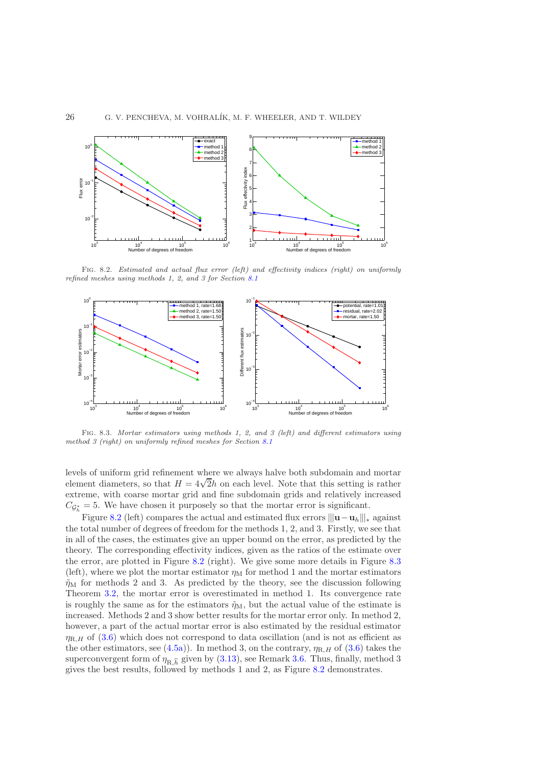

<span id="page-25-0"></span>FIG. 8.2. Estimated and actual flux error (left) and effectivity indices (right) on uniformly refined meshes using methods 1, 2, and 3 for Section [8.1](#page-24-1)



<span id="page-25-1"></span>Fig. 8.3. Mortar estimators using methods 1, 2, and 3 (left) and different estimators using method 3 (right) on uniformly refined meshes for Section [8.1](#page-24-1)

levels of uniform grid refinement where we always halve both subdomain and mortar element diameters, so that  $H = 4\sqrt{2}h$  on each level. Note that this setting is rather extreme, with coarse mortar grid and fine subdomain grids and relatively increased  $C_{\mathcal{G}_h^*} = 5$ . We have chosen it purposely so that the mortar error is significant.

Figure [8.2](#page-25-0) (left) compares the actual and estimated flux errors  $||\mathbf{u}-\mathbf{u}_h|||_*$  against the total number of degrees of freedom for the methods 1, 2, and 3. Firstly, we see that in all of the cases, the estimates give an upper bound on the error, as predicted by the theory. The corresponding effectivity indices, given as the ratios of the estimate over the error, are plotted in Figure [8.2](#page-25-0) (right). We give some more details in Figure [8.3](#page-25-1) (left), where we plot the mortar estimator  $\eta_M$  for method 1 and the mortar estimators  $\tilde{\eta}_{\rm M}$  for methods 2 and 3. As predicted by the theory, see the discussion following Theorem [3.2,](#page-6-2) the mortar error is overestimated in method 1. Its convergence rate is roughly the same as for the estimators  $\tilde{\eta}_M$ , but the actual value of the estimate is increased. Methods 2 and 3 show better results for the mortar error only. In method 2, however, a part of the actual mortar error is also estimated by the residual estimator  $\eta_{R,H}$  of [\(3.6\)](#page-7-4) which does not correspond to data oscillation (and is not as efficient as the other estimators, see [\(4.5a\)](#page-14-2)). In method 3, on the contrary,  $\eta_{R,H}$  of [\(3.6\)](#page-7-4) takes the superconvergent form of  $\eta_{\text{R},\widehat{h}}$  given by [\(3.13\)](#page-8-2), see Remark [3.6.](#page-8-5) Thus, finally, method 3 gives the best results, followed by methods 1 and 2, as Figure [8.2](#page-25-0) demonstrates.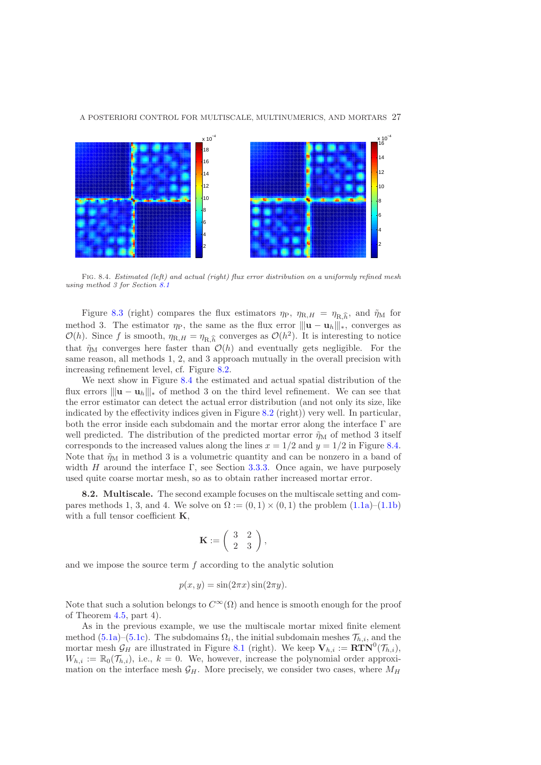#### A POSTERIORI CONTROL FOR MULTISCALE, MULTINUMERICS, AND MORTARS 27



<span id="page-26-1"></span>Fig. 8.4. Estimated (left) and actual (right) flux error distribution on a uniformly refined mesh using method 3 for Section [8.1](#page-24-1)

Figure [8.3](#page-25-1) (right) compares the flux estimators  $\eta_P$ ,  $\eta_{R,H} = \eta_{R,\hat{h}}$ , and  $\tilde{\eta}_M$  for method 3. The estimator  $\eta_P$ , the same as the flux error  $||u - u_h||_*$ , converges as  $\mathcal{O}(h)$ . Since f is smooth,  $\eta_{\text{R},H} = \eta_{\text{R},\widehat{h}}$  converges as  $\mathcal{O}(h^2)$ . It is interesting to notice that  $\tilde{\eta}_M$  converges here faster than  $\mathcal{O}(h)$  and eventually gets negligible. For the same reason, all methods 1, 2, and 3 approach mutually in the overall precision with increasing refinement level, cf. Figure [8.2.](#page-25-0)

We next show in Figure [8.4](#page-26-1) the estimated and actual spatial distribution of the flux errors  $\|\mathbf{u} - \mathbf{u}_h\|_{\ast}$  of method 3 on the third level refinement. We can see that the error estimator can detect the actual error distribution (and not only its size, like indicated by the effectivity indices given in Figure [8.2](#page-25-0) (right)) very well. In particular, both the error inside each subdomain and the mortar error along the interface Γ are well predicted. The distribution of the predicted mortar error  $\tilde{\eta}_{\rm M}$  of method 3 itself corresponds to the increased values along the lines  $x = 1/2$  and  $y = 1/2$  in Figure [8.4.](#page-26-1) Note that  $\tilde{\eta}_{\text{M}}$  in method 3 is a volumetric quantity and can be nonzero in a band of width H around the interface  $\Gamma$ , see Section [3.3.3.](#page-10-5) Once again, we have purposely used quite coarse mortar mesh, so as to obtain rather increased mortar error.

<span id="page-26-0"></span>8.2. Multiscale. The second example focuses on the multiscale setting and compares methods 1, 3, and 4. We solve on  $\Omega := (0,1) \times (0,1)$  the problem  $(1.1a)$ – $(1.1b)$ with a full tensor coefficient  $K$ ,

$$
\mathbf{K}:=\left(\begin{array}{cc} 3 & 2 \\ 2 & 3 \end{array}\right),
$$

and we impose the source term  $f$  according to the analytic solution

$$
p(x, y) = \sin(2\pi x)\sin(2\pi y).
$$

Note that such a solution belongs to  $C^{\infty}(\Omega)$  and hence is smooth enough for the proof of Theorem [4.5,](#page-13-0) part 4).

As in the previous example, we use the multiscale mortar mixed finite element method [\(5.1a\)](#page-15-1)–[\(5.1c\)](#page-15-2). The subdomains  $\Omega_i$ , the initial subdomain meshes  $\mathcal{T}_{h,i}$ , and the mortar mesh  $\mathcal{G}_H$  are illustrated in Figure [8.1](#page-24-0) (right). We keep  $\mathbf{V}_{h,i} := \mathbf{R} \mathbf{TN}^0(\mathcal{T}_{h,i}),$  $W_{h,i} := \mathbb{R}_0(\mathcal{T}_{h,i}),$  i.e.,  $k = 0$ . We, however, increase the polynomial order approximation on the interface mesh  $\mathcal{G}_H$ . More precisely, we consider two cases, where  $M_H$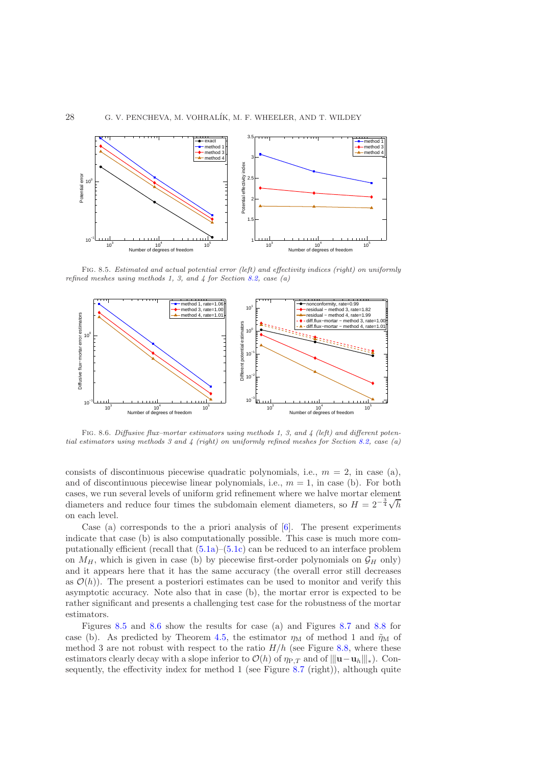

<span id="page-27-0"></span>Fig. 8.5. Estimated and actual potential error (left) and effectivity indices (right) on uniformly refined meshes using methods 1, 3, and  $\frac{1}{4}$  for Section [8.2,](#page-26-0) case (a)



<span id="page-27-1"></span>Fig. 8.6. Diffusive flux–mortar estimators using methods 1, 3, and 4 (left) and different potential estimators using methods 3 and 4 (right) on uniformly refined meshes for Section [8.2,](#page-26-0) case (a)

consists of discontinuous piecewise quadratic polynomials, i.e.,  $m = 2$ , in case (a), and of discontinuous piecewise linear polynomials, i.e.,  $m = 1$ , in case (b). For both cases, we run several levels of uniform grid refinement where we halve mortar element diameters and reduce four times the subdomain element diameters, so  $H = 2^{-\frac{3}{4}}\sqrt{h}$ on each level.

Case (a) corresponds to the a priori analysis of  $[6]$ . The present experiments indicate that case (b) is also computationally possible. This case is much more computationally efficient (recall that [\(5.1a\)](#page-15-1)–[\(5.1c\)](#page-15-2) can be reduced to an interface problem on  $M_H$ , which is given in case (b) by piecewise first-order polynomials on  $\mathcal{G}_H$  only) and it appears here that it has the same accuracy (the overall error still decreases as  $\mathcal{O}(h)$ . The present a posteriori estimates can be used to monitor and verify this asymptotic accuracy. Note also that in case (b), the mortar error is expected to be rather significant and presents a challenging test case for the robustness of the mortar estimators.

Figures [8.5](#page-27-0) and [8.6](#page-27-1) show the results for case (a) and Figures [8.7](#page-28-0) and [8.8](#page-28-1) for case (b). As predicted by Theorem [4.5,](#page-13-0) the estimator  $\eta_M$  of method 1 and  $\tilde{\eta}_M$  of method 3 are not robust with respect to the ratio  $H/h$  (see Figure [8.8,](#page-28-1) where these estimators clearly decay with a slope inferior to  $\mathcal{O}(h)$  of  $\eta_{P,T}$  and of  $\|\mathbf{u}-\mathbf{u}_h\|_*$ ). Consequently, the effectivity index for method 1 (see Figure [8.7](#page-28-0) (right)), although quite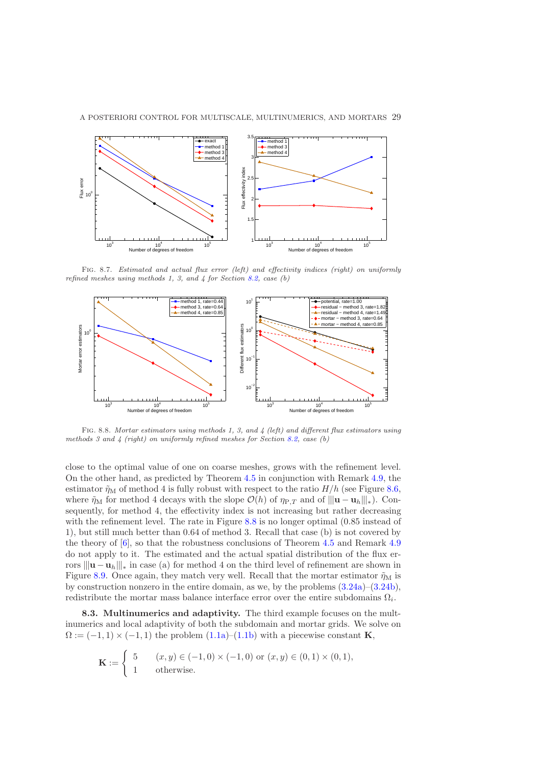

### A POSTERIORI CONTROL FOR MULTISCALE, MULTINUMERICS, AND MORTARS 29

<span id="page-28-0"></span>FIG. 8.7. Estimated and actual flux error (left) and effectivity indices (right) on uniformly refined meshes using methods 1, 3, and  $\frac{1}{4}$  for Section [8.2,](#page-26-0) case (b)



<span id="page-28-1"></span>Fig. 8.8. Mortar estimators using methods 1, 3, and 4 (left) and different flux estimators using methods 3 and 4 (right) on uniformly refined meshes for Section [8.2,](#page-26-0) case (b)

close to the optimal value of one on coarse meshes, grows with the refinement level. On the other hand, as predicted by Theorem [4.5](#page-13-0) in conjunction with Remark [4.9,](#page-14-6) the estimator  $\tilde{\eta}_{\mathrm{M}}$  of method 4 is fully robust with respect to the ratio  $H/h$  (see Figure [8.6,](#page-27-1) where  $\tilde{\eta}_M$  for method 4 decays with the slope  $\mathcal{O}(h)$  of  $\eta_{P,T}$  and of  $|||u - u_h||_*$ ). Consequently, for method 4, the effectivity index is not increasing but rather decreasing with the refinement level. The rate in Figure [8.8](#page-28-1) is no longer optimal (0.85 instead of 1), but still much better than 0.64 of method 3. Recall that case (b) is not covered by the theory of [\[6\]](#page-34-0), so that the robustness conclusions of Theorem [4.5](#page-13-0) and Remark [4.9](#page-14-6) do not apply to it. The estimated and the actual spatial distribution of the flux errors  $\|\mathbf{u} - \mathbf{u}_h\|_{\ast}$  in case (a) for method 4 on the third level of refinement are shown in Figure [8.9.](#page-29-0) Once again, they match very well. Recall that the mortar estimator  $\tilde{\eta}_{\rm M}$  is by construction nonzero in the entire domain, as we, by the problems  $(3.24a)$ – $(3.24b)$ , redistribute the mortar mass balance interface error over the entire subdomains  $\Omega_i$ .

<span id="page-28-2"></span>8.3. Multinumerics and adaptivity. The third example focuses on the multinumerics and local adaptivity of both the subdomain and mortar grids. We solve on  $\Omega := (-1,1) \times (-1,1)$  the problem  $(1.1a)$ – $(1.1b)$  with a piecewise constant **K**,

$$
\mathbf{K} := \begin{cases} 5 & (x, y) \in (-1, 0) \times (-1, 0) \text{ or } (x, y) \in (0, 1) \times (0, 1), \\ 1 & \text{otherwise.} \end{cases}
$$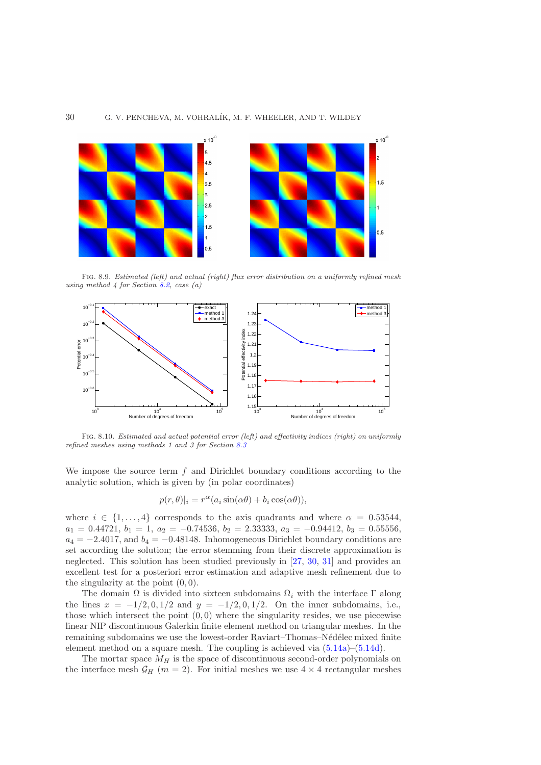

<span id="page-29-0"></span>Fig. 8.9. Estimated (left) and actual (right) flux error distribution on a uniformly refined mesh using method  $4$  for Section [8.2,](#page-26-0) case (a)



<span id="page-29-1"></span>Fig. 8.10. Estimated and actual potential error (left) and effectivity indices (right) on uniformly refined meshes using methods 1 and 3 for Section [8.3](#page-28-2)

We impose the source term  $f$  and Dirichlet boundary conditions according to the analytic solution, which is given by (in polar coordinates)

$$
p(r, \theta)|_i = r^{\alpha} (a_i \sin(\alpha \theta) + b_i \cos(\alpha \theta)),
$$

where  $i \in \{1, \ldots, 4\}$  corresponds to the axis quadrants and where  $\alpha = 0.53544$ ,  $a_1 = 0.44721, b_1 = 1, a_2 = -0.74536, b_2 = 2.33333, a_3 = -0.94412, b_3 = 0.55556,$  $a_4 = -2.4017$ , and  $b_4 = -0.48148$ . Inhomogeneous Dirichlet boundary conditions are set according the solution; the error stemming from their discrete approximation is neglected. This solution has been studied previously in [\[27,](#page-35-21) [30,](#page-35-5) [31\]](#page-35-15) and provides an excellent test for a posteriori error estimation and adaptive mesh refinement due to the singularity at the point (0, 0).

The domain  $\Omega$  is divided into sixteen subdomains  $\Omega_i$  with the interface  $\Gamma$  along the lines  $x = -1/2, 0, 1/2$  and  $y = -1/2, 0, 1/2$ . On the inner subdomains, i.e., those which intersect the point  $(0, 0)$  where the singularity resides, we use piecewise linear NIP discontinuous Galerkin finite element method on triangular meshes. In the remaining subdomains we use the lowest-order Raviart–Thomas–Nédélec mixed finite element method on a square mesh. The coupling is achieved via [\(5.14a\)](#page-18-2)–[\(5.14d\)](#page-18-3).

The mortar space  $M_H$  is the space of discontinuous second-order polynomials on the interface mesh  $\mathcal{G}_H$  (m = 2). For initial meshes we use  $4 \times 4$  rectangular meshes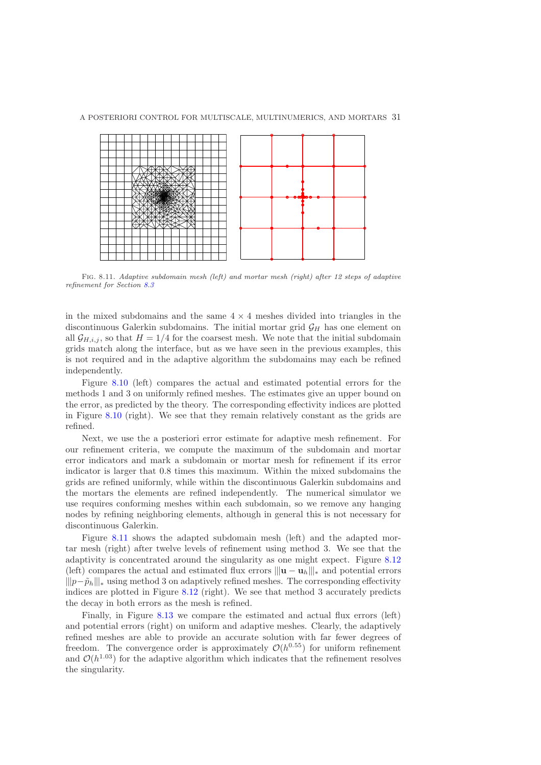

<span id="page-30-0"></span>Fig. 8.11. Adaptive subdomain mesh (left) and mortar mesh (right) after 12 steps of adaptive refinement for Section [8.3](#page-28-2)

in the mixed subdomains and the same  $4 \times 4$  meshes divided into triangles in the discontinuous Galerkin subdomains. The initial mortar grid  $\mathcal{G}_H$  has one element on all  $\mathcal{G}_{H,i,j}$ , so that  $H = 1/4$  for the coarsest mesh. We note that the initial subdomain grids match along the interface, but as we have seen in the previous examples, this is not required and in the adaptive algorithm the subdomains may each be refined independently.

Figure [8.10](#page-29-1) (left) compares the actual and estimated potential errors for the methods 1 and 3 on uniformly refined meshes. The estimates give an upper bound on the error, as predicted by the theory. The corresponding effectivity indices are plotted in Figure [8.10](#page-29-1) (right). We see that they remain relatively constant as the grids are refined.

Next, we use the a posteriori error estimate for adaptive mesh refinement. For our refinement criteria, we compute the maximum of the subdomain and mortar error indicators and mark a subdomain or mortar mesh for refinement if its error indicator is larger that 0.8 times this maximum. Within the mixed subdomains the grids are refined uniformly, while within the discontinuous Galerkin subdomains and the mortars the elements are refined independently. The numerical simulator we use requires conforming meshes within each subdomain, so we remove any hanging nodes by refining neighboring elements, although in general this is not necessary for discontinuous Galerkin.

Figure [8.11](#page-30-0) shows the adapted subdomain mesh (left) and the adapted mortar mesh (right) after twelve levels of refinement using method 3. We see that the adaptivity is concentrated around the singularity as one might expect. Figure [8.12](#page-31-1) (left) compares the actual and estimated flux errors  $\|\mathbf{u} - \mathbf{u}_h\|_{*}$  and potential errors  $||p-\tilde{p}_h|||_*$  using method 3 on adaptively refined meshes. The corresponding effectivity indices are plotted in Figure [8.12](#page-31-1) (right). We see that method 3 accurately predicts the decay in both errors as the mesh is refined.

Finally, in Figure [8.13](#page-31-2) we compare the estimated and actual flux errors (left) and potential errors (right) on uniform and adaptive meshes. Clearly, the adaptively refined meshes are able to provide an accurate solution with far fewer degrees of freedom. The convergence order is approximately  $\mathcal{O}(h^{0.55})$  for uniform refinement and  $\mathcal{O}(h^{1.03})$  for the adaptive algorithm which indicates that the refinement resolves the singularity.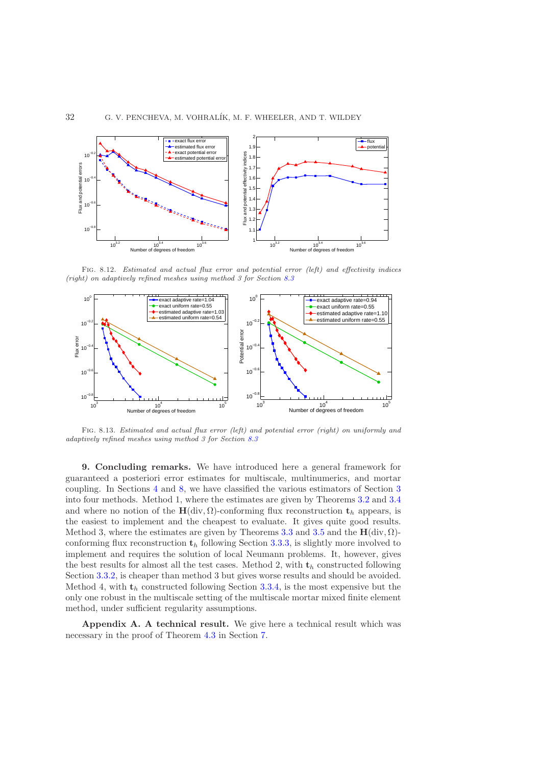

<span id="page-31-1"></span>Fig. 8.12. Estimated and actual flux error and potential error (left) and effectivity indices (right) on adaptively refined meshes using method 3 for Section [8.3](#page-28-2)



<span id="page-31-2"></span>Fig. 8.13. Estimated and actual flux error (left) and potential error (right) on uniformly and adaptively refined meshes using method 3 for Section [8.3](#page-28-2)

9. Concluding remarks. We have introduced here a general framework for guaranteed a posteriori error estimates for multiscale, multinumerics, and mortar coupling. In Sections [4](#page-12-0) and [8,](#page-23-0) we have classified the various estimators of Section [3](#page-6-0) into four methods. Method 1, where the estimates are given by Theorems [3.2](#page-6-2) and [3.4](#page-7-0) and where no notion of the H(div,  $\Omega$ )-conforming flux reconstruction  $t_h$  appears, is the easiest to implement and the cheapest to evaluate. It gives quite good results. Method 3, where the estimates are given by Theorems [3.3](#page-7-1) and [3.5](#page-7-5) and the  $\mathbf{H}(\text{div}, \Omega)$ conforming flux reconstruction  $t<sub>h</sub>$  following Section [3.3.3,](#page-10-5) is slightly more involved to implement and requires the solution of local Neumann problems. It, however, gives the best results for almost all the test cases. Method 2, with  $t_h$  constructed following Section [3.3.2,](#page-9-0) is cheaper than method 3 but gives worse results and should be avoided. Method 4, with  $t_h$  constructed following Section [3.3.4,](#page-11-0) is the most expensive but the only one robust in the multiscale setting of the multiscale mortar mixed finite element method, under sufficient regularity assumptions.

<span id="page-31-0"></span>Appendix A. A technical result. We give here a technical result which was necessary in the proof of Theorem [4.3](#page-13-1) in Section [7.](#page-20-0)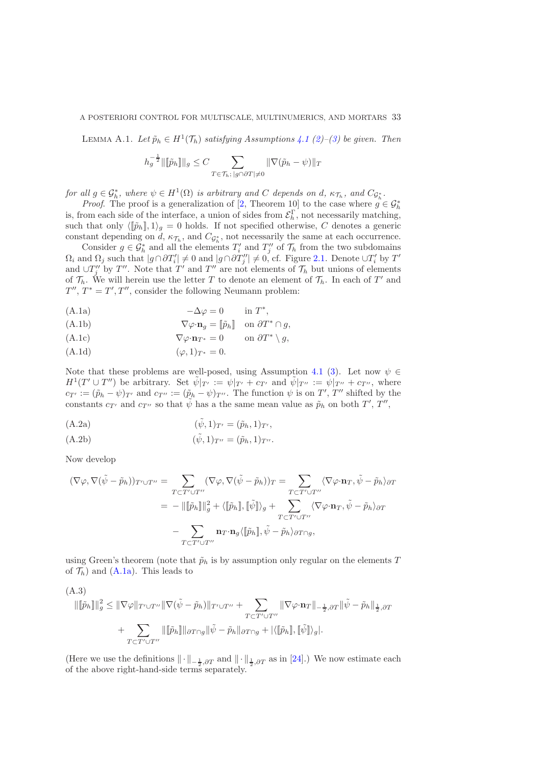<span id="page-32-0"></span>LEMMA A.1. *Let*  $\tilde{p}_h \in H^1(\mathcal{T}_h)$  *satisfying Assumptions [4.1](#page-12-1) [\(2\)](#page-12-5)–[\(3\)](#page-12-6) be given. Then* 

$$
h_g^{-\frac{1}{2}} \|\llbracket \tilde{p}_h \rrbracket \|_g \le C \sum_{T \in \mathcal{T}_h; \, |g \cap \partial T| \neq 0} \|\nabla (\tilde{p}_h - \psi)\|_T
$$

*for all*  $g \in \mathcal{G}_h^*$ , where  $\psi \in H^1(\Omega)$  *is arbitrary and* C *depends on* d,  $\kappa_{\mathcal{T}_h}$ , and  $C_{\mathcal{G}_h^*}$ .

*Proof.* The proof is a generalization of [\[2,](#page-34-10) Theorem 10] to the case where  $g \in \mathcal{G}_h^*$ is, from each side of the interface, a union of sides from  $\mathcal{E}_h^{\Gamma}$ , not necessarily matching, such that only  $\langle [\tilde{p}_h], 1 \rangle_q = 0$  holds. If not specified otherwise, C denotes a generic constant depending on d,  $\kappa_{\mathcal{T}_h}$ , and  $C_{\mathcal{G}_h^*}$ , not necessarily the same at each occurrence.

Consider  $g \in \mathcal{G}_h^*$  and all the elements  $T'_i$  and  $T''_j$  of  $\mathcal{T}_h$  from the two subdomains  $\Omega_i$  and  $\Omega_j$  such that  $|g \cap \partial T'_i| \neq 0$  and  $|g \cap \partial T''_j| \neq 0$ , cf. Figure [2.1.](#page-24-0) Denote  $\cup T'_i$  by  $T'$ and  $\cup T''_j$  by  $T''$ . Note that  $T'$  and  $T''$  are not elements of  $\mathcal{T}_h$  but unions of elements of  $\mathcal{T}_h$ . We will herein use the letter T to denote an element of  $\mathcal{T}_h$ . In each of T' and  $T'', T^* = T', T'',$  consider the following Neumann problem:

<span id="page-32-1"></span>(A.1a)  $-\Delta \varphi = 0$  in  $T^*$ ,

(A.1b) 
$$
\nabla \varphi \cdot \mathbf{n}_g = [\tilde{p}_h] \quad \text{on } \partial T^* \cap g,
$$

(A.1c) 
$$
\nabla \varphi \cdot \mathbf{n}_{T^*} = 0 \quad \text{on } \partial T^* \setminus g,
$$

<span id="page-32-2"></span>(A.1d)  $(\varphi, 1)_{T^*} = 0.$ 

Note that these problems are well-posed, using Assumption [4.1](#page-12-1) [\(3\)](#page-12-6). Let now  $\psi \in$  $H^1(T' \cup T'')$  be arbitrary. Set  $\tilde{\psi}|_{T'} := \psi|_{T'} + c_{T'}$  and  $\tilde{\psi}|_{T''} := \psi|_{T''} + c_{T''}$ , where  $c_{T'} := (\tilde{p}_h - \psi)_{T'}$  and  $c_{T''} := (\tilde{p}_h - \psi)_{T''}$ . The function  $\psi$  is on  $T'$ ,  $T''$  shifted by the constants  $c_{T'}$  and  $c_{T''}$  so that  $\tilde{\psi}$  has a the same mean value as  $\tilde{p}_h$  on both  $T', T'',$ 

<span id="page-32-4"></span>(A.2a) 
$$
(\tilde{\psi}, 1)_{T'} = (\tilde{p}_h, 1)_{T'},
$$

<span id="page-32-5"></span>(A.2b) 
$$
(\tilde{\psi}, 1)_{T''} = (\tilde{p}_h, 1)_{T''}.
$$

Now develop

$$
(\nabla \varphi, \nabla (\tilde{\psi} - \tilde{p}_h))_{T' \cup T''} = \sum_{T \subset T' \cup T''} (\nabla \varphi, \nabla (\tilde{\psi} - \tilde{p}_h))_T = \sum_{T \subset T' \cup T''} \langle \nabla \varphi \cdot \mathbf{n}_T, \tilde{\psi} - \tilde{p}_h \rangle_{\partial T}
$$
  

$$
= - \|\llbracket \tilde{p}_h \rrbracket \|_g^2 + \langle \llbracket \tilde{p}_h \rrbracket, \llbracket \tilde{\psi} \rrbracket \rangle_g + \sum_{T \subset T' \cup T''} \langle \nabla \varphi \cdot \mathbf{n}_T, \tilde{\psi} - \tilde{p}_h \rangle_{\partial T}
$$
  

$$
- \sum_{T \subset T' \cup T''} \mathbf{n}_T \cdot \mathbf{n}_g \langle \llbracket \tilde{p}_h \rrbracket, \tilde{\psi} - \tilde{p}_h \rangle_{\partial T \cap g},
$$

using Green's theorem (note that  $\tilde{p}_h$  is by assumption only regular on the elements T of  $\mathcal{T}_h$ ) and [\(A.1a\)](#page-32-1). This leads to

<span id="page-32-3"></span>(A.3)  
\n
$$
\|\llbracket \tilde{p}_h \rrbracket \|_g^2 \leq \|\nabla \varphi\|_{T' \cup T''} \|\nabla (\tilde{\psi} - \tilde{p}_h)\|_{T' \cup T''} + \sum_{T \subset T' \cup T''} \|\nabla \varphi \cdot \mathbf{n}_T\|_{-\frac{1}{2}, \partial T} \|\tilde{\psi} - \tilde{p}_h\|_{\frac{1}{2}, \partial T} \n+ \sum_{T \subset T' \cup T''} \|\llbracket \tilde{p}_h \rrbracket \|_{\partial T \cap g} \|\tilde{\psi} - \tilde{p}_h\|_{\partial T \cap g} + |\langle \llbracket \tilde{p}_h \rrbracket, \llbracket \tilde{\psi} \rrbracket \rangle_g|.
$$

(Here we use the definitions  $\|\cdot\|_{-\frac{1}{2},\partial T}$  and  $\|\cdot\|_{\frac{1}{2},\partial T}$  as in [\[24\]](#page-35-22).) We now estimate each of the above right-hand-side terms separately.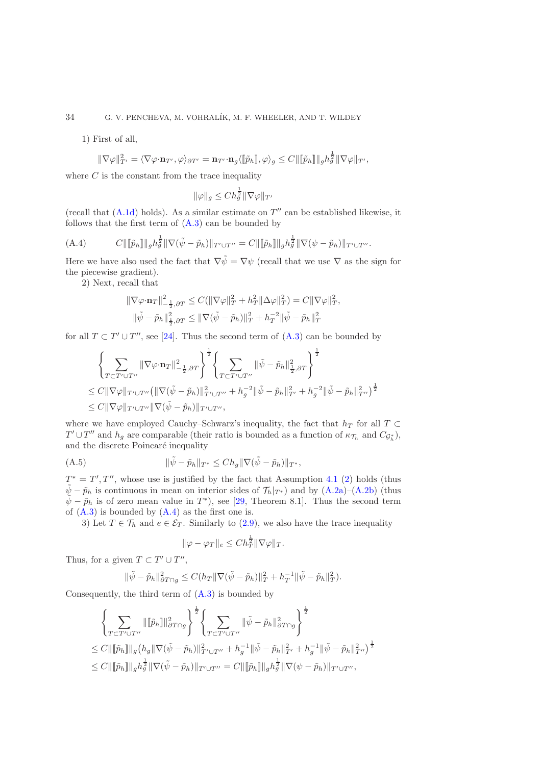1) First of all,

$$
\|\nabla \varphi\|_{T'}^2 = \langle \nabla \varphi \cdot \mathbf{n}_{T'}, \varphi \rangle_{\partial T'} = \mathbf{n}_{T'} \cdot \mathbf{n}_g \langle [\![\tilde{p}_h]\!], \varphi \rangle_g \leq C \|\,[\![\tilde{p}_h]\!]\|_g h_g^{\frac{1}{2}} \|\nabla \varphi\|_{T'},
$$

where  $C$  is the constant from the trace inequality

$$
\|\varphi\|_g \leq Ch_g^{\frac{1}{2}} \|\nabla \varphi\|_{T'}
$$

(recall that  $(A.1d)$  holds). As a similar estimate on  $T''$  can be established likewise, it follows that the first term of  $(A.3)$  can be bounded by

<span id="page-33-0"></span>(A.4) 
$$
C\|[\![\tilde{p}_h]\!] \|_g h_g^{\frac{1}{2}} \|\nabla(\tilde{\psi}-\tilde{p}_h)\|_{T'\cup T''} = C\|[\![\tilde{p}_h]\!] \|_g h_g^{\frac{1}{2}} \|\nabla(\psi-\tilde{p}_h)\|_{T'\cup T''}.
$$

Here we have also used the fact that  $\nabla \tilde{\psi} = \nabla \psi$  (recall that we use  $\nabla$  as the sign for the piecewise gradient).

2) Next, recall that

$$
\begin{aligned} \|\nabla \varphi \cdot \mathbf{n}_T\|_{-\frac{1}{2}, \partial T}^2 &\leq C (\|\nabla \varphi\|_T^2 + h_T^2 \|\Delta \varphi\|_T^2) = C \|\nabla \varphi\|_T^2, \\ \|\tilde{\psi} - \tilde{p}_h\|_{\frac{1}{2}, \partial T}^2 &\leq \|\nabla (\tilde{\psi} - \tilde{p}_h)\|_T^2 + h_T^{-2} \|\tilde{\psi} - \tilde{p}_h\|_T^2 \end{aligned}
$$

for all  $T \subset T' \cup T''$ , see [\[24\]](#page-35-22). Thus the second term of  $(A.3)$  can be bounded by

$$
\left\{\sum_{T\subset T'\cup T''}\|\nabla\varphi\cdot\mathbf{n}_T\|_{-\frac{1}{2},\partial T}^2\right\}^{\frac{1}{2}}\left\{\sum_{T\subset T'\cup T''}\|\tilde{\psi}-\tilde{p}_h\|_{\frac{1}{2},\partial T}^2\right\}^{\frac{1}{2}}\right\}
$$
  
\n
$$
\leq C\|\nabla\varphi\|_{T'\cup T''}\left(\|\nabla(\tilde{\psi}-\tilde{p}_h)\|_{T'\cup T''}^2+h_g^{-2}\|\tilde{\psi}-\tilde{p}_h\|_{T'}^2+h_g^{-2}\|\tilde{\psi}-\tilde{p}_h\|_{T''}^2\right)^{\frac{1}{2}}
$$
  
\n
$$
\leq C\|\nabla\varphi\|_{T'\cup T''}\|\nabla(\tilde{\psi}-\tilde{p}_h)\|_{T'\cup T''},
$$

where we have employed Cauchy–Schwarz's inequality, the fact that  $h_T$  for all  $T \subset$  $T' \cup T''$  and  $h_g$  are comparable (their ratio is bounded as a function of  $\kappa_{\mathcal{T}_h}$  and  $C_{\mathcal{G}_h^*}$ ), and the discrete Poincaré inequality

(A.5) 
$$
\|\tilde{\psi} - \tilde{p}_h\|_{T^*} \leq Ch_g \|\nabla(\tilde{\psi} - \tilde{p}_h)\|_{T^*},
$$

 $T^* = T', T'',$  whose use is justified by the fact that Assumption [4.1](#page-12-1) [\(2\)](#page-12-5) holds (thus  $\psi - \tilde{p}_h$  is continuous in mean on interior sides of  $\mathcal{T}_h|_{T^*}$  and by  $(A.2a)$ – $(A.2b)$  (thus  $\tilde{\psi} - \tilde{p}_h$  is of zero mean value in  $T^*$ ), see [\[29,](#page-35-20) Theorem 8.1]. Thus the second term of  $(A.3)$  is bounded by  $(A.4)$  as the first one is.

3) Let  $T \in \mathcal{T}_h$  and  $e \in \mathcal{E}_T$ . Similarly to [\(2.9\)](#page-5-0), we also have the trace inequality

<span id="page-33-1"></span>
$$
\|\varphi - \varphi_T\|_e \leq Ch_T^{\frac{1}{2}} \|\nabla \varphi\|_T.
$$

Thus, for a given  $T \subset T' \cup T''$ ,

$$
\|\tilde{\psi} - \tilde{p}_h\|_{\partial T \cap g}^2 \le C(h_T \|\nabla(\tilde{\psi} - \tilde{p}_h)\|_T^2 + h_T^{-1} \|\tilde{\psi} - \tilde{p}_h\|_T^2).
$$

Consequently, the third term of [\(A.3\)](#page-32-3) is bounded by

$$
\left\{\sum_{T\subset T'\cup T''}\|\llbracket \tilde{p}_h\rrbracket\|^2_{\partial T\cap g}\right\}^{\frac{1}{2}}\left\{\sum_{T\subset T'\cup T''}\|\tilde{\psi}-\tilde{p}_h\|^2_{\partial T\cap g}\right\}^{\frac{1}{2}}\leq C\|\llbracket \tilde{p}_h\rrbracket\|_g\big(h_g\|\nabla(\tilde{\psi}-\tilde{p}_h)\|^2_{T'\cup T''}+h_g^{-1}\|\tilde{\psi}-\tilde{p}_h\|^2_{T'}+h_g^{-1}\|\tilde{\psi}-\tilde{p}_h\|^2_{T''}\big)^{\frac{1}{2}}\leq C\|\llbracket \tilde{p}_h\rrbracket\|_g h_g^{\frac{1}{2}}\|\nabla(\tilde{\psi}-\tilde{p}_h)\|_{T'\cup T''}=C\|\llbracket \tilde{p}_h\rrbracket\|_g h_g^{\frac{1}{2}}\|\nabla(\psi-\tilde{p}_h)\|_{T'\cup T''},
$$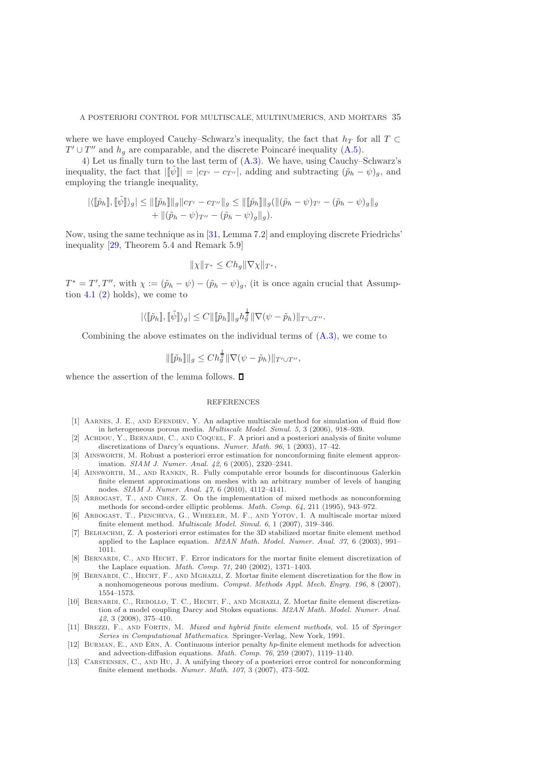where we have employed Cauchy–Schwarz's inequality, the fact that  $h_T$  for all  $T \subset$  $T' \cup T''$  and  $h_g$  are comparable, and the discrete Poincaré inequality [\(A.5\)](#page-33-1).

4) Let us finally turn to the last term of  $(A.3)$ . We have, using Cauchy–Schwarz's inequality, the fact that  $\|\tilde{\psi}\| = |c_{T'} - c_{T''}|$ , adding and subtracting  $(\tilde{p}_h - \psi)_q$ , and employing the triangle inequality,

$$
|\langle [\![\tilde{p}_h]\!], [\![\tilde{\psi}]\!] \rangle_g| \leq ||[\![\tilde{p}_h]\!]||_g||c_{T'} - c_{T''}||_g \leq ||[\![\tilde{p}_h]\!]||_g(||(\tilde{p}_h - \psi)_{T'} - (\tilde{p}_h - \psi)_g||_g + ||(\tilde{p}_h - \psi)_{T''} - (\tilde{p}_h - \psi)_g||_g).
$$

Now, using the same technique as in [\[31,](#page-35-15) Lemma 7.2] and employing discrete Friedrichs' inequality [\[29,](#page-35-20) Theorem 5.4 and Remark 5.9]

$$
\|\chi\|_{T^*} \le Ch_g \|\nabla \chi\|_{T^*},
$$

 $T^* = T', T'',$  with  $\chi := (\tilde{p}_h - \psi) - (\tilde{p}_h - \psi)_g$ , (it is once again crucial that Assumption  $4.1$  [\(2\)](#page-12-5) holds), we come to

$$
|\langle [\![\tilde{p}_h]\!], [\![\tilde{\psi}]\!] \rangle_g|\leq C\|[\![\tilde{p}_h]\!]\|_g h_g^\frac{1}{2}\|\nabla(\psi-\tilde{p}_h)\|_{T'\cup T''}.
$$

Combining the above estimates on the individual terms of  $(A.3)$ , we come to

$$
\|\llbracket \tilde{p}_h \rrbracket \|_g \leq C h_g^{\frac{1}{2}} \|\nabla(\psi - \tilde{p}_h)\|_{T' \cup T''},
$$

whence the assertion of the lemma follows.  $\square$ 

#### **REFERENCES**

- <span id="page-34-1"></span>[1] Aarnes, J. E., and Efendiev, Y. An adaptive multiscale method for simulation of fluid flow in heterogeneous porous media. Multiscale Model. Simul. 5, 3 (2006), 918–939.
- <span id="page-34-10"></span>[2] Achdou, Y., Bernardi, C., and Coquel, F. A priori and a posteriori analysis of finite volume discretizations of Darcy's equations. Numer. Math. 96, 1 (2003), 17–42.
- <span id="page-34-11"></span>[3] Ainsworth, M. Robust a posteriori error estimation for nonconforming finite element approximation. SIAM J. Numer. Anal. 42, 6 (2005), 2320–2341.
- <span id="page-34-8"></span>[4] Ainsworth, M., and Rankin, R. Fully computable error bounds for discontinuous Galerkin finite element approximations on meshes with an arbitrary number of levels of hanging nodes. SIAM J. Numer. Anal. 47, 6 (2010), 4112–4141.
- <span id="page-34-12"></span>[5] Arbogast, T., and Chen, Z. On the implementation of mixed methods as nonconforming methods for second-order elliptic problems. Math. Comp. 64, 211 (1995), 943–972.
- <span id="page-34-0"></span>[6] Arbogast, T., Pencheva, G., Wheeler, M. F., and Yotov, I. A multiscale mortar mixed finite element method. Multiscale Model. Simul. 6, 1 (2007), 319–346.
- <span id="page-34-3"></span>[7] Belhachmi, Z. A posteriori error estimates for the 3D stabilized mortar finite element method applied to the Laplace equation.  $M2AN Math. Model. Numer. Anal. 37, 6 (2003), 991-$ 1011.
- <span id="page-34-2"></span>[8] BERNARDI, C., AND HECHT, F. Error indicators for the mortar finite element discretization of the Laplace equation. Math. Comp. 71, 240 (2002), 1371–1403.
- <span id="page-34-5"></span>[9] BERNARDI, C., HECHT, F., AND MGHAZLI, Z. Mortar finite element discretization for the flow in a nonhomogeneous porous medium. Comput. Methods Appl. Mech. Engrg. 196, 8 (2007), 1554–1573.
- <span id="page-34-6"></span>[10] Bernardi, C., Rebollo, T. C., Hecht, F., and Mghazli, Z. Mortar finite element discretization of a model coupling Darcy and Stokes equations. M2AN Math. Model. Numer. Anal. 42, 3 (2008), 375–410.
- <span id="page-34-7"></span>[11] Brezzi, F., and Fortin, M. Mixed and hybrid finite element methods, vol. 15 of Springer Series in Computational Mathematics. Springer-Verlag, New York, 1991.
- <span id="page-34-9"></span>[12] Burman, E., and Ern, A. Continuous interior penalty hp-finite element methods for advection and advection-diffusion equations. Math. Comp. 76, 259 (2007), 1119–1140.
- <span id="page-34-4"></span>[13] Carstensen, C., and Hu, J. A unifying theory of a posteriori error control for nonconforming finite element methods. Numer. Math. 107, 3 (2007), 473–502.